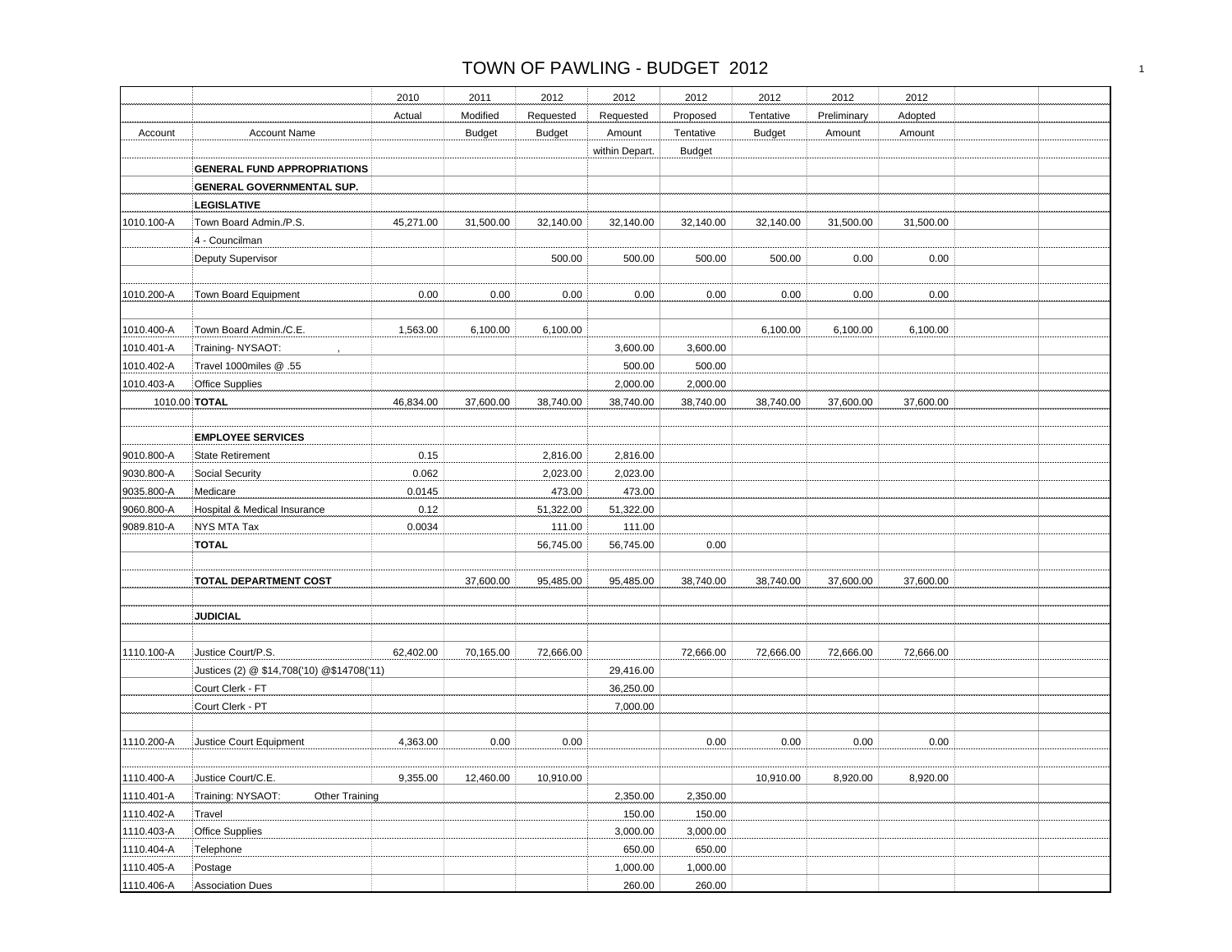|            |                                            | 2010      | 2011          | 2012          | 2012           | 2012          | 2012          | 2012        | 2012      |  |
|------------|--------------------------------------------|-----------|---------------|---------------|----------------|---------------|---------------|-------------|-----------|--|
|            |                                            | Actual    | Modified      | Requested     | Requested      | Proposed      | Tentative     | Preliminary | Adopted   |  |
| Account    | <b>Account Name</b>                        |           | <b>Budget</b> | <b>Budget</b> | Amount         | Tentative     | <b>Budget</b> | Amount      | Amount    |  |
|            |                                            |           |               |               | within Depart. | <b>Budget</b> |               |             |           |  |
|            | <b>GENERAL FUND APPROPRIATIONS</b>         |           |               |               |                |               |               |             |           |  |
|            | GENERAL GOVERNMENTAL SUP.                  |           |               |               |                |               |               |             |           |  |
|            | <b>LEGISLATIVE</b>                         |           |               |               |                |               |               |             |           |  |
| 1010.100-A | Town Board Admin./P.S.                     | 45,271.00 | 31,500.00     | 32,140.00     | 32,140.00      | 32,140.00     | 32,140.00     | 31,500.00   | 31,500.00 |  |
|            | 4 - Councilman                             |           |               |               |                |               |               |             |           |  |
|            | <b>Deputy Supervisor</b>                   |           |               | 500.00        | 500.00         | 500.00        | 500.00        | 0.00        | 0.00      |  |
|            |                                            |           |               |               |                |               |               |             |           |  |
| 1010.200-A | Town Board Equipment                       | 0.00      | 0.00          | $0.00\,$      | 0.00           | 0.00          | 0.00          | 0.00        | 0.00      |  |
|            |                                            |           |               |               |                |               |               |             |           |  |
| 1010.400-A | Town Board Admin./C.E.                     | 1,563.00  | 6,100.00      | 6,100.00      |                |               | 6,100.00      | 6,100.00    | 6,100.00  |  |
| 1010.401-A | Training-NYSAOT:                           |           |               |               | 3,600.00       | 3,600.00      |               |             |           |  |
| 1010.402-A | Travel 1000miles @ .55                     |           |               |               | 500.00         | 500.00        |               |             |           |  |
| 1010.403-A | <b>Office Supplies</b>                     |           |               |               | 2,000.00       | 2,000.00      |               |             |           |  |
|            | 1010.00 TOTAL                              | 46,834.00 | 37,600.00     | 38,740.00     | 38,740.00      | 38,740.00     | 38,740.00     | 37,600.00   | 37,600.00 |  |
|            |                                            |           |               |               |                |               |               |             |           |  |
|            | <b>EMPLOYEE SERVICES</b>                   |           |               |               |                |               |               |             |           |  |
| 9010.800-A | <b>State Retirement</b>                    | 0.15      |               | 2,816.00      | 2,816.00       |               |               |             |           |  |
| 9030.800-A | Social Security                            | 0.062     |               | 2,023.00      | 2,023.00       |               |               |             |           |  |
| 9035.800-A | Medicare                                   | 0.0145    |               | 473.00        | 473.00         |               |               |             |           |  |
| 9060.800-A | Hospital & Medical Insurance               | 0.12      |               | 51,322.00     | 51,322.00      |               |               |             |           |  |
| 9089.810-A | NYS MTA Tax                                | 0.0034    |               | 111.00        | 111.00         |               |               |             |           |  |
|            | <b>TOTAL</b>                               |           |               | 56,745.00     | 56,745.00      | 0.00          |               |             |           |  |
|            |                                            |           |               |               |                |               |               |             |           |  |
|            | <b>TOTAL DEPARTMENT COST</b>               |           | 37,600.00     | 95,485.00     | 95,485.00      | 38,740.00     | 38,740.00     | 37,600.00   | 37,600.00 |  |
|            |                                            |           |               |               |                |               |               |             |           |  |
|            | <b>JUDICIAL</b>                            |           |               |               |                |               |               |             |           |  |
|            |                                            |           |               |               |                |               |               |             |           |  |
| 1110.100-A | Justice Court/P.S.                         | 62,402.00 | 70,165.00     | 72,666.00     |                | 72,666.00     | 72,666.00     | 72,666.00   | 72,666.00 |  |
|            | Justices (2) @ \$14,708('10) @\$14708('11) |           |               |               | 29,416.00      |               |               |             |           |  |
|            | Court Clerk - FT                           |           |               |               | 36,250.00      |               |               |             |           |  |
|            | Court Clerk - PT                           |           |               |               | 7,000.00       |               |               |             |           |  |
|            |                                            |           |               |               |                |               |               |             |           |  |
| 1110.200-A | Justice Court Equipment                    | 4,363.00  | 0.00          | 0.00          |                | 0.00          | 0.00          | 0.00        | 0.00      |  |
|            |                                            |           |               |               |                |               |               |             |           |  |
| 1110.400-A | Justice Court/C.E.                         | 9,355.00  | 12,460.00     | 10,910.00     |                |               | 10,910.00     | 8,920.00    | 8,920.00  |  |
| 1110.401-A | Training: NYSAOT:<br>Other Training        |           |               |               | 2,350.00       | 2,350.00      |               |             |           |  |
| 1110.402-A | Travel                                     |           |               |               | 150.00         | 150.00        |               |             |           |  |
| 1110.403-A | Office Supplies                            |           |               |               | 3,000.00       | 3,000.00      |               |             |           |  |
| 1110.404-A | Telephone                                  |           |               |               | 650.00         | 650.00        |               |             |           |  |
| 1110.405-A | Postage                                    |           |               |               | 1,000.00       | 1,000.00      |               |             |           |  |
| 1110.406-A | <b>Association Dues</b>                    |           |               |               | 260.00         | 260.00        |               |             |           |  |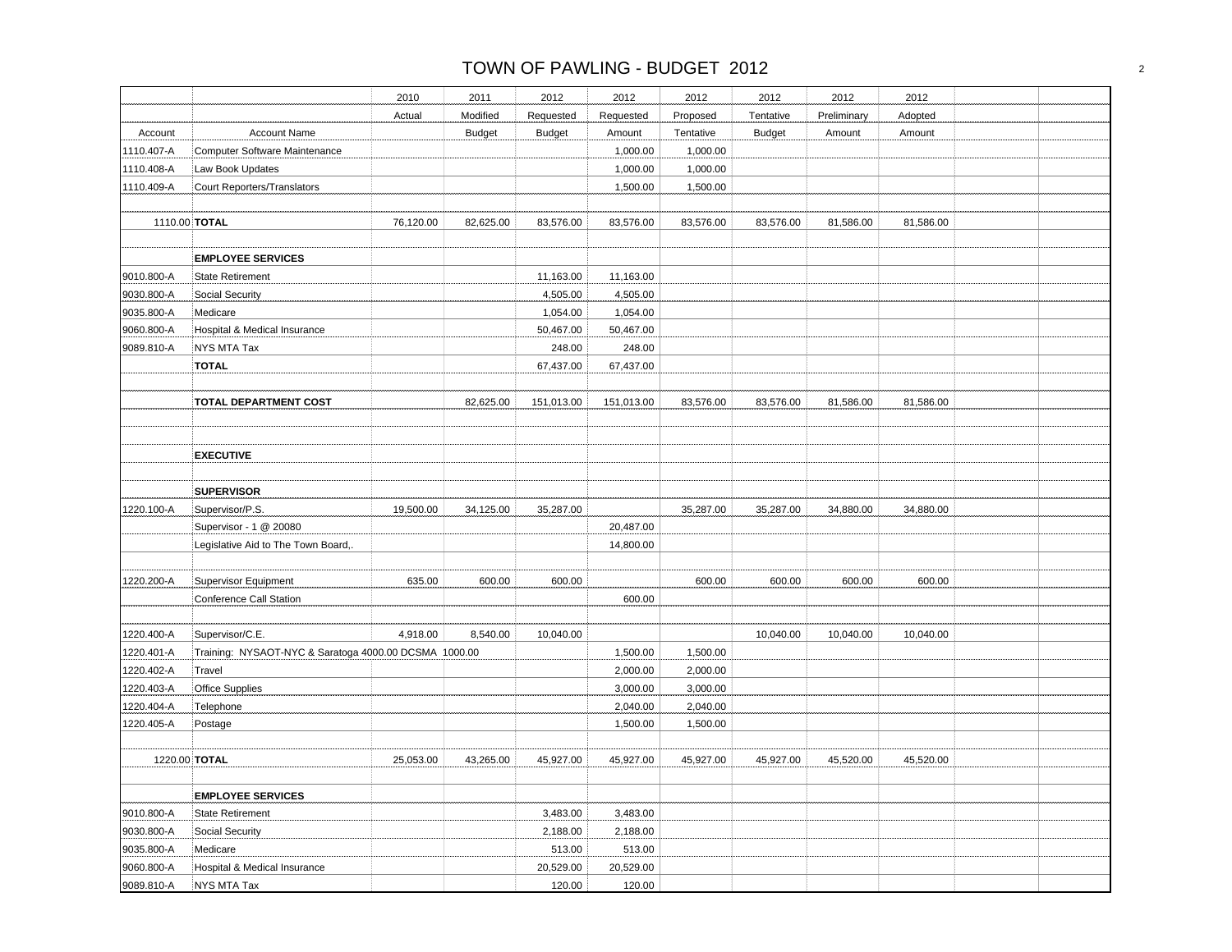|            |                                                       | 2010      | 2011          | 2012          | 2012       | 2012      | 2012          | 2012        | 2012      |  |
|------------|-------------------------------------------------------|-----------|---------------|---------------|------------|-----------|---------------|-------------|-----------|--|
|            |                                                       | Actual    | Modified      | Requested     | Requested  | Proposed  | Tentative     | Preliminary | Adopted   |  |
| Account    | <b>Account Name</b>                                   |           | <b>Budget</b> | <b>Budget</b> | Amount     | Tentative | <b>Budget</b> | Amount      | Amount    |  |
| 1110.407-A | Computer Software Maintenance                         |           |               |               | 1,000.00   | 1,000.00  |               |             |           |  |
| 1110.408-A | Law Book Updates                                      |           |               |               | 1,000.00   | 1,000.00  |               |             |           |  |
| 1110.409-A | Court Reporters/Translators                           |           |               |               | 1,500.00   | 1,500.00  |               |             |           |  |
|            |                                                       |           |               |               |            |           |               |             |           |  |
|            | 1110.00 TOTAL                                         | 76,120.00 | 82,625.00     | 83,576.00     | 83,576.00  | 83,576.00 | 83,576.00     | 81,586.00   | 81,586.00 |  |
|            | <b>EMPLOYEE SERVICES</b>                              |           |               |               |            |           |               |             |           |  |
| 9010.800-A | State Retirement                                      |           |               | 11,163.00     | 11,163.00  |           |               |             |           |  |
| 9030.800-A | Social Security                                       |           |               | 4,505.00      | 4,505.00   |           |               |             |           |  |
| 9035.800-A | Medicare                                              |           |               | 1,054.00      | 1,054.00   |           |               |             |           |  |
| 9060.800-A | Hospital & Medical Insurance                          |           |               | 50,467.00     | 50,467.00  |           |               |             |           |  |
| 9089.810-A | NYS MTA Tax                                           |           |               | 248.00        | 248.00     |           |               |             |           |  |
|            | <b>TOTAL</b>                                          |           |               | 67,437.00     | 67,437.00  |           |               |             |           |  |
|            | TOTAL DEPARTMENT COST                                 |           | 82,625.00     | 151,013.00    | 151,013.00 | 83,576.00 | 83,576.00     | 81,586.00   | 81,586.00 |  |
|            |                                                       |           |               |               |            |           |               |             |           |  |
|            | <b>EXECUTIVE</b>                                      |           |               |               |            |           |               |             |           |  |
|            |                                                       |           |               |               |            |           |               |             |           |  |
|            | <b>SUPERVISOR</b>                                     |           |               |               |            |           |               |             |           |  |
| 1220.100-A | Supervisor/P.S.                                       | 19,500.00 | 34,125.00     | 35,287.00     |            | 35,287.00 | 35,287.00     | 34,880.00   | 34,880.00 |  |
|            | Supervisor - 1 @ 20080                                |           |               |               | 20,487.00  |           |               |             |           |  |
|            | Legislative Aid to The Town Board,.                   |           |               |               | 14,800.00  |           |               |             |           |  |
| 1220.200-A | <b>Supervisor Equipment</b>                           | 635.00    | 600.00        | 600.00        |            | 600.00    | 600.00        | 600.00      | 600.00    |  |
|            | Conference Call Station                               |           |               |               | 600.00     |           |               |             |           |  |
| 1220.400-A | Supervisor/C.E.                                       | 4,918.00  | 8,540.00      | 10,040.00     |            |           | 10,040.00     | 10,040.00   | 10,040.00 |  |
| 1220.401-A | Training: NYSAOT-NYC & Saratoga 4000.00 DCSMA 1000.00 |           |               |               | 1,500.00   | 1,500.00  |               |             |           |  |
| 1220.402-A | Travel                                                |           |               |               | 2,000.00   | 2,000.00  |               |             |           |  |
| 1220.403-A | <b>Office Supplies</b>                                |           |               |               | 3,000.00   | 3,000.00  |               |             |           |  |
| 1220.404-A | Telephone                                             |           |               |               | 2,040.00   | 2,040.00  |               |             |           |  |
| 1220.405-A | Postage                                               |           |               |               | 1,500.00   | 1,500.00  |               |             |           |  |
|            |                                                       |           |               |               |            |           |               |             |           |  |
|            | 1220.00 TOTAL                                         | 25,053.00 | 43,265.00     | 45,927.00     | 45,927.00  | 45,927.00 | 45.927.00     | 45,520.00   | 45,520.00 |  |
|            | <b>EMPLOYEE SERVICES</b>                              |           |               |               |            |           |               |             |           |  |
| 9010.800-A | <b>State Retirement</b>                               |           |               | 3,483.00      | 3,483.00   |           |               |             |           |  |
| 9030.800-A | Social Security                                       |           |               | 2,188.00      | 2,188.00   |           |               |             |           |  |
| 9035.800-A | Medicare                                              |           |               | 513.00        | 513.00     |           |               |             |           |  |
| 9060.800-A | Hospital & Medical Insurance                          |           |               | 20,529.00     | 20,529.00  |           |               |             |           |  |
| 9089.810-A | NYS MTA Tax                                           |           |               | 120.00        | 120.00     |           |               |             |           |  |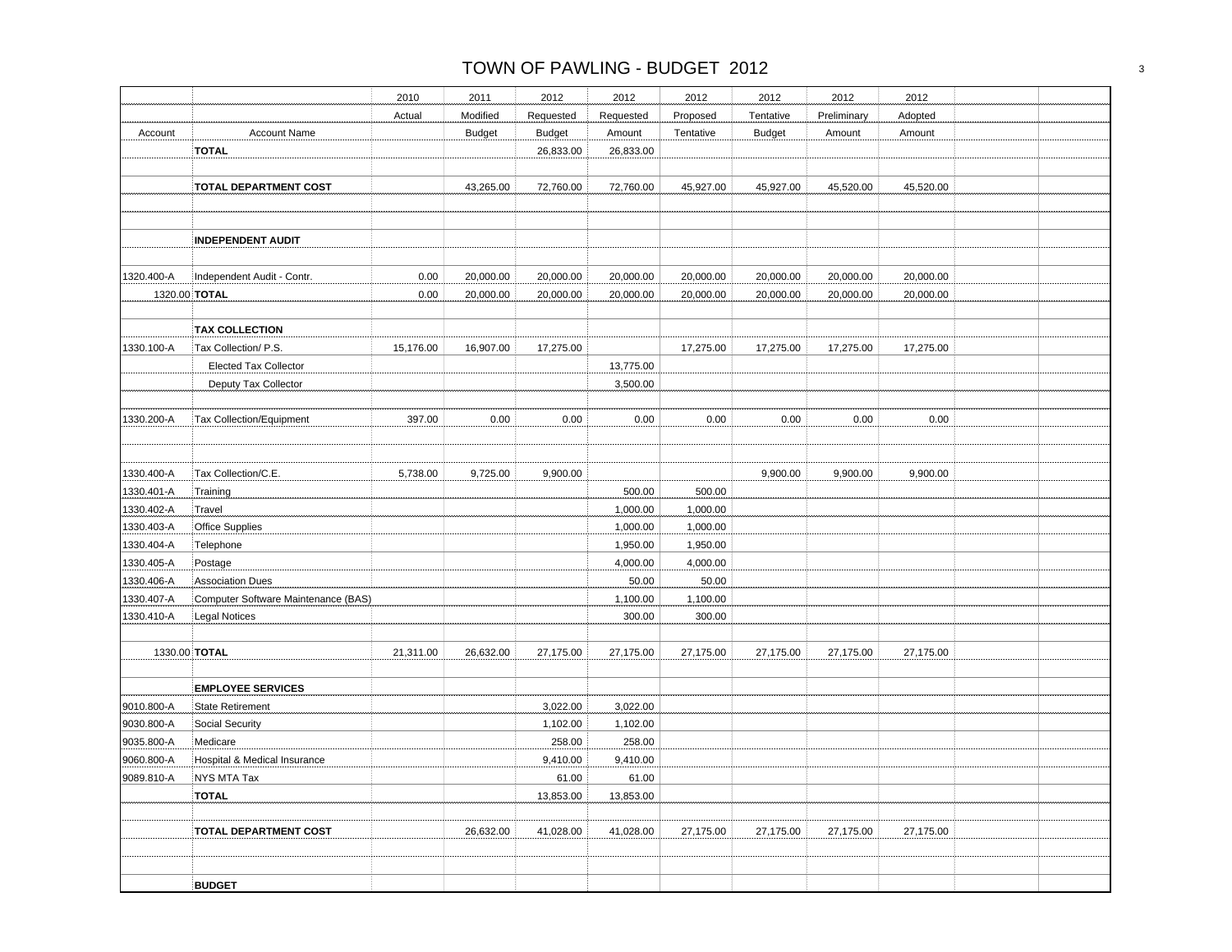|            |                                     | 2010      | 2011          | 2012          | 2012      | 2012      | 2012          | 2012        | 2012      |  |
|------------|-------------------------------------|-----------|---------------|---------------|-----------|-----------|---------------|-------------|-----------|--|
|            |                                     | Actual    | Modified      | Requested     | Requested | Proposed  | Tentative     | Preliminary | Adopted   |  |
| Account    | <b>Account Name</b>                 |           | <b>Budget</b> | <b>Budget</b> | Amount    | Tentative | <b>Budget</b> | Amount      | Amount    |  |
|            | <b>TOTAL</b>                        |           |               | 26,833.00     | 26,833.00 |           |               |             |           |  |
|            |                                     |           |               |               |           |           |               |             |           |  |
|            | <b>TOTAL DEPARTMENT COST</b>        |           | 43,265.00     | 72,760.00     | 72,760.00 | 45,927.00 | 45,927.00     | 45,520.00   | 45,520.00 |  |
|            |                                     |           |               |               |           |           |               |             |           |  |
|            | <b>INDEPENDENT AUDIT</b>            |           |               |               |           |           |               |             |           |  |
| 1320.400-A | Independent Audit - Contr.          | 0.00      | 20,000.00     | 20,000.00     | 20,000.00 | 20,000.00 | 20,000.00     | 20,000.00   | 20,000.00 |  |
|            | 1320.00 TOTAL                       | 0.00      | 20,000.00     | 20,000.00     | 20,000.00 | 20,000.00 | 20,000.00     | 20,000.00   | 20,000.00 |  |
|            | <b>TAX COLLECTION</b>               |           |               |               |           |           |               |             |           |  |
| 1330.100-A | Tax Collection/ P.S.                | 15,176.00 | 16,907.00     | 17,275.00     |           | 17,275.00 | 17,275.00     | 17,275.00   | 17,275.00 |  |
|            | <b>Elected Tax Collector</b>        |           |               |               | 13,775.00 |           |               |             |           |  |
|            | Deputy Tax Collector                |           |               |               | 3,500.00  |           |               |             |           |  |
| 1330.200-A | Tax Collection/Equipment            | 397.00    | 0.00          | 0.00          | 0.00      | 0.00      | 0.00          | 0.00        | 0.00      |  |
|            |                                     |           |               |               |           |           |               |             |           |  |
| 1330.400-A | Tax Collection/C.E.                 | 5,738.00  | 9,725.00      | 9,900.00      |           |           | 9,900.00      | 9,900.00    | 9,900.00  |  |
| 1330.401-A | Training                            |           |               |               | 500.00    | 500.00    |               |             |           |  |
| 1330.402-A | Travel                              |           |               |               | 1,000.00  | 1,000.00  |               |             |           |  |
| 1330.403-A | <b>Office Supplies</b>              |           |               |               | 1,000.00  | 1,000.00  |               |             |           |  |
| 1330.404-A | Telephone                           |           |               |               | 1,950.00  | 1,950.00  |               |             |           |  |
| 1330.405-A | Postage                             |           |               |               | 4,000.00  | 4,000.00  |               |             |           |  |
| 1330.406-A | Association Dues                    |           |               |               | 50.00     | 50.00     |               |             |           |  |
| 1330.407-A | Computer Software Maintenance (BAS) |           |               |               | 1,100.00  | 1,100.00  |               |             |           |  |
| 1330.410-A | Legal Notices                       |           |               |               | 300.00    | 300.00    |               |             |           |  |
|            | 1330.00 TOTAL                       | 21,311.00 | 26,632.00     | 27,175.00     | 27,175.00 | 27,175.00 | 27,175.00     | 27,175.00   | 27,175.00 |  |
|            | <b>EMPLOYEE SERVICES</b>            |           |               |               |           |           |               |             |           |  |
| 9010.800-A | <b>State Retirement</b>             |           |               | 3,022.00      | 3,022.00  |           |               |             |           |  |
| 9030.800-A | Social Security                     |           |               | 1,102.00      | 1,102.00  |           |               |             |           |  |
| 9035.800-A | Medicare                            |           |               | 258.00        | 258.00    |           |               |             |           |  |
| 9060.800-A | Hospital & Medical Insurance        |           |               | 9,410.00      | 9,410.00  |           |               |             |           |  |
| 9089.810-A | NYS MTA Tax                         |           |               | 61.00         | 61.00     |           |               |             |           |  |
|            | <b>TOTAL</b>                        |           |               | 13,853.00     | 13,853.00 |           |               |             |           |  |
|            | <b>TOTAL DEPARTMENT COST</b>        |           | 26,632.00     | 41,028.00     | 41,028.00 | 27,175.00 | 27,175.00     | 27,175.00   | 27,175.00 |  |
|            |                                     |           |               |               |           |           |               |             |           |  |
|            | <b>BUDGET</b>                       |           |               |               |           |           |               |             |           |  |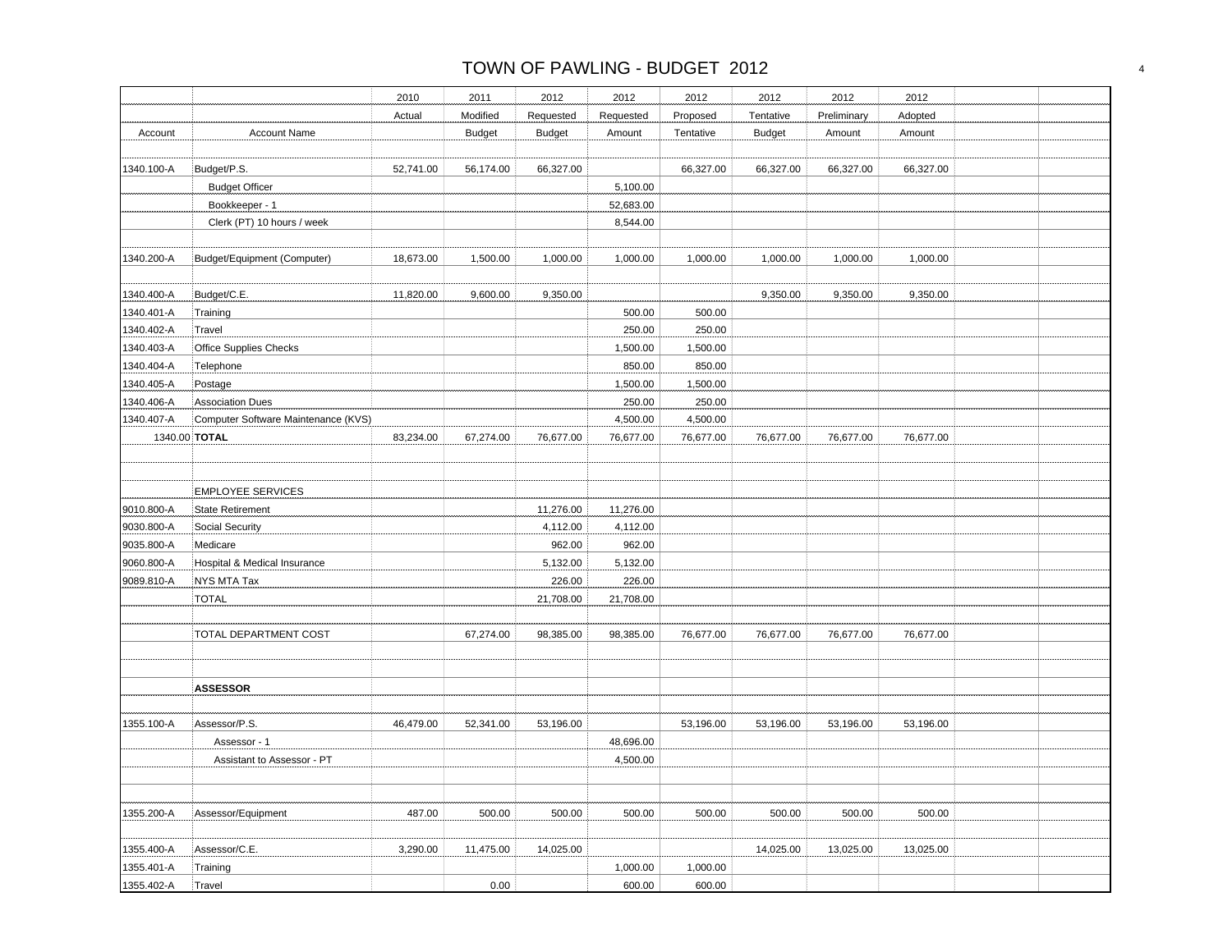|            |                                     | 2010      | 2011          | 2012          | 2012      | 2012      | 2012          | 2012        | 2012      |  |
|------------|-------------------------------------|-----------|---------------|---------------|-----------|-----------|---------------|-------------|-----------|--|
|            |                                     | Actual    | Modified      | Requested     | Requested | Proposed  | Tentative     | Preliminary | Adopted   |  |
| Account    | <b>Account Name</b>                 |           | <b>Budget</b> | <b>Budget</b> |           | Tentative | <b>Budget</b> | Amount      | Amount    |  |
|            |                                     |           |               |               | Amount    |           |               |             |           |  |
| 1340.100-A | Budget/P.S.                         | 52,741.00 | 56,174.00     | 66,327.00     |           | 66,327.00 | 66,327.00     | 66,327.00   | 66,327.00 |  |
|            | <b>Budget Officer</b>               |           |               |               | 5,100.00  |           |               |             |           |  |
|            | Bookkeeper - 1                      |           |               |               | 52,683.00 |           |               |             |           |  |
|            | Clerk (PT) 10 hours / week          |           |               |               | 8,544.00  |           |               |             |           |  |
|            |                                     |           |               |               |           |           |               |             |           |  |
| 1340.200-A | Budget/Equipment (Computer)         | 18,673.00 | 1,500.00      | 1,000.00      | 1,000.00  | 1,000.00  | 1,000.00      | 1,000.00    | 1,000.00  |  |
|            |                                     |           |               |               |           |           |               |             |           |  |
| 1340.400-A | Budget/C.E.                         | 11,820.00 | 9,600.00      | 9,350.00      |           |           | 9,350.00      | 9,350.00    | 9,350.00  |  |
| 1340.401-A | Training                            |           |               |               | 500.00    | 500.00    |               |             |           |  |
| 1340.402-A | Travel                              |           |               |               | 250.00    | 250.00    |               |             |           |  |
| 1340.403-A | Office Supplies Checks              |           |               |               | 1,500.00  | 1,500.00  |               |             |           |  |
| 1340.404-A | Telephone                           |           |               |               | 850.00    | 850.00    |               |             |           |  |
| 1340.405-A | Postage                             |           |               |               | 1,500.00  | 1,500.00  |               |             |           |  |
| 1340.406-A | <b>Association Dues</b>             |           |               |               | 250.00    | 250.00    |               |             |           |  |
| 1340.407-A | Computer Software Maintenance (KVS) |           |               |               | 4,500.00  | 4,500.00  |               |             |           |  |
|            | 1340.00 TOTAL                       | 83,234.00 | 67,274.00     | 76,677.00     | 76,677.00 | 76,677.00 | 76,677.00     | 76,677.00   | 76,677.00 |  |
|            |                                     |           |               |               |           |           |               |             |           |  |
|            |                                     |           |               |               |           |           |               |             |           |  |
|            | <b>EMPLOYEE SERVICES</b>            |           |               |               |           |           |               |             |           |  |
| 9010.800-A | State Retirement                    |           |               | 11,276.00     | 11,276.00 |           |               |             |           |  |
| 9030.800-A | Social Security                     |           |               | 4,112.00      | 4,112.00  |           |               |             |           |  |
| 9035.800-A | Medicare                            |           |               | 962.00        | 962.00    |           |               |             |           |  |
| 9060.800-A | Hospital & Medical Insurance        |           |               | 5,132.00      | 5,132.00  |           |               |             |           |  |
| 9089.810-A | NYS MTA Tax                         |           |               | 226.00        | 226.00    |           |               |             |           |  |
|            | <b>TOTAL</b>                        |           |               | 21,708.00     | 21,708.00 |           |               |             |           |  |
|            |                                     |           |               |               |           |           |               |             |           |  |
|            | TOTAL DEPARTMENT COST               |           | 67,274.00     | 98,385.00     | 98,385.00 | 76,677.00 | 76,677.00     | 76,677.00   | 76,677.00 |  |
|            |                                     |           |               |               |           |           |               |             |           |  |
|            |                                     |           |               |               |           |           |               |             |           |  |
|            | <b>ASSESSOR</b>                     |           |               |               |           |           |               |             |           |  |
|            |                                     |           |               |               |           |           |               |             |           |  |
| 1355.100-A | Assessor/P.S.                       | 46,479.00 | 52,341.00     | 53,196.00     |           | 53,196.00 | 53,196.00     | 53,196.00   | 53,196.00 |  |
|            | Assessor - 1                        |           |               |               | 48,696.00 |           |               |             |           |  |
|            | Assistant to Assessor - PT          |           |               |               | 4,500.00  |           |               |             |           |  |
|            |                                     |           |               |               |           |           |               |             |           |  |
|            |                                     |           |               |               |           |           |               |             |           |  |
| 1355.200-A | Assessor/Equipment                  | 487.00    | 500.00        | 500.00        | 500.00    | 500.00    | 500.00        | 500.00      | 500.00    |  |
|            |                                     |           |               |               |           |           |               |             |           |  |
| 1355.400-A | Assessor/C.E.                       | 3,290.00  | 11,475.00     | 14,025.00     |           |           | 14,025.00     | 13,025.00   | 13,025.00 |  |
| 1355.401-A | Training                            |           |               |               | 1,000.00  | 1,000.00  |               |             |           |  |
| 1355.402-A | Travel                              |           | 0.00          |               | 600.00    | 600.00    |               |             |           |  |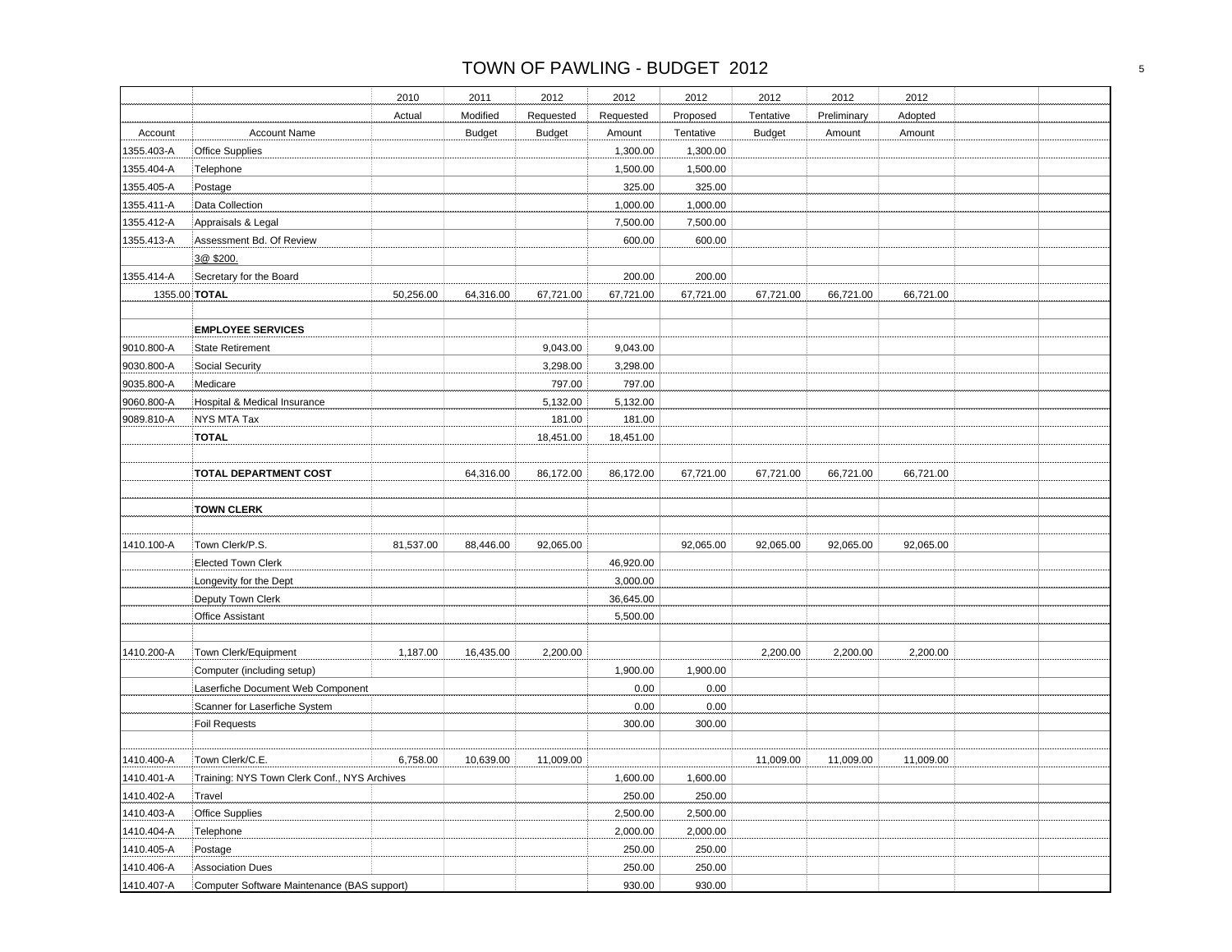# TOWN OF PAWLING - BUDGET 2012 SALE AND TOWN OF PAWLING - BUDGET 2012

| Account<br>1355.403-A<br>1355.404-A<br>1355.405-A<br>1355.411-A<br>1355.412-A<br>1355.413-A<br>1355.414-A<br>1355.00 TOTAL<br>9010.800-A<br>9030.800-A<br>9035.800-A<br>9060.800-A<br>9089.810-A<br><b>TOTAL</b><br>1410.100-A | <b>Account Name</b><br>Office Supplies<br>Telephone<br>Postage<br>Data Collection<br>Appraisals & Legal<br>Assessment Bd. Of Review<br>3@ \$200.<br>Secretary for the Board | Actual    | Modified<br><b>Budget</b> | Requested<br><b>Budget</b> | Requested<br>Amount<br>1,300.00<br>1,500.00<br>325.00 | Proposed<br>Tentative<br>1,300.00<br>1,500.00 | Tentative<br><b>Budget</b> | Preliminary<br>Amount | Adopted<br>Amount |  |
|--------------------------------------------------------------------------------------------------------------------------------------------------------------------------------------------------------------------------------|-----------------------------------------------------------------------------------------------------------------------------------------------------------------------------|-----------|---------------------------|----------------------------|-------------------------------------------------------|-----------------------------------------------|----------------------------|-----------------------|-------------------|--|
|                                                                                                                                                                                                                                |                                                                                                                                                                             |           |                           |                            |                                                       |                                               |                            |                       |                   |  |
|                                                                                                                                                                                                                                |                                                                                                                                                                             |           |                           |                            |                                                       |                                               |                            |                       |                   |  |
|                                                                                                                                                                                                                                |                                                                                                                                                                             |           |                           |                            |                                                       |                                               |                            |                       |                   |  |
|                                                                                                                                                                                                                                |                                                                                                                                                                             |           |                           |                            |                                                       |                                               |                            |                       |                   |  |
|                                                                                                                                                                                                                                |                                                                                                                                                                             |           |                           |                            |                                                       | 325.00                                        |                            |                       |                   |  |
|                                                                                                                                                                                                                                |                                                                                                                                                                             |           |                           |                            | 1,000.00                                              | 1,000.00                                      |                            |                       |                   |  |
|                                                                                                                                                                                                                                |                                                                                                                                                                             |           |                           |                            | 7,500.00                                              | 7,500.00                                      |                            |                       |                   |  |
|                                                                                                                                                                                                                                |                                                                                                                                                                             |           |                           |                            | 600.00                                                | 600.00                                        |                            |                       |                   |  |
|                                                                                                                                                                                                                                |                                                                                                                                                                             |           |                           |                            |                                                       |                                               |                            |                       |                   |  |
|                                                                                                                                                                                                                                |                                                                                                                                                                             |           |                           |                            | 200.00                                                | 200.00                                        |                            |                       |                   |  |
|                                                                                                                                                                                                                                |                                                                                                                                                                             | 50,256.00 | 64,316.00                 | 67,721.00                  | 67,721.00                                             | 67,721.00                                     | 67,721.00                  | 66,721.00             | 66,721.00         |  |
|                                                                                                                                                                                                                                | <b>EMPLOYEE SERVICES</b>                                                                                                                                                    |           |                           |                            |                                                       |                                               |                            |                       |                   |  |
|                                                                                                                                                                                                                                | State Retirement                                                                                                                                                            |           |                           | 9,043.00                   | 9,043.00                                              |                                               |                            |                       |                   |  |
|                                                                                                                                                                                                                                | Social Security                                                                                                                                                             |           |                           | 3,298.00                   | 3,298.00                                              |                                               |                            |                       |                   |  |
|                                                                                                                                                                                                                                | Medicare                                                                                                                                                                    |           |                           | 797.00                     | 797.00                                                |                                               |                            |                       |                   |  |
|                                                                                                                                                                                                                                | Hospital & Medical Insurance                                                                                                                                                |           |                           | 5,132.00                   | 5,132.00                                              |                                               |                            |                       |                   |  |
|                                                                                                                                                                                                                                | NYS MTA Tax                                                                                                                                                                 |           |                           | 181.00                     | 181.00                                                |                                               |                            |                       |                   |  |
|                                                                                                                                                                                                                                |                                                                                                                                                                             |           |                           | 18,451.00                  | 18,451.00                                             |                                               |                            |                       |                   |  |
|                                                                                                                                                                                                                                |                                                                                                                                                                             |           |                           |                            |                                                       |                                               |                            |                       |                   |  |
|                                                                                                                                                                                                                                | TOTAL DEPARTMENT COST                                                                                                                                                       |           | 64,316.00                 | 86,172.00                  | 86,172.00                                             | 67,721.00                                     | 67,721.00                  | 66,721.00             | 66,721.00         |  |
|                                                                                                                                                                                                                                | <b>TOWN CLERK</b>                                                                                                                                                           |           |                           |                            |                                                       |                                               |                            |                       |                   |  |
|                                                                                                                                                                                                                                | Town Clerk/P.S.                                                                                                                                                             | 81,537.00 | 88,446.00                 | 92,065.00                  |                                                       | 92,065.00                                     | 92,065.00                  | 92,065.00             | 92,065.00         |  |
|                                                                                                                                                                                                                                | <b>Elected Town Clerk</b>                                                                                                                                                   |           |                           |                            | 46,920.00                                             |                                               |                            |                       |                   |  |
|                                                                                                                                                                                                                                | Longevity for the Dept                                                                                                                                                      |           |                           |                            | 3,000.00                                              |                                               |                            |                       |                   |  |
|                                                                                                                                                                                                                                | Deputy Town Clerk                                                                                                                                                           |           |                           |                            | 36,645.00                                             |                                               |                            |                       |                   |  |
|                                                                                                                                                                                                                                | <b>Office Assistant</b>                                                                                                                                                     |           |                           |                            | 5,500.00                                              |                                               |                            |                       |                   |  |
| 1410.200-A                                                                                                                                                                                                                     | Town Clerk/Equipment                                                                                                                                                        | 1,187.00  | 16,435.00                 | 2,200.00                   |                                                       |                                               | 2,200.00                   | 2,200.00              | 2,200.00          |  |
|                                                                                                                                                                                                                                | Computer (including setup)                                                                                                                                                  |           |                           |                            | 1,900.00                                              | 1,900.00                                      |                            |                       |                   |  |
|                                                                                                                                                                                                                                | Laserfiche Document Web Component                                                                                                                                           |           |                           |                            | 0.00                                                  | 0.00                                          |                            |                       |                   |  |
|                                                                                                                                                                                                                                | Scanner for Laserfiche System                                                                                                                                               |           |                           |                            | 0.00                                                  | 0.00                                          |                            |                       |                   |  |
|                                                                                                                                                                                                                                | <b>Foil Requests</b>                                                                                                                                                        |           |                           |                            | 300.00                                                | 300.00                                        |                            |                       |                   |  |
|                                                                                                                                                                                                                                |                                                                                                                                                                             |           |                           |                            |                                                       |                                               |                            |                       |                   |  |
| 1410.400-A                                                                                                                                                                                                                     | Town Clerk/C.E.                                                                                                                                                             | 6,758.00  | 10,639.00                 | 11,009.00                  |                                                       |                                               | 11,009.00                  | 11,009.00             | 11,009.00         |  |
| 1410.401-A                                                                                                                                                                                                                     | Training: NYS Town Clerk Conf., NYS Archives                                                                                                                                |           |                           |                            | 1,600.00                                              | 1,600.00                                      |                            |                       |                   |  |
| Travel<br>1410.402-A                                                                                                                                                                                                           |                                                                                                                                                                             |           |                           |                            | 250.00                                                | 250.00                                        |                            |                       |                   |  |
| 1410.403-A                                                                                                                                                                                                                     | Office Supplies                                                                                                                                                             |           |                           |                            | 2,500.00                                              | 2,500.00                                      |                            |                       |                   |  |
| 1410.404-A                                                                                                                                                                                                                     | Telephone                                                                                                                                                                   |           |                           |                            | 2,000.00                                              | 2,000.00                                      |                            |                       |                   |  |
| 1410.405-A                                                                                                                                                                                                                     | Postage                                                                                                                                                                     |           |                           |                            | 250.00                                                | 250.00                                        |                            |                       |                   |  |
| 1410.406-A<br>1410.407-A<br>Computer Software Maintenance (BAS support)                                                                                                                                                        | <b>Association Dues</b>                                                                                                                                                     |           |                           |                            | 250.00<br>930.00                                      | 250.00<br>930.00                              |                            |                       |                   |  |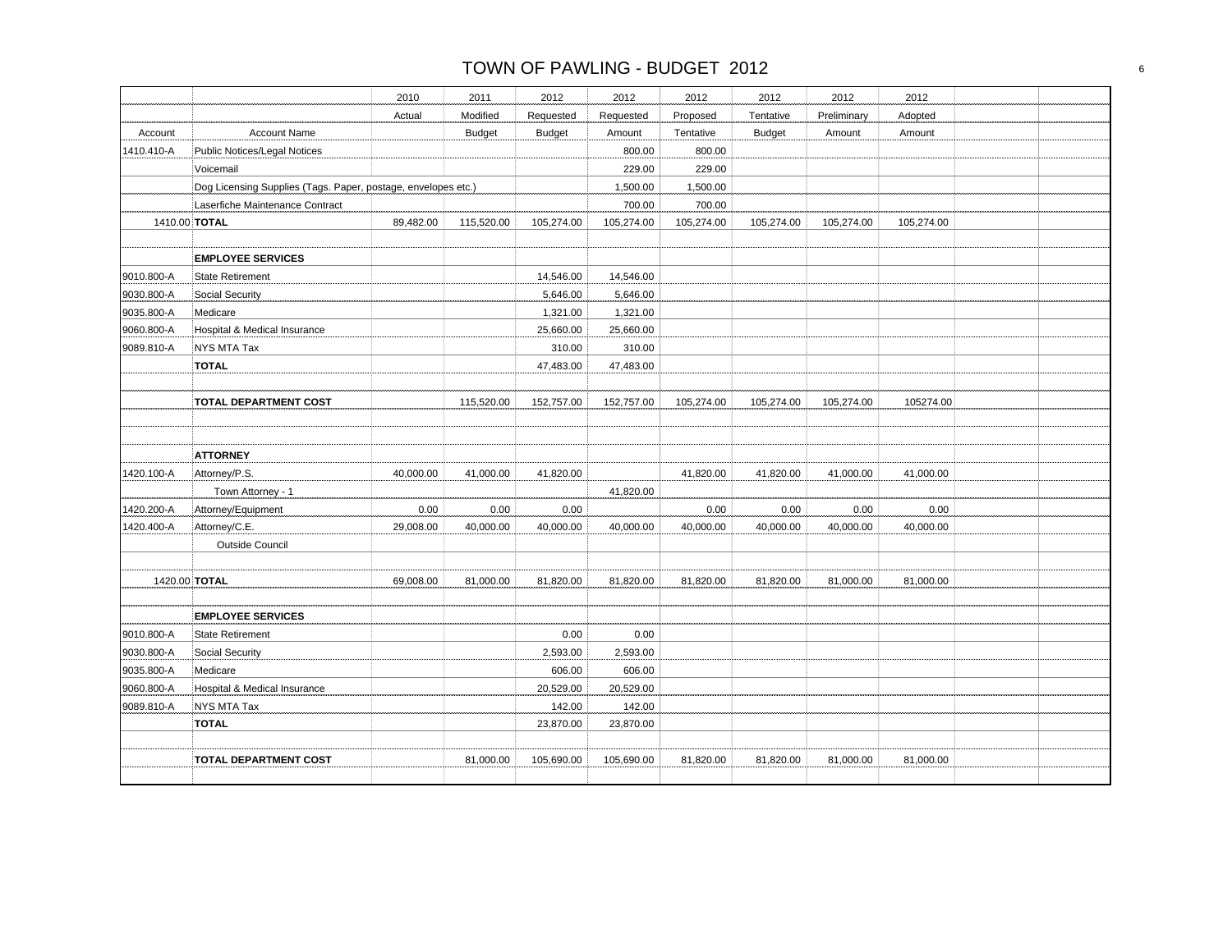|            |                                                               | 2010      | 2011          | 2012          | 2012       | 2012       | 2012          | 2012        | 2012       |  |
|------------|---------------------------------------------------------------|-----------|---------------|---------------|------------|------------|---------------|-------------|------------|--|
|            |                                                               | Actual    | Modified      | Requested     | Requested  | Proposed   | Tentative     | Preliminary | Adopted    |  |
| Account    | <b>Account Name</b>                                           |           | <b>Budget</b> | <b>Budget</b> | Amount     | Tentative  | <b>Budget</b> | Amount      | Amount     |  |
| 1410.410-A | <b>Public Notices/Legal Notices</b>                           |           |               |               | 800.00     | 800.00     |               |             |            |  |
|            | Voicemail                                                     |           |               |               | 229.00     | 229.00     |               |             |            |  |
|            | Dog Licensing Supplies (Tags. Paper, postage, envelopes etc.) |           |               |               | 1,500.00   | 1,500.00   |               |             |            |  |
|            | Laserfiche Maintenance Contract                               |           |               |               | 700.00     | 700.00     |               |             |            |  |
|            | 1410.00 TOTAL                                                 | 89,482.00 | 115,520.00    | 105,274.00    | 105,274.00 | 105,274.00 | 105,274.00    | 105,274.00  | 105,274.00 |  |
|            |                                                               |           |               |               |            |            |               |             |            |  |
|            | <b>EMPLOYEE SERVICES</b>                                      |           |               |               |            |            |               |             |            |  |
| 9010.800-A | <b>State Retirement</b>                                       |           |               | 14,546.00     | 14,546.00  |            |               |             |            |  |
| 9030.800-A | Social Security                                               |           |               | 5,646.00      | 5,646.00   |            |               |             |            |  |
| 9035.800-A | Medicare                                                      |           |               | 1,321.00      | 1,321.00   |            |               |             |            |  |
| 9060.800-A | Hospital & Medical Insurance                                  |           |               | 25,660.00     | 25,660.00  |            |               |             |            |  |
| 9089.810-A | <b>NYS MTA Tax</b>                                            |           |               | 310.00        | 310.00     |            |               |             |            |  |
|            | <b>TOTAL</b>                                                  |           |               | 47,483.00     | 47,483.00  |            |               |             |            |  |
|            |                                                               |           |               |               |            |            |               |             |            |  |
|            | <b>TOTAL DEPARTMENT COST</b>                                  |           | 115,520.00    | 152,757.00    | 152,757.00 | 105,274.00 | 105,274.00    | 105,274.00  | 105274.00  |  |
|            |                                                               |           |               |               |            |            |               |             |            |  |
|            |                                                               |           |               |               |            |            |               |             |            |  |
|            | <b>ATTORNEY</b>                                               |           |               |               |            |            |               |             |            |  |
| 1420.100-A | Attorney/P.S.                                                 | 40,000.00 | 41,000.00     | 41,820.00     |            | 41,820.00  | 41,820.00     | 41,000.00   | 41,000.00  |  |
|            | Town Attorney - 1                                             |           |               |               | 41,820.00  |            |               |             |            |  |
| 1420.200-A | Attorney/Equipment                                            | 0.00      | 0.00          | 0.00          |            | 0.00       | 0.00          | 0.00        | 0.00       |  |
| 1420.400-A | Attorney/C.E.                                                 | 29,008.00 | 40,000.00     | 40,000.00     | 40,000.00  | 40,000.00  | 40,000.00     | 40,000.00   | 40,000.00  |  |
|            | <b>Outside Council</b>                                        |           |               |               |            |            |               |             |            |  |
|            |                                                               |           |               |               |            |            |               |             |            |  |
|            | 1420.00 TOTAL                                                 | 69,008.00 | 81,000.00     | 81,820.00     | 81,820.00  | 81,820.00  | 81,820.00     | 81,000.00   | 81,000.00  |  |
|            |                                                               |           |               |               |            |            |               |             |            |  |
|            | <b>EMPLOYEE SERVICES</b>                                      |           |               |               |            |            |               |             |            |  |
| 9010.800-A | State Retirement                                              |           |               | 0.00          | 0.00       |            |               |             |            |  |
| 9030.800-A | Social Security                                               |           |               | 2,593.00      | 2,593.00   |            |               |             |            |  |
| 9035.800-A | Medicare                                                      |           |               | 606.00        | 606.00     |            |               |             |            |  |
| 9060.800-A | Hospital & Medical Insurance                                  |           |               | 20,529.00     | 20,529.00  |            |               |             |            |  |
| 9089.810-A | NYS MTA Tax                                                   |           |               | 142.00        | 142.00     |            |               |             |            |  |
|            | <b>TOTAL</b>                                                  |           |               | 23,870.00     | 23,870.00  |            |               |             |            |  |
|            |                                                               |           |               |               |            |            |               |             |            |  |
|            | TOTAL DEPARTMENT COST                                         |           | 81,000.00     | 105,690.00    | 105,690.00 | 81,820.00  | 81,820.00     | 81,000.00   | 81,000.00  |  |
|            |                                                               |           |               |               |            |            |               |             |            |  |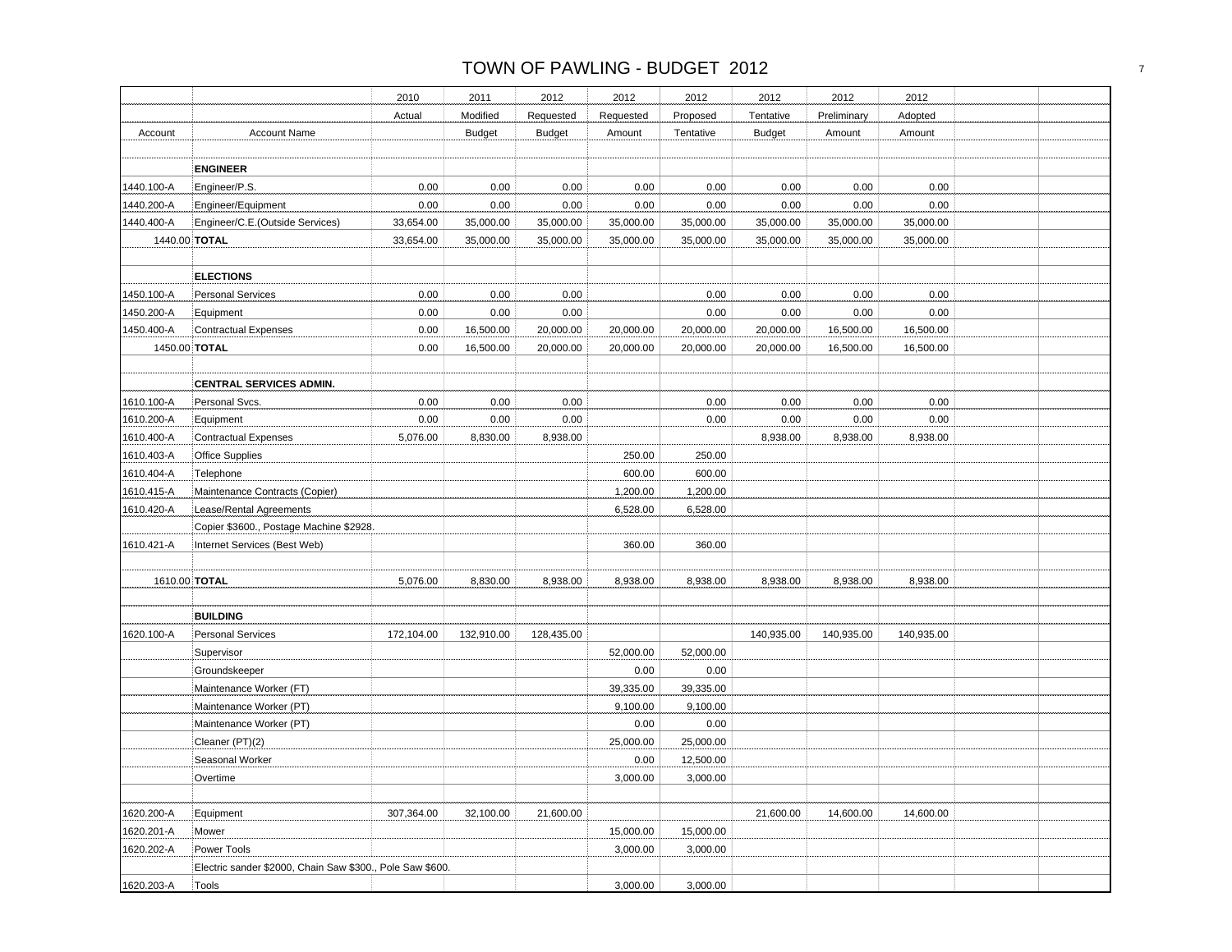|            |                                                           | 2010       | 2011          | 2012          | 2012      | 2012      | 2012          | 2012        | 2012       |  |
|------------|-----------------------------------------------------------|------------|---------------|---------------|-----------|-----------|---------------|-------------|------------|--|
|            |                                                           | Actual     | Modified      | Requested     | Requested | Proposed  | Tentative     | Preliminary | Adopted    |  |
| Account    | <b>Account Name</b>                                       |            | <b>Budget</b> | <b>Budget</b> | Amount    | Tentative | <b>Budget</b> | Amount      | Amount     |  |
|            |                                                           |            |               |               |           |           |               |             |            |  |
|            | <b>ENGINEER</b>                                           |            |               |               |           |           |               |             |            |  |
| 1440.100-A | Engineer/P.S.                                             | 0.00       | 0.00          | 0.00          | 0.00      | 0.00      | 0.00          | 0.00        | 0.00       |  |
| 1440.200-A | Engineer/Equipment                                        | 0.00       | 0.00          | 0.00          | 0.00      | 0.00      | 0.00          | 0.00        | 0.00       |  |
| 1440.400-A | Engineer/C.E.(Outside Services)                           | 33,654.00  | 35,000.00     | 35,000.00     | 35,000.00 | 35,000.00 | 35,000.00     | 35,000.00   | 35,000.00  |  |
|            | 1440.00 TOTAL                                             | 33,654.00  | 35,000.00     | 35,000.00     | 35,000.00 | 35,000.00 | 35,000.00     | 35,000.00   | 35,000.00  |  |
|            |                                                           |            |               |               |           |           |               |             |            |  |
|            | <b>ELECTIONS</b>                                          |            |               |               |           |           |               |             |            |  |
| 1450.100-A | <b>Personal Services</b>                                  | 0.00       | 0.00          | 0.00          |           | 0.00      | 0.00          | 0.00        | 0.00       |  |
| 1450.200-A | Equipment                                                 | 0.00       | 0.00          | 0.00          |           | 0.00      | 0.00          | 0.00        | 0.00       |  |
| 1450.400-A | <b>Contractual Expenses</b>                               | 0.00       | 16,500.00     | 20,000.00     | 20,000.00 | 20,000.00 | 20,000.00     | 16,500.00   | 16,500.00  |  |
|            | 1450.00 TOTAL                                             | 0.00       | 16,500.00     | 20,000.00     | 20,000.00 | 20,000.00 | 20,000.00     | 16,500.00   | 16,500.00  |  |
|            |                                                           |            |               |               |           |           |               |             |            |  |
|            | <b>CENTRAL SERVICES ADMIN.</b>                            |            |               |               |           |           |               |             |            |  |
| 1610.100-A | Personal Svcs.                                            | 0.00       | 0.00          | 0.00          |           | 0.00      | 0.00          | 0.00        | 0.00       |  |
| 1610.200-A | Equipment                                                 | 0.00       | 0.00          | 0.00          |           | 0.00      | 0.00          | 0.00        | 0.00       |  |
| 1610.400-A | <b>Contractual Expenses</b>                               | 5,076.00   | 8,830.00      | 8,938.00      |           |           | 8,938.00      | 8,938.00    | 8,938.00   |  |
| 1610.403-A | <b>Office Supplies</b>                                    |            |               |               | 250.00    | 250.00    |               |             |            |  |
| 1610.404-A | Telephone                                                 |            |               |               | 600.00    | 600.00    |               |             |            |  |
| 1610.415-A | Maintenance Contracts (Copier)                            |            |               |               | 1,200.00  | 1,200.00  |               |             |            |  |
| 1610.420-A | Lease/Rental Agreements                                   |            |               |               | 6,528.00  | 6,528.00  |               |             |            |  |
|            | Copier \$3600., Postage Machine \$2928.                   |            |               |               |           |           |               |             |            |  |
| 1610.421-A | Internet Services (Best Web)                              |            |               |               | 360.00    | 360.00    |               |             |            |  |
|            |                                                           |            |               |               |           |           |               |             |            |  |
|            | 1610.00 TOTAL                                             | 5,076.00   | 8,830.00      | 8,938.00      | 8,938.00  | 8,938.00  | 8,938.00      | 8,938.00    | 8,938.00   |  |
|            |                                                           |            |               |               |           |           |               |             |            |  |
|            | <b>BUILDING</b>                                           |            |               |               |           |           |               |             |            |  |
| 1620.100-A | <b>Personal Services</b>                                  | 172,104.00 | 132,910.00    | 128,435.00    |           |           | 140,935.00    | 140,935.00  | 140,935.00 |  |
|            | Supervisor                                                |            |               |               | 52,000.00 | 52,000.00 |               |             |            |  |
|            | Groundskeeper                                             |            |               |               | 0.00      | 0.00      |               |             |            |  |
|            | Maintenance Worker (FT)                                   |            |               |               | 39,335.00 | 39,335.00 |               |             |            |  |
|            | Maintenance Worker (PT)                                   |            |               |               | 9,100.00  | 9,100.00  |               |             |            |  |
|            | Maintenance Worker (PT)                                   |            |               |               | 0.00      | 0.00      |               |             |            |  |
|            | Cleaner (PT)(2)                                           |            |               |               | 25,000.00 | 25,000.00 |               |             |            |  |
|            | Seasonal Worker                                           |            |               |               | 0.00      | 12,500.00 |               |             |            |  |
|            | Overtime                                                  |            |               |               | 3,000.00  | 3,000.00  |               |             |            |  |
|            |                                                           |            |               |               |           |           |               |             |            |  |
| 1620.200-A | Equipment                                                 | 307,364.00 | 32,100.00     | 21,600.00     |           |           | 21,600.00     | 14,600.00   | 14,600.00  |  |
| 1620.201-A | Mower                                                     |            |               |               | 15,000.00 | 15,000.00 |               |             |            |  |
| 1620.202-A | Power Tools                                               |            |               |               | 3,000.00  | 3,000.00  |               |             |            |  |
|            | Electric sander \$2000, Chain Saw \$300., Pole Saw \$600. |            |               |               |           |           |               |             |            |  |
| 1620.203-A | Tools                                                     |            |               |               | 3,000.00  | 3,000.00  |               |             |            |  |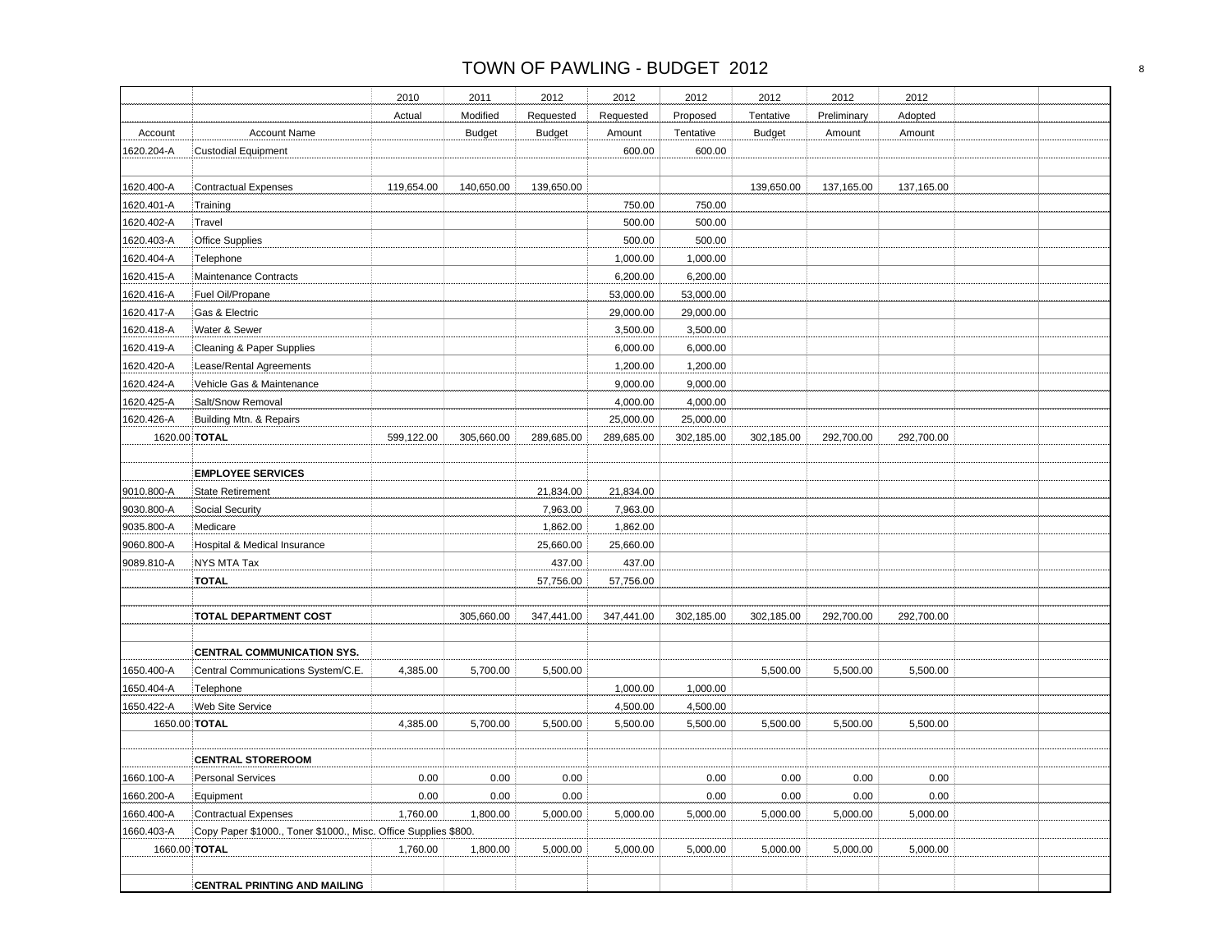# TOWN OF PAWLING - BUDGET 2012 and the state of the state of the state of the state of the state of the state of the state of the state of the state of the state of the state of the state of the state of the state of the st

|               |                                                                  | 2010       | 2011          | 2012          | 2012       | 2012       | 2012          | 2012        | 2012       |  |
|---------------|------------------------------------------------------------------|------------|---------------|---------------|------------|------------|---------------|-------------|------------|--|
|               |                                                                  | Actual     | Modified      | Requested     | Requested  | Proposed   | Tentative     | Preliminary | Adopted    |  |
|               | <b>Account Name</b>                                              |            |               |               |            | Tentative  |               |             |            |  |
| Account       |                                                                  |            | <b>Budget</b> | <b>Budget</b> | Amount     |            | <b>Budget</b> | Amount      | Amount     |  |
| 1620.204-A    | <b>Custodial Equipment</b>                                       |            |               |               | 600.00     | 600.00     |               |             |            |  |
| 1620.400-A    | <b>Contractual Expenses</b>                                      | 119,654.00 | 140,650.00    | 139,650.00    |            |            | 139,650.00    | 137,165.00  | 137,165.00 |  |
| 1620.401-A    | Training                                                         |            |               |               | 750.00     | 750.00     |               |             |            |  |
| 1620.402-A    | Travel                                                           |            |               |               | 500.00     | 500.00     |               |             |            |  |
| 1620.403-A    | Office Supplies                                                  |            |               |               | 500.00     | 500.00     |               |             |            |  |
| 1620.404-A    | Telephone                                                        |            |               |               | 1,000.00   | 1,000.00   |               |             |            |  |
| 1620.415-A    | Maintenance Contracts                                            |            |               |               | 6,200.00   | 6,200.00   |               |             |            |  |
| 1620.416-A    | Fuel Oil/Propane                                                 |            |               |               | 53,000.00  | 53,000.00  |               |             |            |  |
| 1620.417-A    | Gas & Electric                                                   |            |               |               | 29,000.00  | 29,000.00  |               |             |            |  |
| 1620.418-A    | Water & Sewer                                                    |            |               |               | 3,500.00   | 3,500.00   |               |             |            |  |
| 1620.419-A    | Cleaning & Paper Supplies                                        |            |               |               | 6,000.00   | 6,000.00   |               |             |            |  |
| 1620.420-A    | Lease/Rental Agreements                                          |            |               |               | 1,200.00   | 1,200.00   |               |             |            |  |
| 1620.424-A    | Vehicle Gas & Maintenance                                        |            |               |               | 9,000.00   | 9,000.00   |               |             |            |  |
| 1620.425-A    | Salt/Snow Removal                                                |            |               |               | 4,000.00   | 4,000.00   |               |             |            |  |
| 1620.426-A    | Building Mtn. & Repairs                                          |            |               |               | 25,000.00  | 25,000.00  |               |             |            |  |
| 1620.00 TOTAL |                                                                  | 599,122.00 | 305,660.00    | 289,685.00    | 289,685.00 | 302,185.00 | 302,185.00    | 292,700.00  | 292,700.00 |  |
|               |                                                                  |            |               |               |            |            |               |             |            |  |
|               | <b>EMPLOYEE SERVICES</b>                                         |            |               |               |            |            |               |             |            |  |
| 9010.800-A    | <b>State Retirement</b>                                          |            |               | 21,834.00     | 21,834.00  |            |               |             |            |  |
| 9030.800-A    | <b>Social Security</b>                                           |            |               | 7,963.00      | 7,963.00   |            |               |             |            |  |
| 9035.800-A    | Medicare                                                         |            |               | 1,862.00      | 1,862.00   |            |               |             |            |  |
| 9060.800-A    | Hospital & Medical Insurance                                     |            |               | 25,660.00     | 25,660.00  |            |               |             |            |  |
| 9089.810-A    | NYS MTA Tax                                                      |            |               | 437.00        | 437.00     |            |               |             |            |  |
|               | <b>TOTAL</b>                                                     |            |               | 57,756.00     | 57,756.00  |            |               |             |            |  |
|               |                                                                  |            |               |               |            |            |               |             |            |  |
|               | <b>TOTAL DEPARTMENT COST</b>                                     |            | 305,660.00    | 347,441.00    | 347,441.00 | 302,185.00 | 302,185.00    | 292,700.00  | 292,700.00 |  |
|               |                                                                  |            |               |               |            |            |               |             |            |  |
| 1650.400-A    | CENTRAL COMMUNICATION SYS.<br>Central Communications System/C.E. | 4,385.00   | 5,700.00      | 5,500.00      |            |            | 5,500.00      | 5,500.00    | 5,500.00   |  |
| 1650.404-A    | Telephone                                                        |            |               |               | 1,000.00   | 1,000.00   |               |             |            |  |
| 1650.422-A    | <b>Web Site Service</b>                                          |            |               |               | 4,500.00   | 4,500.00   |               |             |            |  |
| 1650.00 TOTAL |                                                                  | 4,385.00   | 5,700.00      | 5,500.00      | 5,500.00   | 5,500.00   | 5,500.00      | 5,500.00    | 5,500.00   |  |
|               |                                                                  |            |               |               |            |            |               |             |            |  |
|               | <b>CENTRAL STOREROOM</b>                                         |            |               |               |            |            |               |             |            |  |
| 1660.100-A    | <b>Personal Services</b>                                         | $0.00\,$   | 0.00          | 0.00          |            | 0.00       | 0.00          | 0.00        | 0.00       |  |
| 1660.200-A    | Equipment                                                        | 0.00       | 0.00          | 0.00          |            | 0.00       | 0.00          | 0.00        | 0.00       |  |
| 1660.400-A    | Contractual Expenses                                             | 1,760.00   | 1,800.00      | 5,000.00      | 5,000.00   | 5,000.00   | 5,000.00      | 5,000.00    | 5,000.00   |  |
| 1660.403-A    | Copy Paper \$1000., Toner \$1000., Misc. Office Supplies \$800.  |            |               |               |            |            |               |             |            |  |
| 1660.00 TOTAL |                                                                  | 1,760.00   | 1,800.00      | 5,000.00      | 5,000.00   | 5,000.00   | 5,000.00      | 5,000.00    | 5,000.00   |  |
|               |                                                                  |            |               |               |            |            |               |             |            |  |
|               | <b>CENTRAL PRINTING AND MAILING</b>                              |            |               |               |            |            |               |             |            |  |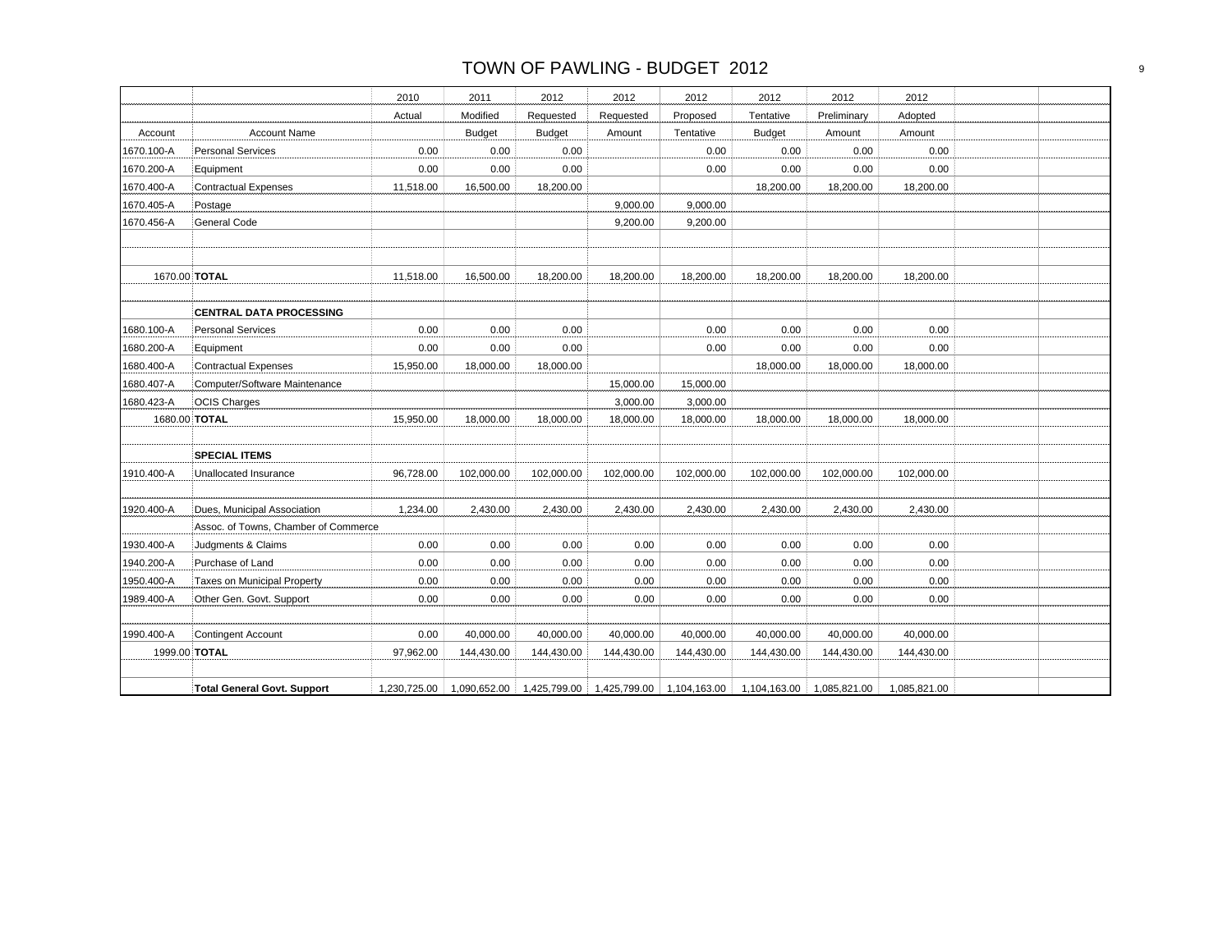# TOWN OF PAWLING - BUDGET 2012 POWER AND TOWN OF PAWLING - BUDGET 2012

|            |                                      | 2010         | 2011          | 2012          | 2012                                   | 2012       | 2012          | 2012         | 2012         |  |
|------------|--------------------------------------|--------------|---------------|---------------|----------------------------------------|------------|---------------|--------------|--------------|--|
|            |                                      | Actual       | Modified      | Requested     | Requested                              | Proposed   | Tentative     | Preliminary  | Adopted      |  |
| Account    | <b>Account Name</b>                  |              | <b>Budget</b> | <b>Budget</b> | Amount                                 | Tentative  | <b>Budget</b> | Amount       | Amount       |  |
| 1670.100-A | <b>Personal Services</b>             | 0.00         | 0.00          | 0.00          |                                        | 0.00       | 0.00          | 0.00         | 0.00         |  |
| 1670.200-A | Equipment                            | 0.00         | 0.00          | 0.00          |                                        | 0.00       | 0.00          | 0.00         | 0.00         |  |
| 1670.400-A | <b>Contractual Expenses</b>          | 11,518.00    | 16,500.00     | 18,200.00     |                                        |            | 18,200.00     | 18,200.00    | 18,200.00    |  |
| 1670.405-A | Postage                              |              |               |               | 9,000.00                               | 9,000.00   |               |              |              |  |
| 1670.456-A | <b>General Code</b>                  |              |               |               | 9,200.00                               | 9,200.00   |               |              |              |  |
|            |                                      |              |               |               |                                        |            |               |              |              |  |
|            |                                      |              |               |               |                                        |            |               |              |              |  |
|            | 1670.00 TOTAL                        | 11,518.00    | 16,500.00     | 18,200.00     | 18,200.00                              | 18,200.00  | 18,200.00     | 18,200.00    | 18,200.00    |  |
|            |                                      |              |               |               |                                        |            |               |              |              |  |
|            | <b>CENTRAL DATA PROCESSING</b>       |              |               |               |                                        |            |               |              |              |  |
| 1680.100-A | <b>Personal Services</b>             | 0.00         | 0.00          | 0.00          |                                        | 0.00       | 0.00          | 0.00         | 0.00         |  |
| 1680.200-A | Equipment                            | 0.00         | 0.00          | 0.00          |                                        | 0.00       | 0.00          | 0.00         | 0.00         |  |
| 1680.400-A | <b>Contractual Expenses</b>          | 15,950.00    | 18,000.00     | 18,000.00     |                                        |            | 18,000.00     | 18,000.00    | 18,000.00    |  |
| 1680.407-A | Computer/Software Maintenance        |              |               |               | 15,000.00                              | 15,000.00  |               |              |              |  |
| 1680.423-A | <b>OCIS Charges</b>                  |              |               |               | 3,000.00                               | 3,000.00   |               |              |              |  |
|            | 1680.00 TOTAL                        | 15,950.00    | 18,000.00     | 18,000.00     | 18,000.00                              | 18,000.00  | 18,000.00     | 18,000.00    | 18,000.00    |  |
|            |                                      |              |               |               |                                        |            |               |              |              |  |
|            | <b>SPECIAL ITEMS</b>                 |              |               |               |                                        |            |               |              |              |  |
| 1910.400-A | <b>Unallocated Insurance</b>         | 96,728.00    | 102,000.00    | 102,000.00    | 102,000.00                             | 102,000.00 | 102,000.00    | 102,000.00   | 102,000.00   |  |
|            |                                      |              |               |               |                                        |            |               |              |              |  |
| 1920.400-A | Dues, Municipal Association          | 1,234.00     | 2,430.00      | 2,430.00      | 2,430.00                               | 2,430.00   | 2,430.00      | 2,430.00     | 2,430.00     |  |
|            | Assoc. of Towns, Chamber of Commerce |              |               |               |                                        |            |               |              |              |  |
| 1930.400-A | Judgments & Claims                   | 0.00         | 0.00          | 0.00          | 0.00                                   | 0.00       | 0.00          | 0.00         | 0.00         |  |
| 1940.200-A | Purchase of Land                     | 0.00         | 0.00          | 0.00          | 0.00                                   | 0.00       | 0.00          | 0.00         | 0.00         |  |
| 1950.400-A | Taxes on Municipal Property          | 0.00         | 0.00          | 0.00          | 0.00                                   | 0.00       | 0.00          | 0.00         | 0.00         |  |
| 1989.400-A | Other Gen. Govt. Support             | 0.00         | 0.00          | 0.00          | 0.00                                   | 0.00       | 0.00          | 0.00         | 0.00         |  |
|            |                                      |              |               |               |                                        |            |               |              |              |  |
| 1990.400-A | <b>Contingent Account</b>            | 0.00         | 40,000.00     | 40,000.00     | 40,000.00                              | 40,000.00  | 40,000.00     | 40,000.00    | 40,000.00    |  |
|            | 1999.00 TOTAL                        | 97,962.00    | 144,430.00    | 144,430.00    | 144,430.00                             | 144,430.00 | 144,430.00    | 144,430.00   | 144,430.00   |  |
|            |                                      |              |               |               |                                        |            |               |              |              |  |
|            | <b>Total General Govt. Support</b>   | 1,230,725.00 | 1,090,652.00  |               | 1,425,799.00 1,425,799.00 1,104,163.00 |            | 1,104,163.00  | 1,085,821.00 | 1,085,821.00 |  |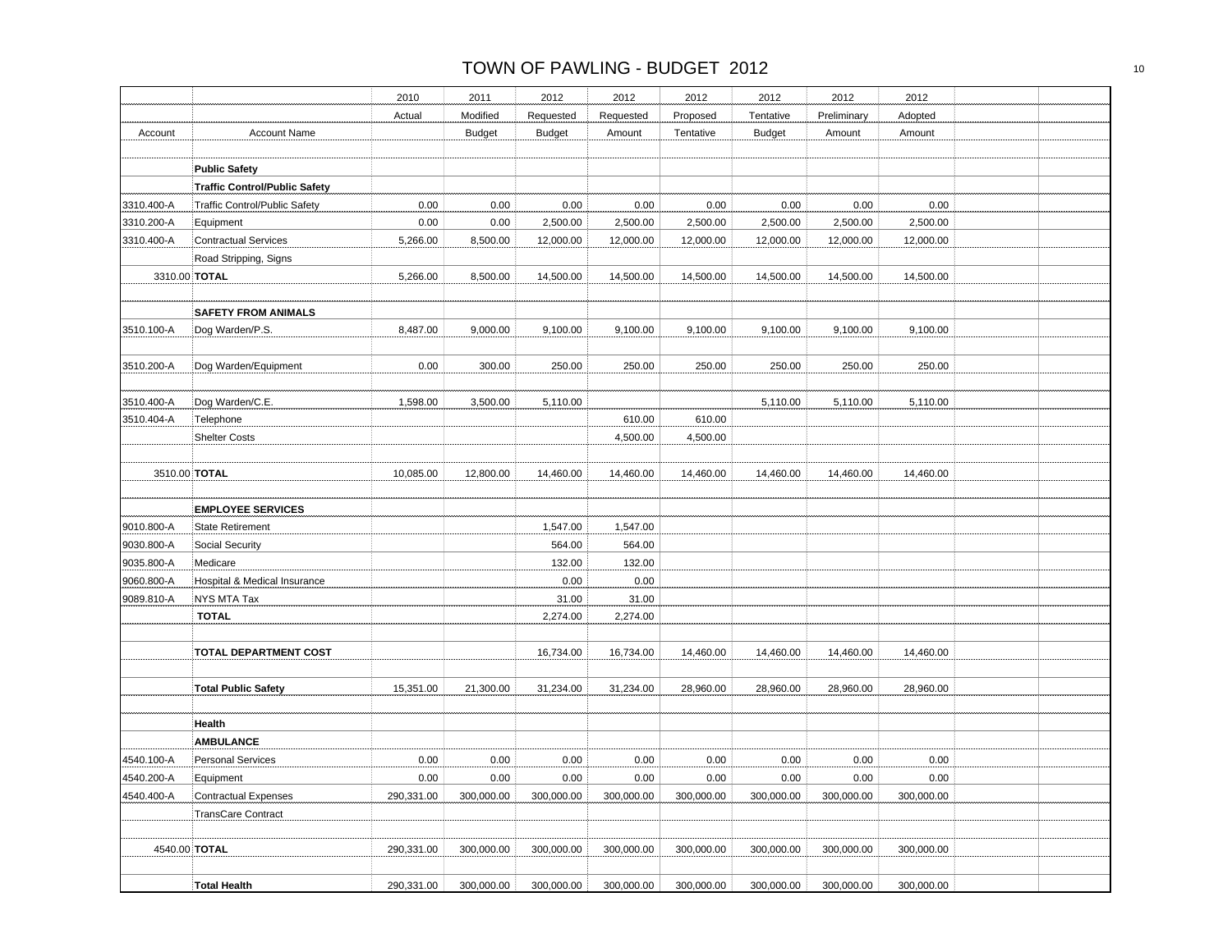|            |                                      | 2010       | 2011          | 2012          | 2012       | 2012       | 2012          | 2012        | 2012       |  |
|------------|--------------------------------------|------------|---------------|---------------|------------|------------|---------------|-------------|------------|--|
|            |                                      | Actual     | Modified      | Requested     | Requested  | Proposed   | Tentative     | Preliminary | Adopted    |  |
| Account    | <b>Account Name</b>                  |            | <b>Budget</b> | <b>Budget</b> | Amount     | Tentative  | <b>Budget</b> | Amount      | Amount     |  |
|            |                                      |            |               |               |            |            |               |             |            |  |
|            | <b>Public Safety</b>                 |            |               |               |            |            |               |             |            |  |
|            | <b>Traffic Control/Public Safety</b> |            |               |               |            |            |               |             |            |  |
| 3310.400-A | Traffic Control/Public Safety        | 0.00       | 0.00          | 0.00          | 0.00       | 0.00       | 0.00          | 0.00        | 0.00       |  |
| 3310.200-A | Equipment                            | 0.00       | 0.00          | 2,500.00      | 2,500.00   | 2,500.00   | 2,500.00      | 2,500.00    | 2,500.00   |  |
| 3310.400-A | <b>Contractual Services</b>          | 5,266.00   | 8,500.00      | 12,000.00     | 12,000.00  | 12,000.00  | 12,000.00     | 12,000.00   | 12,000.00  |  |
|            | Road Stripping, Signs                |            |               |               |            |            |               |             |            |  |
|            | 3310.00 TOTAL                        | 5,266.00   | 8,500.00      | 14,500.00     | 14,500.00  | 14,500.00  | 14,500.00     | 14,500.00   | 14,500.00  |  |
|            |                                      |            |               |               |            |            |               |             |            |  |
|            | <b>SAFETY FROM ANIMALS</b>           |            |               |               |            |            |               |             |            |  |
| 3510.100-A | Dog Warden/P.S.                      | 8,487.00   | 9,000.00      | 9,100.00      | 9,100.00   | 9,100.00   | 9,100.00      | 9,100.00    | 9,100.00   |  |
|            |                                      |            |               |               |            |            |               |             |            |  |
| 3510.200-A | Dog Warden/Equipment                 | 0.00       | 300.00        | 250.00        | 250.00     | 250.00     | 250.00        | 250.00      | 250.00     |  |
|            |                                      |            |               |               |            |            |               |             |            |  |
| 3510.400-A | Dog Warden/C.E.                      | 1,598.00   | 3,500.00      | 5,110.00      |            |            | 5,110.00      | 5,110.00    | 5,110.00   |  |
| 3510.404-A | Telephone                            |            |               |               | 610.00     | 610.00     |               |             |            |  |
|            | <b>Shelter Costs</b>                 |            |               |               | 4,500.00   | 4,500.00   |               |             |            |  |
|            |                                      |            |               |               |            |            |               |             |            |  |
|            | 3510.00 TOTAL                        | 10,085.00  | 12,800.00     | 14,460.00     | 14,460.00  | 14,460.00  | 14,460.00     | 14,460.00   | 14,460.00  |  |
|            |                                      |            |               |               |            |            |               |             |            |  |
|            | <b>EMPLOYEE SERVICES</b>             |            |               |               |            |            |               |             |            |  |
| 9010.800-A | <b>State Retirement</b>              |            |               | 1,547.00      | 1,547.00   |            |               |             |            |  |
| 9030.800-A | Social Security                      |            |               | 564.00        | 564.00     |            |               |             |            |  |
| 9035.800-A | Medicare                             |            |               | 132.00        | 132.00     |            |               |             |            |  |
| 9060.800-A | Hospital & Medical Insurance         |            |               | 0.00          | 0.00       |            |               |             |            |  |
| 9089.810-A | NYS MTA Tax                          |            |               | 31.00         | 31.00      |            |               |             |            |  |
|            | <b>TOTAL</b>                         |            |               | 2,274.00      | 2,274.00   |            |               |             |            |  |
|            |                                      |            |               |               |            |            |               |             |            |  |
|            | <b>TOTAL DEPARTMENT COST</b>         |            |               | 16,734.00     | 16,734.00  | 14,460.00  | 14,460.00     | 14,460.00   | 14,460.00  |  |
|            |                                      |            |               |               |            |            |               |             |            |  |
|            | <b>Total Public Safety</b>           | 15,351.00  | 21,300.00     | 31,234.00     | 31,234.00  | 28,960.00  | 28,960.00     | 28,960.00   | 28,960.00  |  |
|            |                                      |            |               |               |            |            |               |             |            |  |
|            | Health                               |            |               |               |            |            |               |             |            |  |
|            | <b>AMBULANCE</b>                     |            |               |               |            |            |               |             |            |  |
| 4540.100-A | <b>Personal Services</b>             | 0.00       | 0.00          | 0.00          | 0.00       | 0.00       | 0.00          | 0.00        | 0.00       |  |
| 4540.200-A | Equipment                            | 0.00       | 0.00          | 0.00          | 0.00       | 0.00       | 0.00          | 0.00        | 0.00       |  |
| 4540.400-A | <b>Contractual Expenses</b>          | 290,331.00 | 300,000.00    | 300,000.00    | 300,000.00 | 300,000.00 | 300,000.00    | 300,000.00  | 300,000.00 |  |
|            | TransCare Contract                   |            |               |               |            |            |               |             |            |  |
|            |                                      |            |               |               |            |            |               |             |            |  |
|            | 4540.00 TOTAL                        | 290,331.00 | 300,000.00    | 300,000.00    | 300,000.00 | 300,000.00 | 300,000.00    | 300,000.00  | 300,000.00 |  |
|            |                                      |            |               |               |            |            |               |             |            |  |
|            | <b>Total Health</b>                  | 290,331.00 | 300,000.00    | 300,000.00    | 300,000.00 | 300,000.00 | 300,000.00    | 300,000.00  | 300,000.00 |  |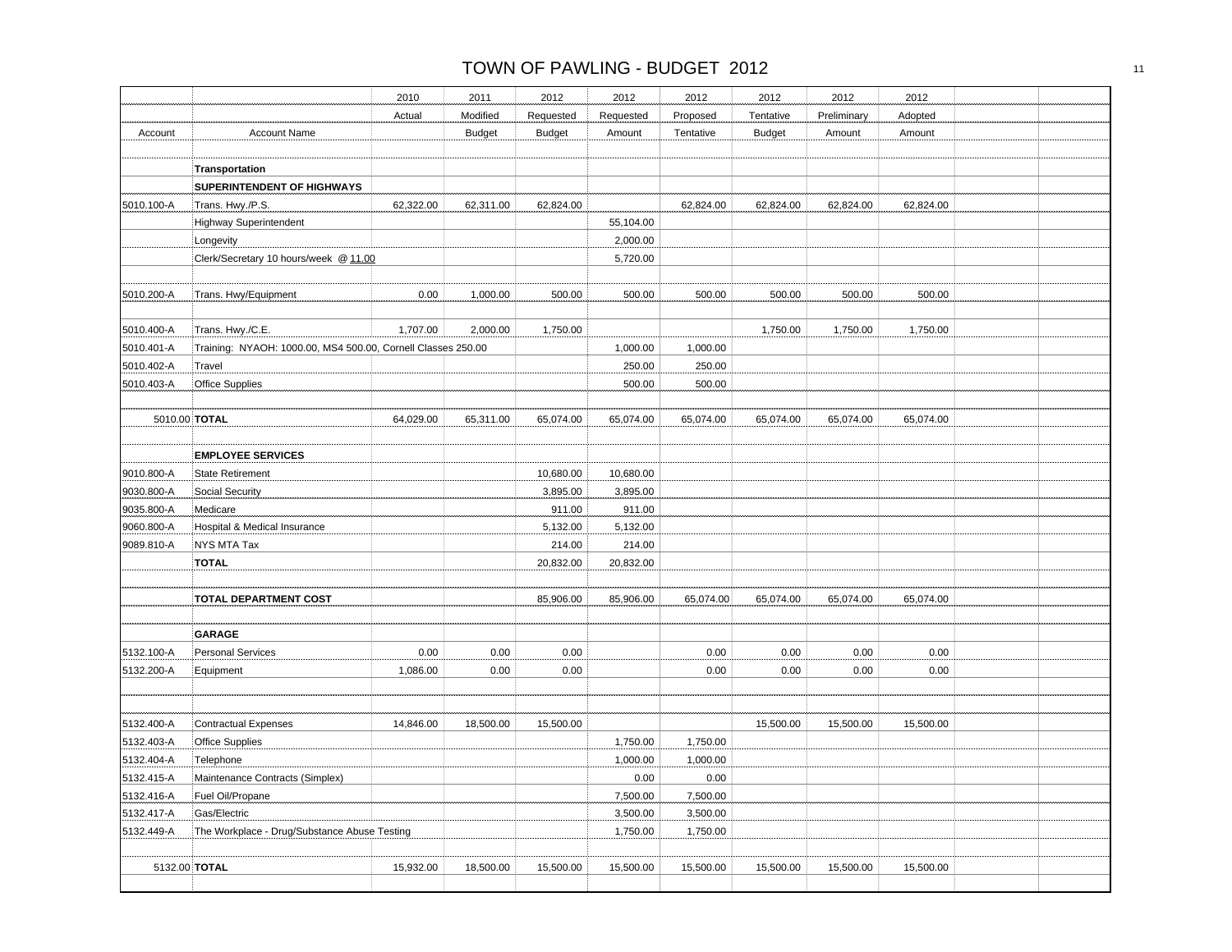|                          |                                                                                  | 2010      | 2011          | 2012          | 2012      | 2012      | 2012          | 2012        | 2012      |  |
|--------------------------|----------------------------------------------------------------------------------|-----------|---------------|---------------|-----------|-----------|---------------|-------------|-----------|--|
|                          |                                                                                  | Actual    | Modified      | Requested     | Requested | Proposed  | Tentative     | Preliminary | Adopted   |  |
| Account                  | <b>Account Name</b>                                                              |           | <b>Budget</b> | <b>Budget</b> | Amount    | Tentative | <b>Budget</b> | Amount      | Amount    |  |
|                          |                                                                                  |           |               |               |           |           |               |             |           |  |
|                          | Transportation                                                                   |           |               |               |           |           |               |             |           |  |
|                          | SUPERINTENDENT OF HIGHWAYS                                                       |           |               |               |           |           |               |             |           |  |
| 5010.100-A               | Trans. Hwy./P.S.                                                                 | 62,322.00 | 62,311.00     | 62,824.00     |           | 62,824.00 | 62,824.00     | 62,824.00   | 62,824.00 |  |
|                          | Highway Superintendent                                                           |           |               |               | 55,104.00 |           |               |             |           |  |
|                          | Longevity                                                                        |           |               |               | 2,000.00  |           |               |             |           |  |
|                          | Clerk/Secretary 10 hours/week @ 11.00                                            |           |               |               | 5,720.00  |           |               |             |           |  |
| 5010.200-A               | Trans. Hwy/Equipment                                                             | 0.00      | 1,000.00      | 500.00        | 500.00    | 500.00    | 500.00        | 500.00      | 500.00    |  |
|                          |                                                                                  | 1,707.00  |               |               |           |           |               |             |           |  |
| 5010.400-A<br>5010.401-A | Trans. Hwy./C.E.<br>Training: NYAOH: 1000.00, MS4 500.00, Cornell Classes 250.00 |           | 2,000.00      | 1,750.00      | 1,000.00  | 1,000.00  | 1,750.00      | 1,750.00    | 1,750.00  |  |
| 5010.402-A               | Travel                                                                           |           |               |               | 250.00    | 250.00    |               |             |           |  |
| 5010.403-A               | <b>Office Supplies</b>                                                           |           |               |               | 500.00    | 500.00    |               |             |           |  |
|                          |                                                                                  |           |               |               |           |           |               |             |           |  |
| 5010.00 TOTAL            |                                                                                  | 64,029.00 | 65,311.00     | 65,074.00     | 65,074.00 | 65,074.00 | 65,074.00     | 65,074.00   | 65,074.00 |  |
|                          | <b>EMPLOYEE SERVICES</b>                                                         |           |               |               |           |           |               |             |           |  |
| 9010.800-A               | <b>State Retirement</b>                                                          |           |               | 10,680.00     | 10,680.00 |           |               |             |           |  |
| 9030.800-A               | Social Security                                                                  |           |               | 3,895.00      | 3,895.00  |           |               |             |           |  |
| 9035.800-A               | Medicare                                                                         |           |               | 911.00        | 911.00    |           |               |             |           |  |
| 9060.800-A               | Hospital & Medical Insurance                                                     |           |               | 5,132.00      | 5,132.00  |           |               |             |           |  |
| 9089.810-A               | NYS MTA Tax                                                                      |           |               | 214.00        | 214.00    |           |               |             |           |  |
|                          | <b>TOTAL</b>                                                                     |           |               | 20,832.00     | 20,832.00 |           |               |             |           |  |
|                          | <b>TOTAL DEPARTMENT COST</b>                                                     |           |               | 85,906.00     | 85,906.00 | 65,074.00 | 65,074.00     | 65,074.00   | 65,074.00 |  |
|                          | <b>GARAGE</b>                                                                    |           |               |               |           |           |               |             |           |  |
| 5132.100-A               | <b>Personal Services</b>                                                         | 0.00      | 0.00          | 0.00          |           | 0.00      | 0.00          | 0.00        | 0.00      |  |
| 5132.200-A               | Equipment                                                                        | 1,086.00  | 0.00          | 0.00          |           | 0.00      | 0.00          | 0.00        | 0.00      |  |
|                          |                                                                                  |           |               |               |           |           |               |             |           |  |
| 5132.400-A               | <b>Contractual Expenses</b>                                                      | 14,846.00 | 18,500.00     | 15,500.00     |           |           | 15,500.00     | 15,500.00   | 15,500.00 |  |
| 5132.403-A               | <b>Office Supplies</b>                                                           |           |               |               | 1,750.00  | 1,750.00  |               |             |           |  |
| 5132.404-A               | Telephone                                                                        |           |               |               | 1,000.00  | 1,000.00  |               |             |           |  |
| 5132.415-A               | Maintenance Contracts (Simplex)                                                  |           |               |               | $0.00\,$  | 0.00      |               |             |           |  |
| 5132.416-A               | Fuel Oil/Propane                                                                 |           |               |               | 7,500.00  | 7,500.00  |               |             |           |  |
| 5132.417-A               | Gas/Electric                                                                     |           |               |               | 3,500.00  | 3,500.00  |               |             |           |  |
| 5132.449-A               | The Workplace - Drug/Substance Abuse Testing                                     |           |               |               | 1,750.00  | 1,750.00  |               |             |           |  |
|                          | 5132.00 TOTAL                                                                    | 15,932.00 | 18,500.00     | 15,500.00     | 15,500.00 | 15,500.00 | 15,500.00     | 15,500.00   | 15,500.00 |  |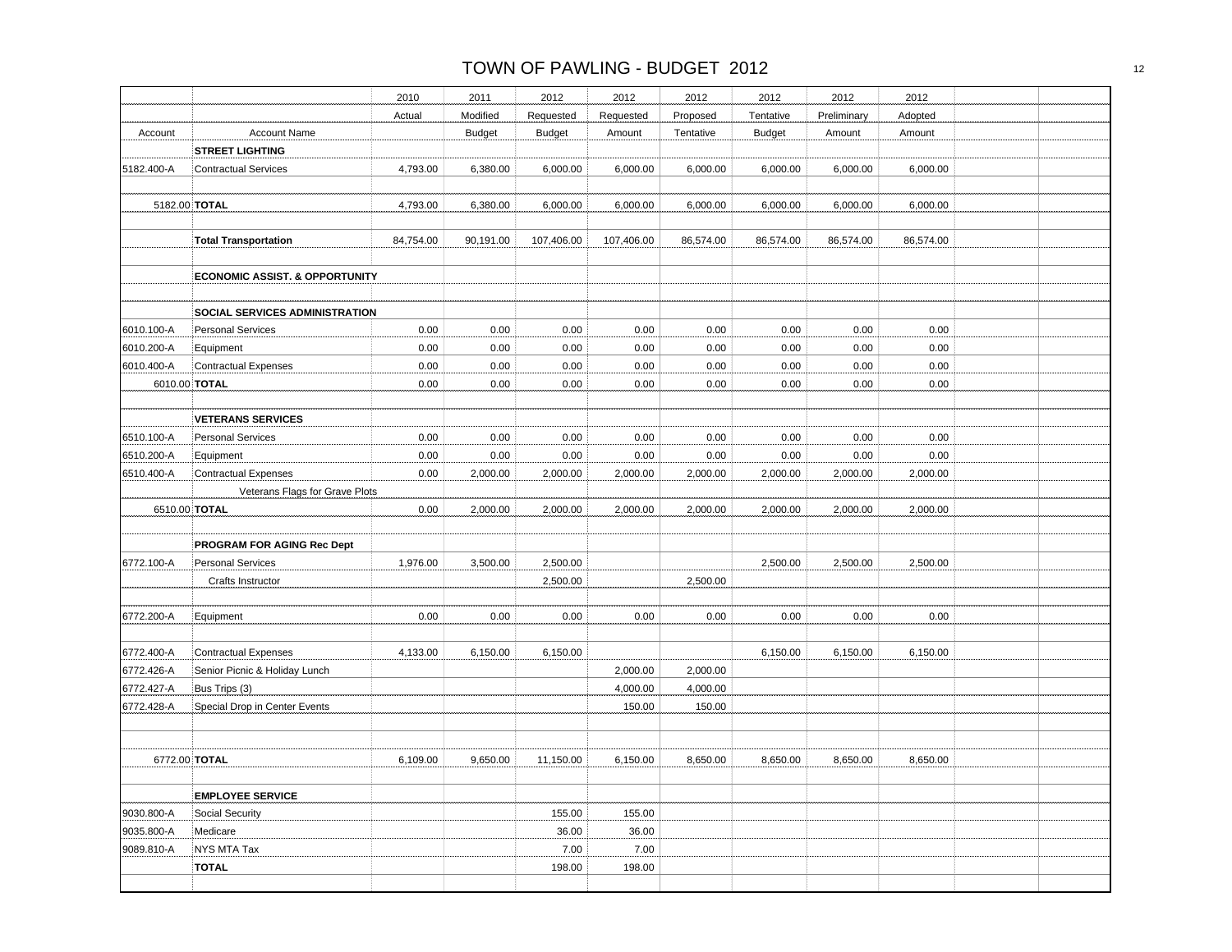|  | 2012      | 2012        | 2012          | 2012      | 2012                    | 2012            | 2011          |           |                                                    |                          |
|--|-----------|-------------|---------------|-----------|-------------------------|-----------------|---------------|-----------|----------------------------------------------------|--------------------------|
|  |           |             |               |           |                         |                 |               | 2010      |                                                    |                          |
|  | Adopted   | Preliminary | Tentative     | Proposed  | Requested               | Requested       | Modified      | Actual    |                                                    |                          |
|  | Amount    | Amount      | <b>Budget</b> | Tentative | Amount                  | <b>Budget</b>   | <b>Budget</b> |           | <b>Account Name</b>                                | Account                  |
|  |           |             |               |           |                         |                 |               |           | <b>STREET LIGHTING</b>                             |                          |
|  | 6,000.00  | 6,000.00    | 6,000.00      | 6,000.00  | 6,000.00                | 6,000.00        | 6,380.00      | 4,793.00  | <b>Contractual Services</b>                        | 5182.400-A               |
|  |           |             |               |           |                         |                 |               |           |                                                    |                          |
|  | 6,000.00  | 6,000.00    | 6,000.00      | 6,000.00  | 6,000.00                | 6,000.00        | 6,380.00      | 4,793.00  | 5182.00 TOTAL                                      |                          |
|  |           |             |               |           |                         |                 |               |           |                                                    |                          |
|  | 86,574.00 | 86,574.00   | 86,574.00     | 86,574.00 | 107,406.00              | 107,406.00      | 90,191.00     | 84,754.00 | <b>Total Transportation</b>                        |                          |
|  |           |             |               |           |                         |                 |               |           |                                                    |                          |
|  |           |             |               |           |                         |                 |               |           | <b>ECONOMIC ASSIST. &amp; OPPORTUNITY</b>          |                          |
|  |           |             |               |           |                         |                 |               |           |                                                    |                          |
|  |           |             |               |           |                         |                 |               |           | <b>SOCIAL SERVICES ADMINISTRATION</b>              |                          |
|  | 0.00      | 0.00        | 0.00          | 0.00      | 0.00                    | 0.00            | 0.00          | 0.00      | <b>Personal Services</b>                           | 6010.100-A               |
|  | 0.00      | 0.00        | 0.00          | 0.00      | 0.00                    | 0.00            | 0.00          | 0.00      | Equipment                                          | 6010.200-A               |
|  | 0.00      | 0.00        | 0.00          | 0.00      | 0.00                    | 0.00            | 0.00          | 0.00      | <b>Contractual Expenses</b>                        | 6010.400-A               |
|  | 0.00      | 0.00        | 0.00          | 0.00      | 0.00                    | 0.00            | 0.00          | 0.00      | 6010.00 TOTAL                                      |                          |
|  |           |             |               |           |                         |                 |               |           |                                                    |                          |
|  |           |             |               |           |                         |                 |               |           | <b>VETERANS SERVICES</b>                           |                          |
|  | 0.00      | 0.00        | 0.00          | 0.00      | 0.00                    | 0.00            | 0.00          | 0.00      | <b>Personal Services</b>                           | 6510.100-A               |
|  | 0.00      | 0.00        | 0.00          | 0.00      | 0.00                    | 0.00            | 0.00          | 0.00      | Equipment                                          | 6510.200-A               |
|  | 2,000.00  | 2,000.00    | 2,000.00      | 2,000.00  | 2,000.00                | 2,000.00        | 2,000.00      | 0.00      | <b>Contractual Expenses</b>                        | 6510.400-A               |
|  |           |             |               |           |                         |                 |               |           | Veterans Flags for Grave Plots                     |                          |
|  | 2,000.00  | 2,000.00    | 2,000.00      | 2,000.00  | 2,000.00                | 2,000.00        | 2,000.00      | 0.00      | 6510.00 TOTAL                                      |                          |
|  |           |             |               |           |                         |                 |               |           |                                                    |                          |
|  |           |             |               |           |                         |                 |               |           | <b>PROGRAM FOR AGING Rec Dept</b>                  |                          |
|  | 2,500.00  | 2,500.00    | 2,500.00      |           |                         | 2,500.00        | 3,500.00      | 1,976.00  | <b>Personal Services</b>                           | 6772.100-A               |
|  |           |             |               | 2,500.00  |                         | 2,500.00        |               |           | Crafts Instructor                                  |                          |
|  |           |             |               |           |                         |                 |               |           |                                                    |                          |
|  | 0.00      | 0.00        | 0.00          | 0.00      | 0.00                    | 0.00            | 0.00          | 0.00      | Equipment                                          | 6772.200-A               |
|  |           |             |               |           |                         |                 |               |           |                                                    |                          |
|  | 6,150.00  | 6,150.00    | 6,150.00      |           |                         | 6,150.00        | 6,150.00      | 4,133.00  | <b>Contractual Expenses</b>                        | 6772.400-A               |
|  |           |             |               | 2,000.00  | 2,000.00                |                 |               |           | Senior Picnic & Holiday Lunch                      | 6772.426-A               |
|  |           |             |               | 4,000.00  | 4,000.00                |                 |               |           | Bus Trips (3)                                      | 6772.427-A               |
|  |           |             |               | 150.00    | 150.00                  |                 |               |           | Special Drop in Center Events                      | 6772.428-A               |
|  |           |             |               |           |                         |                 |               |           |                                                    |                          |
|  |           |             |               |           |                         |                 |               |           |                                                    |                          |
|  | 8,650.00  | 8,650.00    | 8,650.00      | 8.650.00  | 6,150.00                | 11,150.00       | 9,650.00      | 6,109.00  | 6772.00 TOTAL                                      |                          |
|  |           |             |               |           |                         |                 |               |           |                                                    |                          |
|  |           |             |               |           |                         |                 |               |           |                                                    |                          |
|  |           |             |               |           |                         |                 |               |           | Social Security                                    |                          |
|  |           |             |               |           |                         |                 |               |           |                                                    |                          |
|  |           |             |               |           |                         | 7.00            |               |           |                                                    | 9089.810-A               |
|  |           |             |               |           | 198.00                  | 198.00          |               |           | TOTAL                                              |                          |
|  |           |             |               |           | 155.00<br>36.00<br>7.00 | 155.00<br>36.00 |               |           | <b>EMPLOYEE SERVICE</b><br>Medicare<br>NYS MTA Tax | 9030.800-A<br>9035.800-A |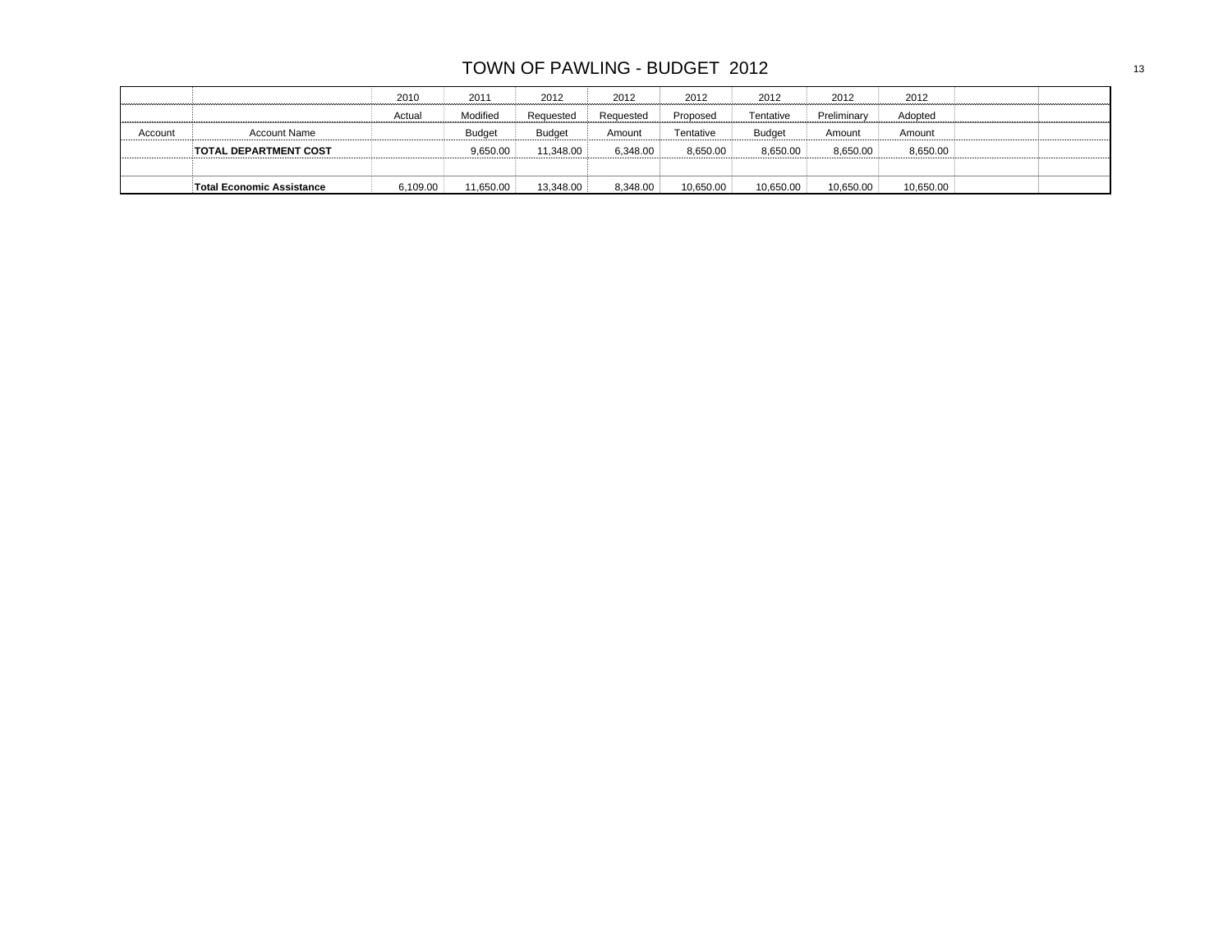|         |                                  | 2010     | 2011      | 2012          | 2012      | 2012      | 2012          | 2012        | 2012      |  |
|---------|----------------------------------|----------|-----------|---------------|-----------|-----------|---------------|-------------|-----------|--|
|         |                                  | Actual   | Modified  | Requested     | Requested | Proposed  | Tentative     | Preliminary | Adopted   |  |
| Account | <b>Account Name</b>              |          | Budget    | <b>Budget</b> | Amount    | Tentative | <b>Budget</b> | Amount      | Amount    |  |
|         | <b>TOTAL DEPARTMENT COST</b>     |          | 9.650.00  | 11.348.00     | 6.348.00  | 8.650.00  | 8.650.00      | 8.650.00    | 8,650.00  |  |
|         |                                  |          |           |               |           |           |               |             |           |  |
|         | <b>Total Economic Assistance</b> | 6,109.00 | 11,650.00 | 13,348.00     | 8,348.00  | 10,650.00 | 10,650.00     | 10,650.00   | 10,650.00 |  |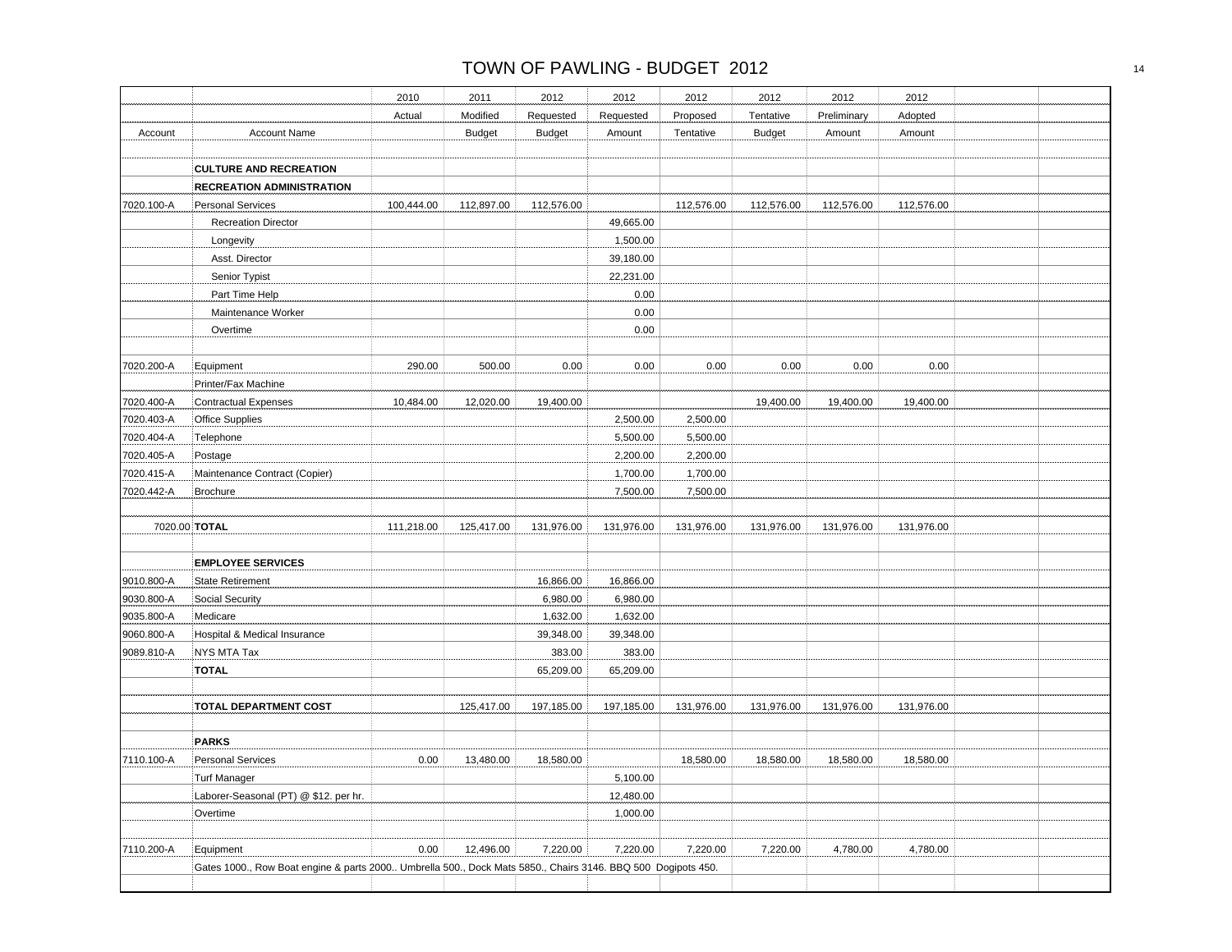|               |                                                                                                              | 2010       | 2011          | 2012          | 2012       | 2012       | 2012          | 2012        | 2012       |  |
|---------------|--------------------------------------------------------------------------------------------------------------|------------|---------------|---------------|------------|------------|---------------|-------------|------------|--|
|               |                                                                                                              | Actual     | Modified      | Requested     | Requested  | Proposed   | Tentative     | Preliminary | Adopted    |  |
| Account       | Account Name                                                                                                 |            | <b>Budget</b> | <b>Budget</b> | Amount     | Tentative  | <b>Budget</b> | Amount      | Amount     |  |
|               |                                                                                                              |            |               |               |            |            |               |             |            |  |
|               | <b>CULTURE AND RECREATION</b>                                                                                |            |               |               |            |            |               |             |            |  |
|               | <b>RECREATION ADMINISTRATION</b>                                                                             |            |               |               |            |            |               |             |            |  |
| 7020.100-A    | <b>Personal Services</b>                                                                                     | 100,444.00 | 112,897.00    | 112,576.00    |            | 112,576.00 | 112,576.00    | 112,576.00  | 112,576.00 |  |
|               | <b>Recreation Director</b>                                                                                   |            |               |               | 49,665.00  |            |               |             |            |  |
|               | Longevity                                                                                                    |            |               |               | 1,500.00   |            |               |             |            |  |
|               | Asst. Director                                                                                               |            |               |               | 39,180.00  |            |               |             |            |  |
|               | Senior Typist                                                                                                |            |               |               | 22,231.00  |            |               |             |            |  |
|               | Part Time Help                                                                                               |            |               |               | 0.00       |            |               |             |            |  |
|               | Maintenance Worker                                                                                           |            |               |               | 0.00       |            |               |             |            |  |
|               | Overtime                                                                                                     |            |               |               | 0.00       |            |               |             |            |  |
|               |                                                                                                              |            |               |               |            |            |               |             |            |  |
| 7020.200-A    | Equipment                                                                                                    | 290.00     | 500.00        | 0.00          | 0.00       | 0.00       | 0.00          | 0.00        | 0.00       |  |
|               | Printer/Fax Machine                                                                                          |            |               |               |            |            |               |             |            |  |
| 7020.400-A    | <b>Contractual Expenses</b>                                                                                  | 10,484.00  | 12,020.00     | 19,400.00     |            |            | 19,400.00     | 19,400.00   | 19,400.00  |  |
| 7020.403-A    | <b>Office Supplies</b>                                                                                       |            |               |               | 2,500.00   | 2,500.00   |               |             |            |  |
| 7020.404-A    | Telephone                                                                                                    |            |               |               | 5,500.00   | 5,500.00   |               |             |            |  |
| 7020.405-A    | Postage                                                                                                      |            |               |               | 2,200.00   | 2,200.00   |               |             |            |  |
| 7020.415-A    | Maintenance Contract (Copier)                                                                                |            |               |               | 1,700.00   | 1,700.00   |               |             |            |  |
| 7020.442-A    | Brochure                                                                                                     |            |               |               | 7,500.00   | 7,500.00   |               |             |            |  |
|               |                                                                                                              |            |               |               |            |            |               |             |            |  |
| 7020.00 TOTAL |                                                                                                              | 111,218.00 | 125,417.00    | 131,976.00    | 131,976.00 | 131,976.00 | 131,976.00    | 131,976.00  | 131,976.00 |  |
|               |                                                                                                              |            |               |               |            |            |               |             |            |  |
|               | <b>EMPLOYEE SERVICES</b>                                                                                     |            |               |               |            |            |               |             |            |  |
| 9010.800-A    | <b>State Retirement</b>                                                                                      |            |               | 16,866.00     | 16,866.00  |            |               |             |            |  |
| 9030.800-A    | <b>Social Security</b>                                                                                       |            |               | 6,980.00      | 6,980.00   |            |               |             |            |  |
| 9035.800-A    | Medicare                                                                                                     |            |               | 1,632.00      | 1,632.00   |            |               |             |            |  |
| 9060.800-A    | Hospital & Medical Insurance                                                                                 |            |               | 39,348.00     | 39,348.00  |            |               |             |            |  |
| 9089.810-A    | NYS MTA Tax                                                                                                  |            |               | 383.00        | 383.00     |            |               |             |            |  |
|               | <b>TOTAL</b>                                                                                                 |            |               | 65,209.00     | 65,209.00  |            |               |             |            |  |
|               |                                                                                                              |            |               |               |            |            |               |             |            |  |
|               | <b>TOTAL DEPARTMENT COST</b>                                                                                 |            | 125,417.00    | 197,185.00    | 197,185.00 | 131,976.00 | 131,976.00    | 131,976.00  | 131,976.00 |  |
|               |                                                                                                              |            |               |               |            |            |               |             |            |  |
|               | <b>PARKS</b>                                                                                                 |            |               |               |            |            |               |             |            |  |
| 7110.100-A    | <b>Personal Services</b>                                                                                     | 0.00       | 13,480.00     | 18,580.00     |            | 18,580.00  | 18,580.00     | 18,580.00   | 18,580.00  |  |
|               | <b>Turf Manager</b>                                                                                          |            |               |               | 5,100.00   |            |               |             |            |  |
|               | Laborer-Seasonal (PT) @ \$12. per hr.                                                                        |            |               |               | 12,480.00  |            |               |             |            |  |
|               | Overtime                                                                                                     |            |               |               | 1,000.00   |            |               |             |            |  |
|               |                                                                                                              |            |               |               |            |            |               |             |            |  |
| 7110.200-A    | Equipment                                                                                                    | 0.00       | 12,496.00     | 7,220.00      | 7,220.00   | 7,220.00   | 7,220.00      | 4,780.00    | 4,780.00   |  |
|               |                                                                                                              |            |               |               |            |            |               |             |            |  |
|               | Gates 1000., Row Boat engine & parts 2000 Umbrella 500., Dock Mats 5850., Chairs 3146. BBQ 500 Dogipots 450. |            |               |               |            |            |               |             |            |  |
|               |                                                                                                              |            |               |               |            |            |               |             |            |  |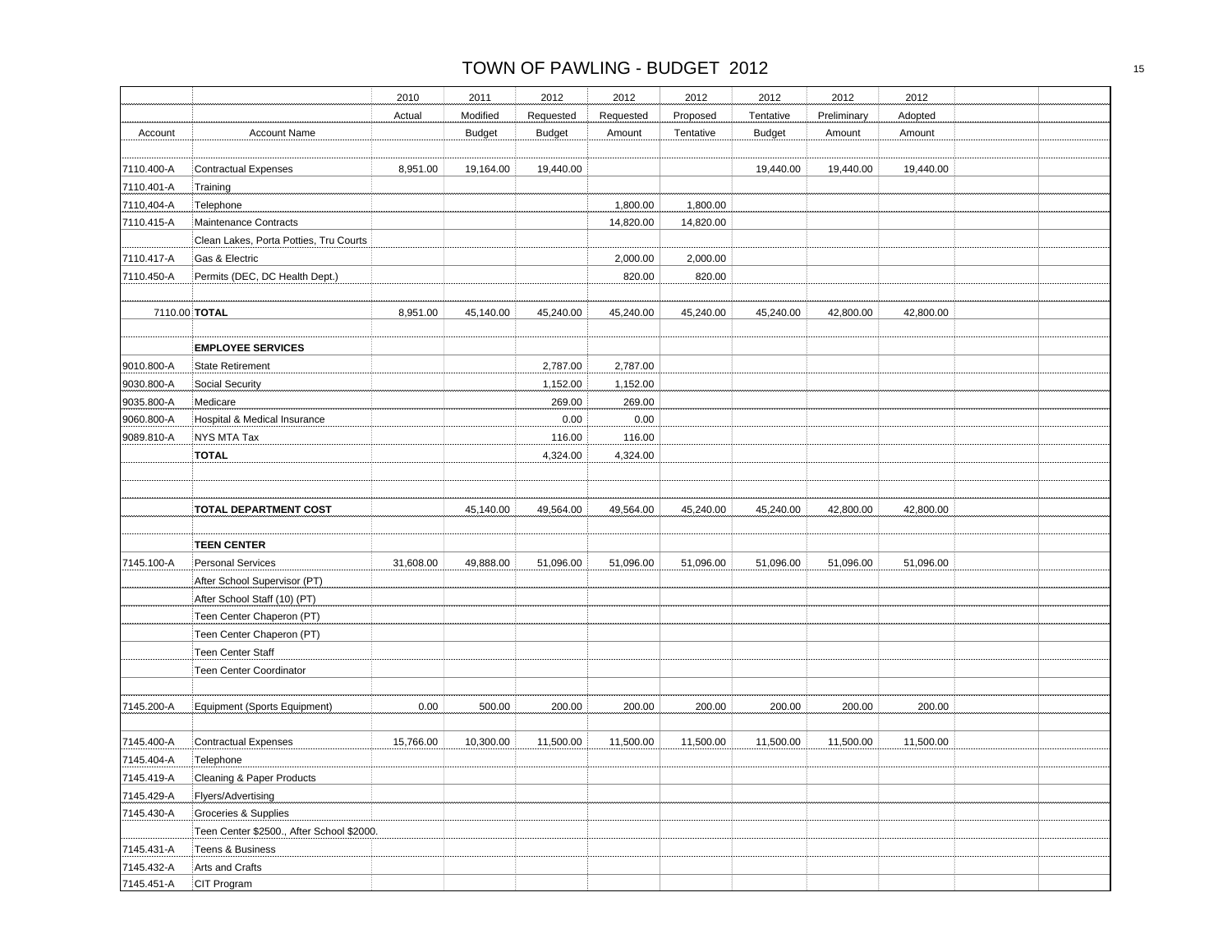|            |                                           | 2010      | 2011          | 2012          | 2012      | 2012      | 2012          | 2012        | 2012      |  |
|------------|-------------------------------------------|-----------|---------------|---------------|-----------|-----------|---------------|-------------|-----------|--|
|            |                                           | Actual    | Modified      | Requested     | Requested | Proposed  | Tentative     | Preliminary | Adopted   |  |
| Account    | <b>Account Name</b>                       |           | <b>Budget</b> | <b>Budget</b> | Amount    | Tentative | <b>Budget</b> | Amount      | Amount    |  |
|            |                                           |           |               |               |           |           |               |             |           |  |
| 7110.400-A | <b>Contractual Expenses</b>               | 8,951.00  | 19,164.00     | 19,440.00     |           |           | 19,440.00     | 19,440.00   | 19,440.00 |  |
| 7110.401-A | Training                                  |           |               |               |           |           |               |             |           |  |
| 7110,404-A | Telephone                                 |           |               |               | 1,800.00  | 1,800.00  |               |             |           |  |
| 7110.415-A | Maintenance Contracts                     |           |               |               | 14,820.00 | 14,820.00 |               |             |           |  |
|            | Clean Lakes, Porta Potties, Tru Courts    |           |               |               |           |           |               |             |           |  |
| 7110.417-A | Gas & Electric                            |           |               |               | 2,000.00  | 2,000.00  |               |             |           |  |
| 7110.450-A | Permits (DEC, DC Health Dept.)            |           |               |               | 820.00    | 820.00    |               |             |           |  |
|            | 7110.00 TOTAL                             | 8,951.00  | 45,140.00     | 45,240.00     | 45,240.00 | 45,240.00 | 45,240.00     | 42,800.00   | 42,800.00 |  |
|            |                                           |           |               |               |           |           |               |             |           |  |
|            | <b>EMPLOYEE SERVICES</b>                  |           |               |               |           |           |               |             |           |  |
| 9010.800-A | <b>State Retirement</b>                   |           |               | 2,787.00      | 2,787.00  |           |               |             |           |  |
| 9030.800-A | Social Security                           |           |               | 1,152.00      | 1,152.00  |           |               |             |           |  |
| 9035.800-A | Medicare                                  |           |               | 269.00        | 269.00    |           |               |             |           |  |
| 9060.800-A | Hospital & Medical Insurance              |           |               | 0.00          | 0.00      |           |               |             |           |  |
| 9089.810-A | <b>NYS MTA Tax</b>                        |           |               | 116.00        | 116.00    |           |               |             |           |  |
|            | <b>TOTAL</b>                              |           |               | 4,324.00      | 4,324.00  |           |               |             |           |  |
|            | TOTAL DEPARTMENT COST                     |           | 45,140.00     | 49,564.00     | 49,564.00 | 45,240.00 | 45,240.00     | 42,800.00   | 42,800.00 |  |
|            | <b>TEEN CENTER</b>                        |           |               |               |           |           |               |             |           |  |
| 7145.100-A | <b>Personal Services</b>                  | 31,608.00 | 49,888.00     | 51,096.00     | 51,096.00 | 51,096.00 | 51,096.00     | 51,096.00   | 51,096.00 |  |
|            | After School Supervisor (PT)              |           |               |               |           |           |               |             |           |  |
|            | After School Staff (10) (PT)              |           |               |               |           |           |               |             |           |  |
|            | Teen Center Chaperon (PT)                 |           |               |               |           |           |               |             |           |  |
|            | Teen Center Chaperon (PT)                 |           |               |               |           |           |               |             |           |  |
|            | <b>Teen Center Staff</b>                  |           |               |               |           |           |               |             |           |  |
|            | Teen Center Coordinator                   |           |               |               |           |           |               |             |           |  |
|            |                                           |           |               |               |           |           |               |             |           |  |
| 7145.200-A | Equipment (Sports Equipment)              | 0.00      | 500.00        | 200.00        | 200.00    | 200.00    | 200.00        | 200.00      | 200.00    |  |
|            |                                           |           |               |               |           |           |               |             |           |  |
| 7145.400-A | <b>Contractual Expenses</b>               | 15,766.00 | 10,300.00     | 11,500.00     | 11,500.00 | 11,500.00 | 11,500.00     | 11,500.00   | 11,500.00 |  |
| 7145.404-A | Telephone                                 |           |               |               |           |           |               |             |           |  |
| 7145.419-A | Cleaning & Paper Products                 |           |               |               |           |           |               |             |           |  |
| 7145.429-A | Flyers/Advertising                        |           |               |               |           |           |               |             |           |  |
| 7145.430-A | Groceries & Supplies                      |           |               |               |           |           |               |             |           |  |
|            | Teen Center \$2500., After School \$2000. |           |               |               |           |           |               |             |           |  |
| 7145.431-A | Teens & Business                          |           |               |               |           |           |               |             |           |  |
| 7145.432-A | Arts and Crafts                           |           |               |               |           |           |               |             |           |  |
| 7145.451-A | CIT Program                               |           |               |               |           |           |               |             |           |  |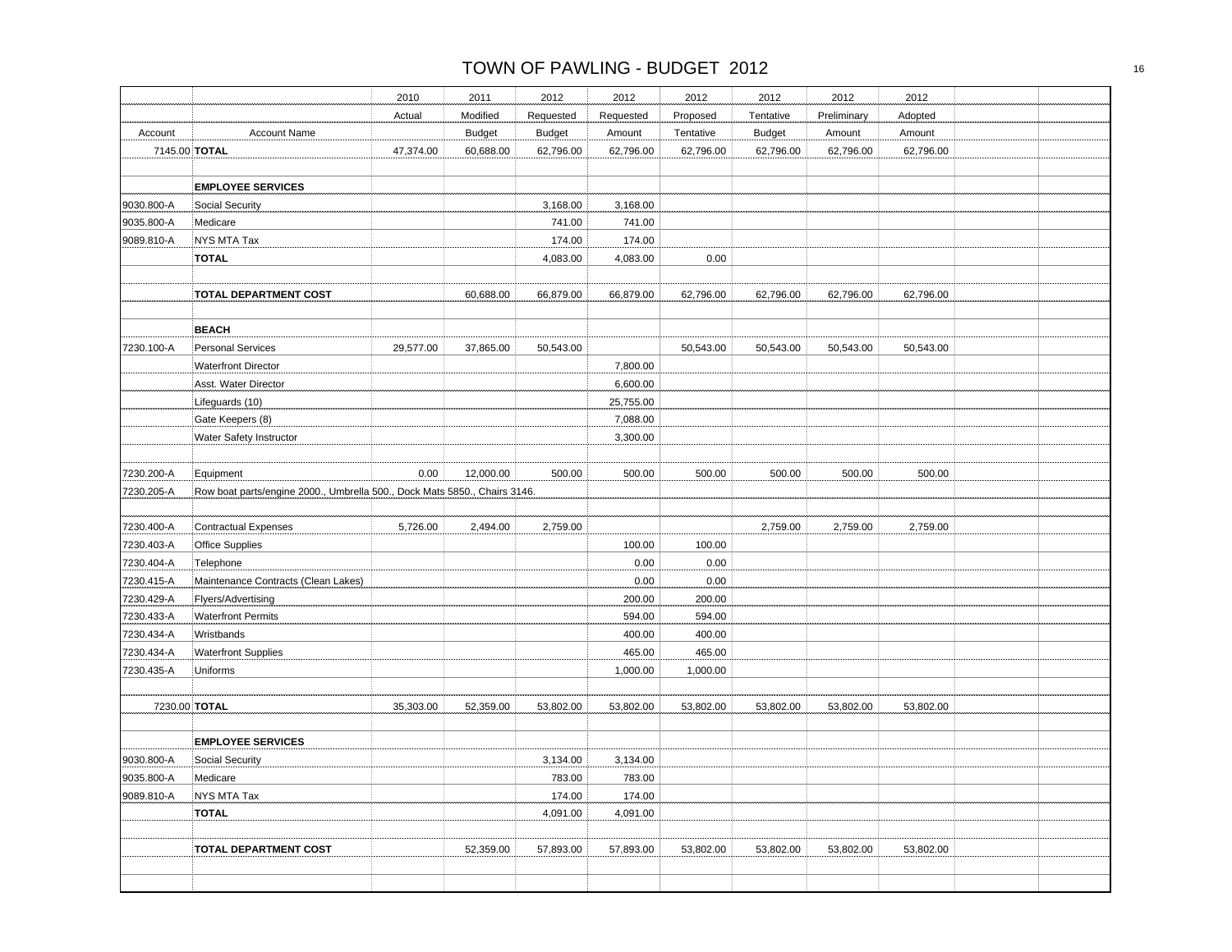|               |                                                                           | 2010      | 2011          | 2012          | 2012      | 2012      | 2012          | 2012        | 2012      |  |
|---------------|---------------------------------------------------------------------------|-----------|---------------|---------------|-----------|-----------|---------------|-------------|-----------|--|
|               |                                                                           | Actual    | Modified      | Requested     | Requested | Proposed  | Tentative     | Preliminary | Adopted   |  |
| Account       | <b>Account Name</b>                                                       |           | <b>Budget</b> | <b>Budget</b> | Amount    | Tentative | <b>Budget</b> | Amount      | Amount    |  |
| 7145.00 TOTAL |                                                                           | 47,374.00 | 60,688.00     | 62,796.00     | 62,796.00 | 62,796.00 | 62,796.00     | 62,796.00   | 62,796.00 |  |
|               |                                                                           |           |               |               |           |           |               |             |           |  |
|               | <b>EMPLOYEE SERVICES</b>                                                  |           |               |               |           |           |               |             |           |  |
| 9030.800-A    | Social Security                                                           |           |               | 3,168.00      | 3,168.00  |           |               |             |           |  |
| 9035.800-A    | Medicare                                                                  |           |               | 741.00        | 741.00    |           |               |             |           |  |
| 9089.810-A    | NYS MTA Tax                                                               |           |               | 174.00        | 174.00    |           |               |             |           |  |
|               | <b>TOTAL</b>                                                              |           |               | 4,083.00      | 4,083.00  | 0.00      |               |             |           |  |
|               | <b>TOTAL DEPARTMENT COST</b>                                              |           | 60,688.00     | 66,879.00     | 66,879.00 | 62,796.00 | 62,796.00     | 62,796.00   | 62,796.00 |  |
|               |                                                                           |           |               |               |           |           |               |             |           |  |
| 7230.100-A    | <b>BEACH</b><br><b>Personal Services</b>                                  | 29,577.00 | 37,865.00     | 50,543.00     |           | 50,543.00 | 50,543.00     | 50,543.00   | 50,543.00 |  |
|               | <b>Waterfront Director</b>                                                |           |               |               | 7,800.00  |           |               |             |           |  |
|               | Asst. Water Director                                                      |           |               |               | 6,600.00  |           |               |             |           |  |
|               | Lifeguards (10)                                                           |           |               |               | 25,755.00 |           |               |             |           |  |
|               | Gate Keepers (8)                                                          |           |               |               | 7,088.00  |           |               |             |           |  |
|               | Water Safety Instructor                                                   |           |               |               | 3,300.00  |           |               |             |           |  |
|               |                                                                           |           |               |               |           |           |               |             |           |  |
| 7230.200-A    | Equipment                                                                 | 0.00      | 12,000.00     | 500.00        | 500.00    | 500.00    | 500.00        | 500.00      | 500.00    |  |
| 7230.205-A    | Row boat parts/engine 2000., Umbrella 500., Dock Mats 5850., Chairs 3146. |           |               |               |           |           |               |             |           |  |
| 7230.400-A    | Contractual Expenses                                                      | 5,726.00  | 2,494.00      | 2,759.00      |           |           | 2,759.00      | 2,759.00    | 2,759.00  |  |
| 7230.403-A    | <b>Office Supplies</b>                                                    |           |               |               | 100.00    | 100.00    |               |             |           |  |
| 7230.404-A    | Telephone                                                                 |           |               |               | 0.00      | 0.00      |               |             |           |  |
| 7230.415-A    | Maintenance Contracts (Clean Lakes)                                       |           |               |               | 0.00      | 0.00      |               |             |           |  |
| 7230.429-A    | Flyers/Advertising                                                        |           |               |               | 200.00    | 200.00    |               |             |           |  |
| 7230.433-A    | <b>Waterfront Permits</b>                                                 |           |               |               | 594.00    | 594.00    |               |             |           |  |
| 7230.434-A    | Wristbands                                                                |           |               |               | 400.00    | 400.00    |               |             |           |  |
| 7230.434-A    | <b>Waterfront Supplies</b>                                                |           |               |               | 465.00    | 465.00    |               |             |           |  |
| 7230.435-A    | Uniforms                                                                  |           |               |               | 1,000.00  | 1,000.00  |               |             |           |  |
| 7230.00 TOTAL |                                                                           | 35,303.00 | 52,359.00     | 53,802.00     | 53,802.00 | 53,802.00 | 53,802.00     | 53,802.00   | 53,802.00 |  |
|               |                                                                           |           |               |               |           |           |               |             |           |  |
|               | <b>EMPLOYEE SERVICES</b>                                                  |           |               |               |           |           |               |             |           |  |
| 9030.800-A    | Social Security                                                           |           |               | 3,134.00      | 3,134.00  |           |               |             |           |  |
| 9035.800-A    | Medicare                                                                  |           |               | 783.00        | 783.00    |           |               |             |           |  |
| 9089.810-A    | NYS MTA Tax                                                               |           |               | 174.00        | 174.00    |           |               |             |           |  |
|               | <b>TOTAL</b>                                                              |           |               | 4,091.00      | 4,091.00  |           |               |             |           |  |
|               | TOTAL DEPARTMENT COST                                                     |           | 52,359.00     | 57,893.00     | 57,893.00 | 53,802.00 | 53,802.00     | 53,802.00   | 53,802.00 |  |
|               |                                                                           |           |               |               |           |           |               |             |           |  |
|               |                                                                           |           |               |               |           |           |               |             |           |  |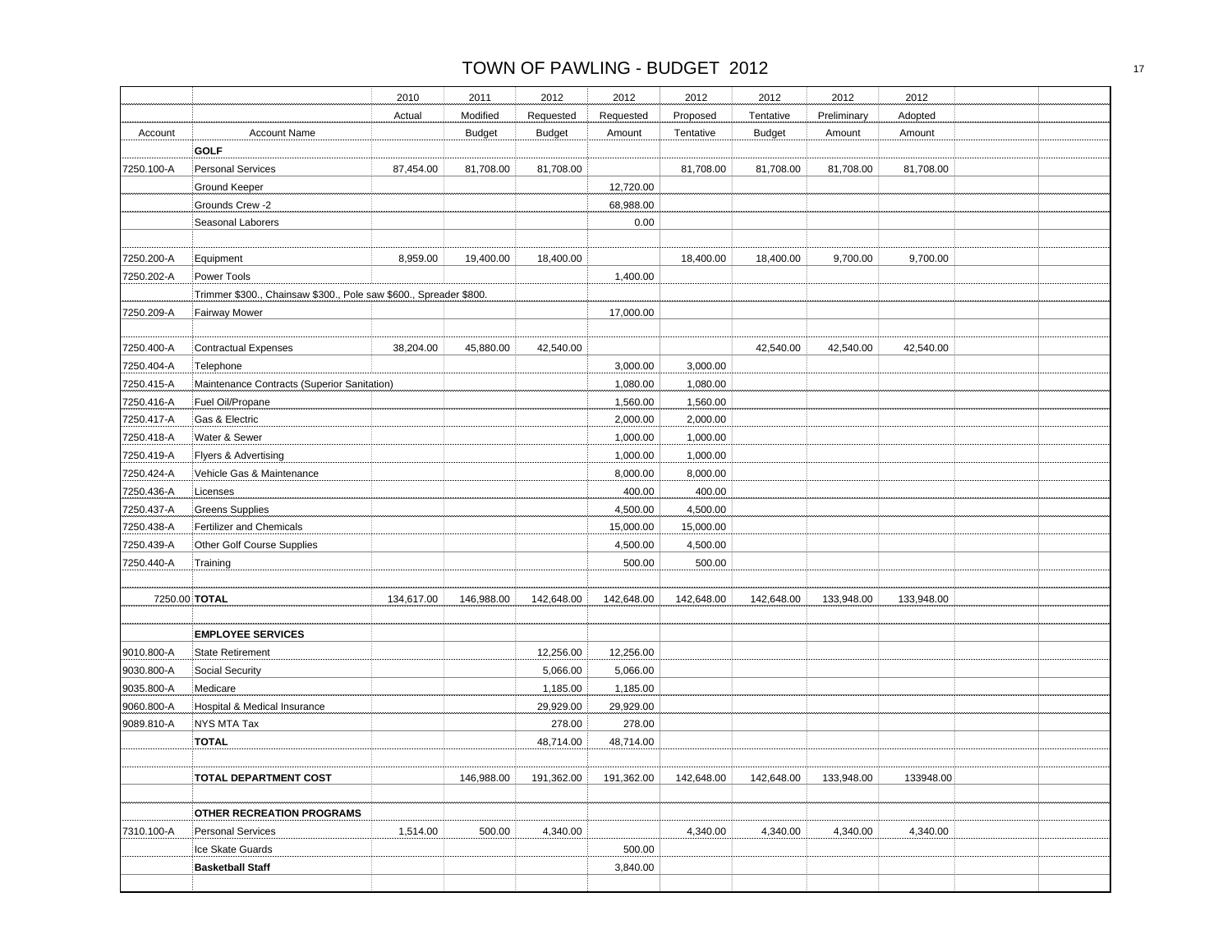|            |                                                                   | 2010       | 2011          | 2012          | 2012       | 2012       | 2012          | 2012        | 2012       |  |
|------------|-------------------------------------------------------------------|------------|---------------|---------------|------------|------------|---------------|-------------|------------|--|
|            |                                                                   |            |               |               |            |            |               |             |            |  |
|            |                                                                   | Actual     | Modified      | Requested     | Requested  | Proposed   | Tentative     | Preliminary | Adopted    |  |
| Account    | <b>Account Name</b>                                               |            | <b>Budget</b> | <b>Budget</b> | Amount     | Tentative  | <b>Budget</b> | Amount      | Amount     |  |
|            | <b>GOLF</b>                                                       |            |               |               |            |            |               |             |            |  |
| 7250.100-A | <b>Personal Services</b>                                          | 87,454.00  | 81,708.00     | 81,708.00     |            | 81,708.00  | 81,708.00     | 81,708.00   | 81,708.00  |  |
|            | Ground Keeper                                                     |            |               |               | 12,720.00  |            |               |             |            |  |
|            | Grounds Crew -2                                                   |            |               |               | 68,988.00  |            |               |             |            |  |
|            | Seasonal Laborers                                                 |            |               |               | 0.00       |            |               |             |            |  |
| 7250.200-A | Equipment                                                         | 8,959.00   | 19,400.00     | 18,400.00     |            | 18,400.00  | 18,400.00     | 9,700.00    | 9,700.00   |  |
| 7250.202-A | Power Tools                                                       |            |               |               | 1,400.00   |            |               |             |            |  |
|            | Trimmer \$300., Chainsaw \$300., Pole saw \$600., Spreader \$800. |            |               |               |            |            |               |             |            |  |
| 7250.209-A | <b>Fairway Mower</b>                                              |            |               |               | 17,000.00  |            |               |             |            |  |
| 7250.400-A | <b>Contractual Expenses</b>                                       | 38,204.00  | 45,880.00     | 42,540.00     |            |            | 42,540.00     | 42,540.00   | 42,540.00  |  |
| 7250.404-A | Telephone                                                         |            |               |               | 3,000.00   | 3,000.00   |               |             |            |  |
| 7250.415-A | Maintenance Contracts (Superior Sanitation)                       |            |               |               | 1,080.00   | 1,080.00   |               |             |            |  |
|            |                                                                   |            |               |               |            |            |               |             |            |  |
| 7250.416-A | Fuel Oil/Propane                                                  |            |               |               | 1,560.00   | 1,560.00   |               |             |            |  |
| 7250.417-A | Gas & Electric                                                    |            |               |               | 2,000.00   | 2,000.00   |               |             |            |  |
| 7250.418-A | Water & Sewer                                                     |            |               |               | 1,000.00   | 1,000.00   |               |             |            |  |
| 7250.419-A | Flyers & Advertising                                              |            |               |               | 1,000.00   | 1,000.00   |               |             |            |  |
| 7250.424-A | Vehicle Gas & Maintenance                                         |            |               |               | 8,000.00   | 8,000.00   |               |             |            |  |
| 7250.436-A | Licenses                                                          |            |               |               | 400.00     | 400.00     |               |             |            |  |
| 7250.437-A | <b>Greens Supplies</b>                                            |            |               |               | 4,500.00   | 4,500.00   |               |             |            |  |
| 7250.438-A | Fertilizer and Chemicals                                          |            |               |               | 15,000.00  | 15,000.00  |               |             |            |  |
| 7250.439-A | Other Golf Course Supplies                                        |            |               |               | 4,500.00   | 4,500.00   |               |             |            |  |
| 7250.440-A | Training                                                          |            |               |               | 500.00     | 500.00     |               |             |            |  |
|            | 7250.00 TOTAL                                                     | 134,617.00 | 146,988.00    | 142,648.00    | 142,648.00 | 142,648.00 | 142,648.00    | 133,948.00  | 133,948.00 |  |
|            | <b>EMPLOYEE SERVICES</b>                                          |            |               |               |            |            |               |             |            |  |
| 9010.800-A | <b>State Retirement</b>                                           |            |               |               | 12,256.00  |            |               |             |            |  |
|            |                                                                   |            |               | 12,256.00     |            |            |               |             |            |  |
| 9030.800-A | <b>Social Security</b>                                            |            |               | 5,066.00      | 5,066.00   |            |               |             |            |  |
| 9035.800-A | Medicare                                                          |            |               | 1,185.00      | 1,185.00   |            |               |             |            |  |
| 9060.800-A | Hospital & Medical Insurance                                      |            |               | 29,929.00     | 29,929.00  |            |               |             |            |  |
| 9089.810-A | NYS MTA Tax                                                       |            |               | 278.00        | 278.00     |            |               |             |            |  |
|            | <b>TOTAL</b>                                                      |            |               | 48,714.00     | 48,714.00  |            |               |             |            |  |
|            | TOTAL DEPARTMENT COST                                             |            | 146,988.00    | 191,362.00    | 191,362.00 | 142,648.00 | 142,648.00    | 133,948.00  | 133948.00  |  |
|            | OTHER RECREATION PROGRAMS                                         |            |               |               |            |            |               |             |            |  |
| 7310.100-A | <b>Personal Services</b>                                          | 1,514.00   | 500.00        | 4,340.00      |            | 4,340.00   | 4,340.00      | 4,340.00    | 4,340.00   |  |
|            | Ice Skate Guards                                                  |            |               |               | 500.00     |            |               |             |            |  |
|            | <b>Basketball Staff</b>                                           |            |               |               | 3,840.00   |            |               |             |            |  |
|            |                                                                   |            |               |               |            |            |               |             |            |  |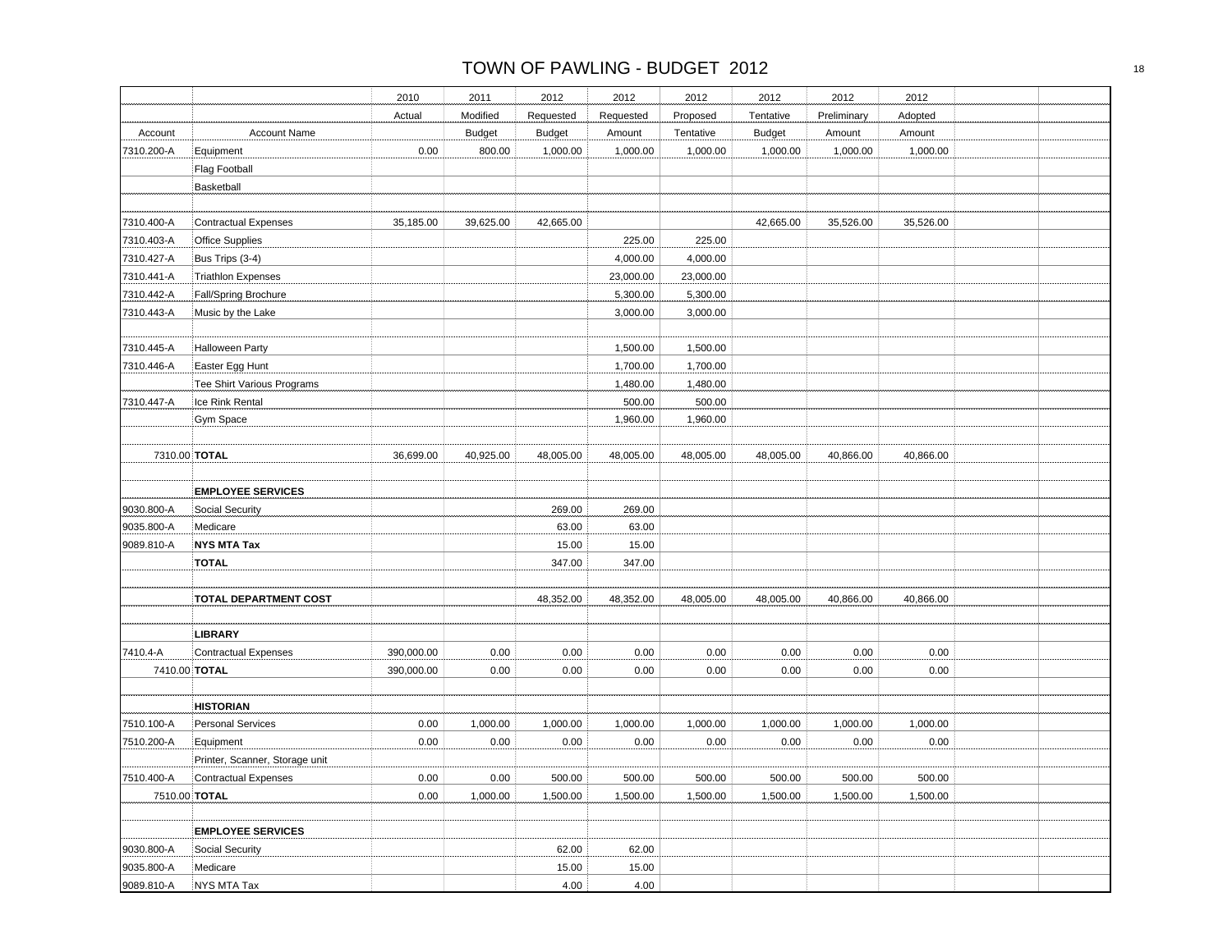|               |                                               | 2010                     | 2011          | 2012          | 2012         | 2012                 | 2012          | 2012         | 2012      |  |
|---------------|-----------------------------------------------|--------------------------|---------------|---------------|--------------|----------------------|---------------|--------------|-----------|--|
|               |                                               | Actual                   | Modified      | Requested     | Requested    | Proposed             | Tentative     | Preliminary  | Adopted   |  |
| Account       | <b>Account Name</b>                           |                          | <b>Budget</b> | <b>Budget</b> | Amount       | Tentative            | <b>Budget</b> | Amount       | Amount    |  |
| 7310.200-A    | Equipment                                     | 0.00                     | 800.00        | 1,000.00      | 1,000.00     | 1,000.00             | 1,000.00      | 1,000.00     | 1,000.00  |  |
|               | Flag Football                                 |                          |               |               |              |                      |               |              |           |  |
|               | Basketball                                    |                          |               |               |              |                      |               |              |           |  |
|               |                                               |                          |               |               |              |                      |               |              |           |  |
| 7310.400-A    | <b>Contractual Expenses</b>                   | 35,185.00                | 39,625.00     | 42,665.00     |              |                      | 42,665.00     | 35,526.00    | 35,526.00 |  |
| 7310.403-A    | <b>Office Supplies</b>                        |                          |               |               | 225.00       | 225.00               |               |              |           |  |
| 7310.427-A    | Bus Trips (3-4)                               |                          |               |               | 4,000.00     | 4,000.00             |               |              |           |  |
| 7310.441-A    | <b>Triathlon Expenses</b>                     |                          |               |               | 23,000.00    | 23,000.00            |               |              |           |  |
| 7310.442-A    | Fall/Spring Brochure                          |                          |               |               | 5,300.00     | 5,300.00             |               |              |           |  |
| 7310.443-A    | Music by the Lake                             |                          |               |               | 3,000.00     | 3,000.00             |               |              |           |  |
| 7310.445-A    |                                               |                          |               |               | 1,500.00     |                      |               |              |           |  |
| 7310.446-A    | <b>Halloween Party</b>                        |                          |               |               | 1,700.00     | 1,500.00<br>1,700.00 |               |              |           |  |
|               | Easter Egg Hunt<br>Tee Shirt Various Programs |                          |               |               | 1,480.00     | 1,480.00             |               |              |           |  |
| 7310.447-A    | Ice Rink Rental                               |                          |               |               | 500.00       | 500.00               |               |              |           |  |
|               | <b>Gym Space</b>                              |                          |               |               | 1,960.00     | 1,960.00             |               |              |           |  |
|               |                                               |                          |               |               |              |                      |               |              |           |  |
| 7310.00 TOTAL |                                               | 36,699.00                | 40,925.00     | 48,005.00     | 48,005.00    | 48,005.00            | 48,005.00     | 40,866.00    | 40,866.00 |  |
|               | <b>EMPLOYEE SERVICES</b>                      |                          |               |               |              |                      |               |              |           |  |
| 9030.800-A    | Social Security                               |                          |               | 269.00        | 269.00       |                      |               |              |           |  |
| 9035.800-A    | Medicare                                      |                          |               | 63.00         | 63.00        |                      |               |              |           |  |
| 9089.810-A    | <b>NYS MTA Tax</b>                            |                          |               | 15.00         | 15.00        |                      |               |              |           |  |
|               | <b>TOTAL</b>                                  |                          |               | 347.00        | 347.00       |                      |               |              |           |  |
|               | <b>TOTAL DEPARTMENT COST</b>                  |                          |               | 48,352.00     | 48,352.00    | 48,005.00            | 48,005.00     | 40,866.00    | 40,866.00 |  |
|               |                                               |                          |               |               |              |                      |               |              |           |  |
| 7410.4-A      | <b>LIBRARY</b><br>Contractual Expenses        |                          |               |               |              |                      |               |              | 0.00      |  |
| 7410.00 TOTAL |                                               | 390,000.00<br>390,000.00 | 0.00<br>0.00  | 0.00<br>0.00  | 0.00<br>0.00 | 0.00<br>0.00         | 0.00<br>0.00  | 0.00<br>0.00 | 0.00      |  |
|               |                                               |                          |               |               |              |                      |               |              |           |  |
|               | <b>HISTORIAN</b>                              |                          |               |               |              |                      |               |              |           |  |
| 7510.100-A    | <b>Personal Services</b>                      | 0.00                     | 1,000.00      | 1,000.00      | 1,000.00     | 1,000.00             | 1,000.00      | 1,000.00     | 1,000.00  |  |
| 7510.200-A    | Equipment                                     | 0.00                     | 0.00          | 0.00          | 0.00         | 0.00                 | 0.00          | 0.00         | 0.00      |  |
|               | Printer, Scanner, Storage unit                |                          |               |               |              |                      |               |              |           |  |
| 7510.400-A    | Contractual Expenses                          | 0.00                     | 0.00          | 500.00        | 500.00       | 500.00               | 500.00        | 500.00       | 500.00    |  |
|               | 7510.00 TOTAL                                 | 0.00                     | 1,000.00      | 1,500.00      | 1,500.00     | 1,500.00             | 1,500.00      | 1,500.00     | 1,500.00  |  |
|               |                                               |                          |               |               |              |                      |               |              |           |  |
|               | <b>EMPLOYEE SERVICES</b>                      |                          |               |               |              |                      |               |              |           |  |
| 9030.800-A    | Social Security                               |                          |               | 62.00         | 62.00        |                      |               |              |           |  |
| 9035.800-A    | Medicare                                      |                          |               | 15.00         | 15.00        |                      |               |              |           |  |
| 9089.810-A    | NYS MTA Tax                                   |                          |               | 4.00          | 4.00         |                      |               |              |           |  |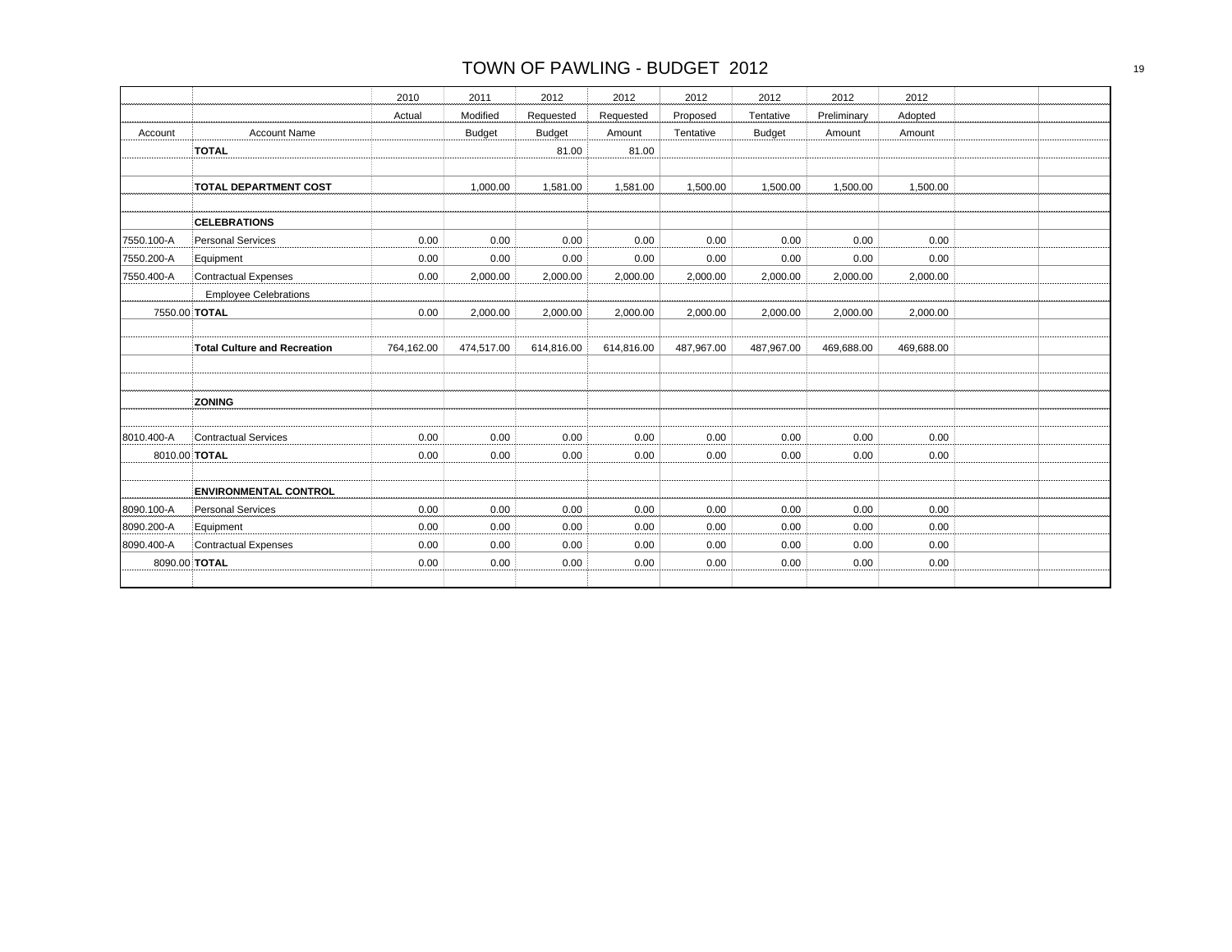|            |                                     | 2010       | 2011          | 2012          | 2012       | 2012       | 2012          | 2012        | 2012       |  |
|------------|-------------------------------------|------------|---------------|---------------|------------|------------|---------------|-------------|------------|--|
|            |                                     | Actual     | Modified      | Requested     | Requested  | Proposed   | Tentative     | Preliminary | Adopted    |  |
| Account    | <b>Account Name</b>                 |            | <b>Budget</b> | <b>Budget</b> | Amount     | Tentative  | <b>Budget</b> | Amount      | Amount     |  |
|            | <b>TOTAL</b>                        |            |               | 81.00         | 81.00      |            |               |             |            |  |
|            |                                     |            |               |               |            |            |               |             |            |  |
|            | <b>TOTAL DEPARTMENT COST</b>        |            | 1,000.00      | 1,581.00      | 1,581.00   | 1,500.00   | 1,500.00      | 1,500.00    | 1,500.00   |  |
|            |                                     |            |               |               |            |            |               |             |            |  |
|            | <b>CELEBRATIONS</b>                 |            |               |               |            |            |               |             |            |  |
| 7550.100-A | <b>Personal Services</b>            | 0.00       | 0.00          | 0.00          | 0.00       | 0.00       | 0.00          | 0.00        | 0.00       |  |
| 7550.200-A | Equipment                           | 0.00       | 0.00          | 0.00          | 0.00       | 0.00       | 0.00          | 0.00        | 0.00       |  |
| 7550.400-A | <b>Contractual Expenses</b>         | 0.00       | 2,000.00      | 2,000.00      | 2,000.00   | 2,000.00   | 2,000.00      | 2,000.00    | 2,000.00   |  |
|            | <b>Employee Celebrations</b>        |            |               |               |            |            |               |             |            |  |
|            | 7550.00 TOTAL                       | 0.00       | 2,000.00      | 2,000.00      | 2,000.00   | 2,000.00   | 2,000.00      | 2,000.00    | 2,000.00   |  |
|            |                                     |            |               |               |            |            |               |             |            |  |
|            | <b>Total Culture and Recreation</b> | 764,162.00 | 474,517.00    | 614,816.00    | 614,816.00 | 487,967.00 | 487,967.00    | 469,688.00  | 469,688.00 |  |
|            |                                     |            |               |               |            |            |               |             |            |  |
|            |                                     |            |               |               |            |            |               |             |            |  |
|            | <b>ZONING</b>                       |            |               |               |            |            |               |             |            |  |
|            |                                     |            |               |               |            |            |               |             |            |  |
| 8010.400-A | <b>Contractual Services</b>         | 0.00       | 0.00          | 0.00          | 0.00       | 0.00       | 0.00          | 0.00        | 0.00       |  |
|            | 8010.00 TOTAL                       | 0.00       | 0.00          | 0.00          | 0.00       | 0.00       | 0.00          | 0.00        | 0.00       |  |
|            |                                     |            |               |               |            |            |               |             |            |  |
|            | <b>ENVIRONMENTAL CONTROL</b>        |            |               |               |            |            |               |             |            |  |
| 8090.100-A | Personal Services                   | 0.00       | 0.00          | 0.00          | 0.00       | 0.00       | 0.00          | 0.00        | 0.00       |  |
| 8090.200-A | Equipment                           | 0.00       | 0.00          | 0.00          | 0.00       | 0.00       | 0.00          | 0.00        | 0.00       |  |
| 8090.400-A | <b>Contractual Expenses</b>         | 0.00       | 0.00          | 0.00          | 0.00       | 0.00       | 0.00          | 0.00        | 0.00       |  |
|            | 8090.00 TOTAL                       | 0.00       | 0.00          | 0.00          | 0.00       | 0.00       | 0.00          | 0.00        | 0.00       |  |
|            |                                     |            |               |               |            |            |               |             |            |  |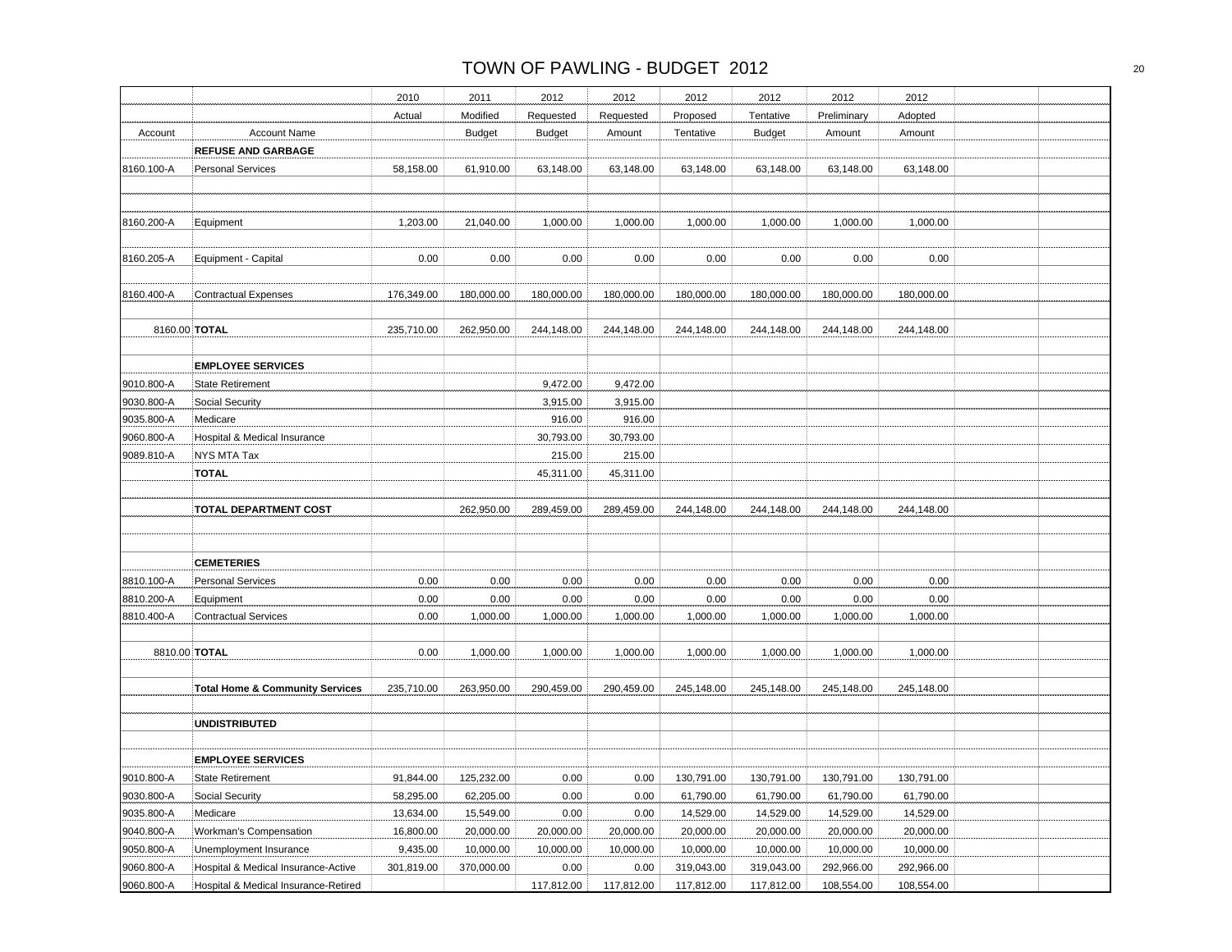|               |                                            | 2010       | 2011          | 2012          | 2012       | 2012       | 2012          | 2012        | 2012       |  |
|---------------|--------------------------------------------|------------|---------------|---------------|------------|------------|---------------|-------------|------------|--|
|               |                                            | Actual     | Modified      | Requested     | Requested  | Proposed   | Tentative     | Preliminary | Adopted    |  |
| Account       | <b>Account Name</b>                        |            | <b>Budget</b> | <b>Budget</b> | Amount     | Tentative  | <b>Budget</b> | Amount      | Amount     |  |
|               | <b>REFUSE AND GARBAGE</b>                  |            |               |               |            |            |               |             |            |  |
| 8160.100-A    | <b>Personal Services</b>                   | 58,158.00  | 61,910.00     | 63,148.00     | 63,148.00  | 63,148.00  | 63,148.00     | 63,148.00   | 63,148.00  |  |
|               |                                            |            |               |               |            |            |               |             |            |  |
|               |                                            |            |               |               |            |            |               |             |            |  |
| 8160.200-A    | Equipment                                  | 1,203.00   | 21,040.00     | 1,000.00      | 1,000.00   | 1,000.00   | 1,000.00      | 1,000.00    | 1,000.00   |  |
|               |                                            |            |               |               |            |            |               |             |            |  |
| 8160.205-A    | Equipment - Capital                        | 0.00       | 0.00          | 0.00          | 0.00       | 0.00       | 0.00          | 0.00        | 0.00       |  |
|               |                                            |            |               |               |            |            |               |             |            |  |
| 8160.400-A    | <b>Contractual Expenses</b>                | 176,349.00 | 180,000.00    | 180,000.00    | 180,000.00 | 180,000.00 | 180,000.00    | 180,000.00  | 180,000.00 |  |
|               |                                            |            |               |               |            |            |               |             |            |  |
| 8160.00 TOTAL |                                            | 235,710.00 | 262,950.00    | 244,148.00    | 244,148.00 | 244,148.00 | 244,148.00    | 244,148.00  | 244,148.00 |  |
|               |                                            |            |               |               |            |            |               |             |            |  |
|               | <b>EMPLOYEE SERVICES</b>                   |            |               |               |            |            |               |             |            |  |
| 9010.800-A    | <b>State Retirement</b>                    |            |               | 9,472.00      | 9,472.00   |            |               |             |            |  |
| 9030.800-A    | Social Security                            |            |               | 3,915.00      | 3,915.00   |            |               |             |            |  |
| 9035.800-A    | Medicare                                   |            |               | 916.00        | 916.00     |            |               |             |            |  |
| 9060.800-A    | Hospital & Medical Insurance               |            |               | 30,793.00     | 30,793.00  |            |               |             |            |  |
| 9089.810-A    | NYS MTA Tax                                |            |               | 215.00        | 215.00     |            |               |             |            |  |
|               | <b>TOTAL</b>                               |            |               | 45,311.00     | 45,311.00  |            |               |             |            |  |
|               |                                            |            |               |               |            |            |               |             |            |  |
|               | <b>TOTAL DEPARTMENT COST</b>               |            | 262,950.00    | 289,459.00    | 289,459.00 | 244.148.00 | 244,148.00    | 244,148.00  | 244,148.00 |  |
|               |                                            |            |               |               |            |            |               |             |            |  |
|               |                                            |            |               |               |            |            |               |             |            |  |
|               | <b>CEMETERIES</b>                          |            |               |               |            |            |               |             |            |  |
| 8810.100-A    | <b>Personal Services</b>                   | 0.00       | 0.00          | 0.00          | 0.00       | 0.00       | 0.00          | 0.00        | 0.00       |  |
| 8810.200-A    | Equipment                                  | 0.00       | 0.00          | 0.00          | 0.00       | 0.00       | 0.00          | 0.00        | 0.00       |  |
| 8810.400-A    | <b>Contractual Services</b>                | 0.00       | 1,000.00      | 1,000.00      | 1,000.00   | 1,000.00   | 1,000.00      | 1,000.00    | 1,000.00   |  |
|               |                                            |            |               |               |            |            |               |             |            |  |
| 8810.00 TOTAL |                                            | 0.00       | 1,000.00      | 1,000.00      | 1,000.00   | 1,000.00   | 1,000.00      | 1,000.00    | 1,000.00   |  |
|               |                                            |            |               |               |            |            |               |             |            |  |
|               |                                            | 235,710.00 | 263,950.00    | 290,459.00    | 290,459.00 | 245,148.00 | 245,148.00    | 245,148.00  | 245,148.00 |  |
|               | <b>Total Home &amp; Community Services</b> |            |               |               |            |            |               |             |            |  |
|               |                                            |            |               |               |            |            |               |             |            |  |
|               | <b>UNDISTRIBUTED</b>                       |            |               |               |            |            |               |             |            |  |
|               |                                            |            |               |               |            |            |               |             |            |  |
|               | <b>EMPLOYEE SERVICES</b>                   |            |               |               |            |            |               |             |            |  |
| 9010.800-A    | <b>State Retirement</b>                    | 91,844.00  | 125,232.00    | 0.00          | 0.00       | 130,791.00 | 130,791.00    | 130,791.00  | 130,791.00 |  |
| 9030.800-A    | Social Security                            | 58,295.00  | 62,205.00     | 0.00          | 0.00       | 61,790.00  | 61,790.00     | 61,790.00   | 61,790.00  |  |
| 9035.800-A    | Medicare                                   | 13,634.00  | 15,549.00     | 0.00          | 0.00       | 14,529.00  | 14,529.00     | 14,529.00   | 14,529.00  |  |
| 9040.800-A    | Workman's Compensation                     | 16,800.00  | 20,000.00     | 20,000.00     | 20,000.00  | 20,000.00  | 20,000.00     | 20,000.00   | 20,000.00  |  |
| 9050.800-A    | Unemployment Insurance                     | 9,435.00   | 10,000.00     | 10,000.00     | 10,000.00  | 10,000.00  | 10,000.00     | 10,000.00   | 10,000.00  |  |
| 9060.800-A    | Hospital & Medical Insurance-Active        | 301,819.00 | 370,000.00    | 0.00          | 0.00       | 319,043.00 | 319,043.00    | 292,966.00  | 292,966.00 |  |
| 9060.800-A    | Hospital & Medical Insurance-Retired       |            |               | 117,812.00    | 117,812.00 | 117,812.00 | 117,812.00    | 108,554.00  | 108,554.00 |  |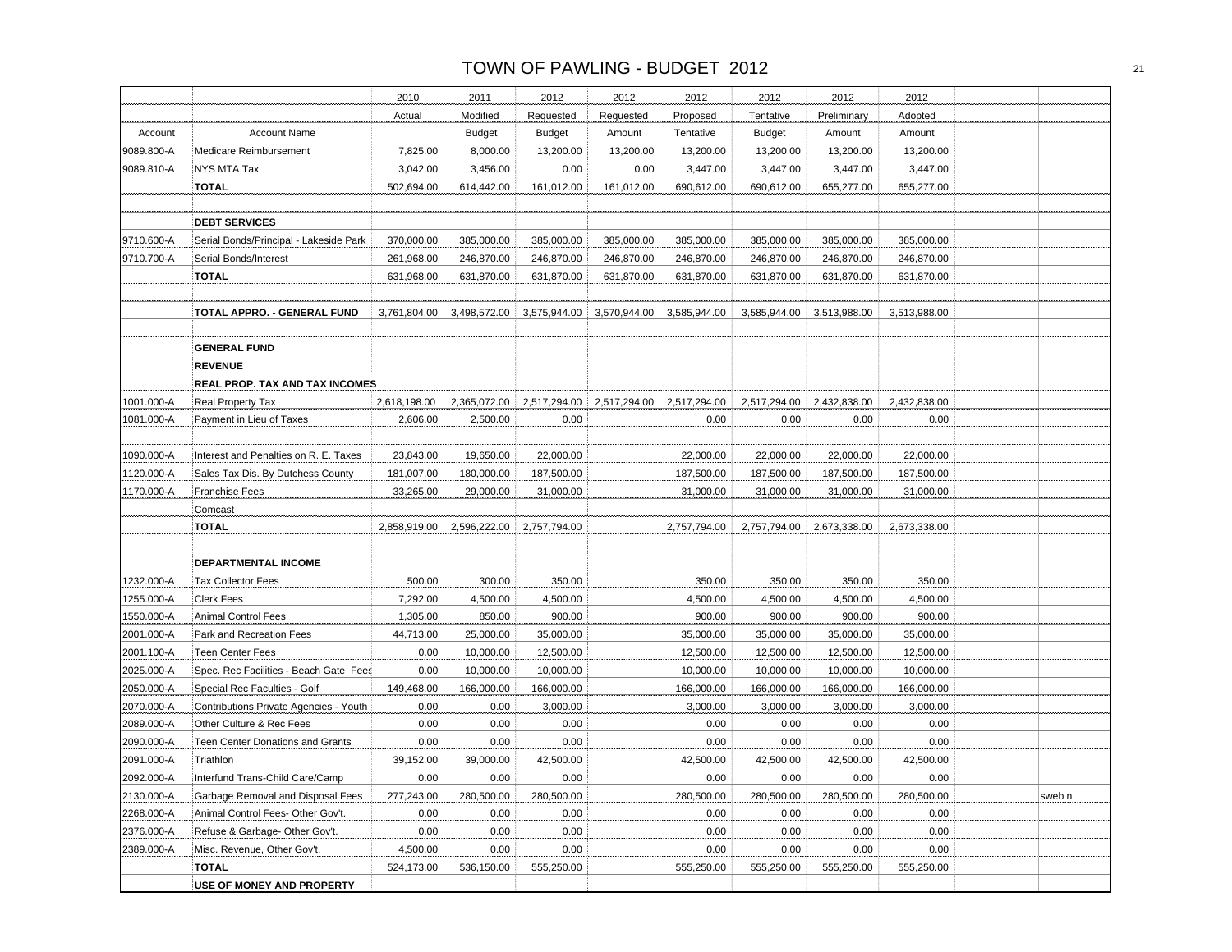|            |                                         | 2010         | 2011          | 2012          | 2012         | 2012         | 2012          | 2012         | 2012         |        |
|------------|-----------------------------------------|--------------|---------------|---------------|--------------|--------------|---------------|--------------|--------------|--------|
|            |                                         | Actual       | Modified      | Requested     | Requested    | Proposed     | Tentative     | Preliminary  | Adopted      |        |
| Account    | <b>Account Name</b>                     |              | <b>Budget</b> | <b>Budget</b> | Amount       | Tentative    | <b>Budget</b> | Amount       | Amount       |        |
| 9089.800-A | Medicare Reimbursement                  | 7,825.00     | 8,000.00      | 13,200.00     | 13,200.00    | 13,200.00    | 13,200.00     | 13,200.00    | 13,200.00    |        |
| 9089.810-A | NYS MTA Tax                             | 3,042.00     | 3,456.00      | 0.00          | 0.00         | 3,447.00     | 3,447.00      | 3,447.00     | 3,447.00     |        |
|            | TOTAL                                   | 502,694.00   | 614,442.00    | 161,012.00    | 161,012.00   | 690,612.00   | 690,612.00    | 655,277.00   | 655,277.00   |        |
|            |                                         |              |               |               |              |              |               |              |              |        |
|            | <b>DEBT SERVICES</b>                    |              |               |               |              |              |               |              |              |        |
| 9710.600-A | Serial Bonds/Principal - Lakeside Park  | 370,000.00   | 385,000.00    | 385,000.00    | 385,000.00   | 385,000.00   | 385,000.00    | 385,000.00   | 385,000.00   |        |
| 9710.700-A | Serial Bonds/Interest                   | 261,968.00   | 246,870.00    | 246,870.00    | 246,870.00   | 246,870.00   | 246,870.00    | 246,870.00   | 246,870.00   |        |
|            | <b>TOTAL</b>                            | 631,968.00   | 631,870.00    | 631,870.00    | 631,870.00   | 631,870.00   | 631,870.00    | 631,870.00   | 631,870.00   |        |
|            |                                         |              |               |               |              |              |               |              |              |        |
|            | TOTAL APPRO. - GENERAL FUND             | 3,761,804.00 | 3,498,572.00  | 3,575,944.00  | 3,570,944.00 | 3,585,944.00 | 3,585,944.00  | 3,513,988.00 | 3,513,988.00 |        |
|            |                                         |              |               |               |              |              |               |              |              |        |
|            | <b>GENERAL FUND</b>                     |              |               |               |              |              |               |              |              |        |
|            | <b>REVENUE</b>                          |              |               |               |              |              |               |              |              |        |
|            | REAL PROP. TAX AND TAX INCOMES          |              |               |               |              |              |               |              |              |        |
| 1001.000-A | Real Property Tax                       | 2,618,198.00 | 2,365,072.00  | 2,517,294.00  | 2,517,294.00 | 2,517,294.00 | 2,517,294.00  | 2,432,838.00 | 2,432,838.00 |        |
| 1081.000-A | Payment in Lieu of Taxes                | 2,606.00     | 2,500.00      | 0.00          |              | 0.00         | 0.00          | 0.00         | 0.00         |        |
|            |                                         |              |               |               |              |              |               |              |              |        |
| 1090.000-A | Interest and Penalties on R. E. Taxes   | 23,843.00    | 19,650.00     | 22,000.00     |              | 22,000.00    | 22,000.00     | 22,000.00    | 22,000.00    |        |
| 1120.000-A | Sales Tax Dis. By Dutchess County       | 181,007.00   | 180,000.00    | 187,500.00    |              | 187,500.00   | 187,500.00    | 187,500.00   | 187,500.00   |        |
| 1170.000-A | Franchise Fees                          | 33,265.00    | 29,000.00     | 31,000.00     |              | 31,000.00    | 31,000.00     | 31,000.00    | 31,000.00    |        |
|            | Comcast                                 |              |               |               |              |              |               |              |              |        |
|            | <b>TOTAL</b>                            | 2,858,919.00 | 2,596,222.00  | 2,757,794.00  |              | 2,757,794.00 | 2,757,794.00  | 2,673,338.00 | 2,673,338.00 |        |
|            |                                         |              |               |               |              |              |               |              |              |        |
|            | DEPARTMENTAL INCOME                     |              |               |               |              |              |               |              |              |        |
| 1232.000-A | <b>Tax Collector Fees</b>               | 500.00       | 300.00        | 350.00        |              | 350.00       | 350.00        | 350.00       | 350.00       |        |
| 1255.000-A | <b>Clerk Fees</b>                       | 7,292.00     | 4,500.00      | 4,500.00      |              | 4,500.00     | 4,500.00      | 4,500.00     | 4,500.00     |        |
| 1550.000-A | <b>Animal Control Fees</b>              | 1,305.00     | 850.00        | 900.00        |              | 900.00       | 900.00        | 900.00       | 900.00       |        |
| 2001.000-A | Park and Recreation Fees                | 44,713.00    | 25,000.00     | 35,000.00     |              | 35,000.00    | 35,000.00     | 35,000.00    | 35,000.00    |        |
| 2001.100-A | <b>Teen Center Fees</b>                 | 0.00         | 10,000.00     | 12,500.00     |              | 12,500.00    | 12,500.00     | 12,500.00    | 12,500.00    |        |
| 2025.000-A | Spec. Rec Facilities - Beach Gate Fees  | 0.00         | 10,000.00     | 10,000.00     |              | 10,000.00    | 10,000.00     | 10,000.00    | 10,000.00    |        |
| 2050.000-A | Special Rec Faculties - Golf            | 149,468.00   | 166,000.00    | 166,000.00    |              | 166,000.00   | 166,000.00    | 166,000.00   | 166,000.00   |        |
| 2070.000-A | Contributions Private Agencies - Youth  | 0.00         | 0.00          | 3,000.00      |              | 3,000.00     | 3,000.00      | 3,000.00     | 3,000.00     |        |
| 2089.000-A | Other Culture & Rec Fees                | 0.00         | 0.00          | 0.00          |              | 0.00         | 0.00          | 0.00         | 0.00         |        |
| 2090.000-A | <b>Teen Center Donations and Grants</b> | 0.00         | 0.00          | 0.00          |              | 0.00         | 0.00          | 0.00         | 0.00         |        |
| 2091.000-A | Triathlon                               | 39,152.00    | 39,000.00     | 42,500.00     |              | 42,500.00    | 42,500.00     | 42,500.00    | 42,500.00    |        |
| 2092.000-A | Interfund Trans-Child Care/Camp         | 0.00         | 0.00          | 0.00          |              | 0.00         | 0.00          | 0.00         | 0.00         |        |
| 2130.000-A | Garbage Removal and Disposal Fees       | 277,243.00   | 280,500.00    | 280,500.00    |              | 280,500.00   | 280,500.00    | 280,500.00   | 280,500.00   | sweb n |
| 2268.000-A | Animal Control Fees- Other Gov't.       | 0.00         | 0.00          | 0.00          |              | 0.00         | 0.00          | 0.00         | 0.00         |        |
| 2376.000-A | Refuse & Garbage- Other Gov't.          | 0.00         | 0.00          | 0.00          |              | 0.00         | 0.00          | 0.00         | 0.00         |        |
| 2389.000-A | Misc. Revenue, Other Gov't.             | 4,500.00     | 0.00          | 0.00          |              | 0.00         | 0.00          | 0.00         | 0.00         |        |
|            | TOTAL                                   | 524,173.00   | 536,150.00    | 555,250.00    |              | 555,250.00   | 555,250.00    | 555,250.00   | 555,250.00   |        |
|            | USE OF MONEY AND PROPERTY               |              |               |               |              |              |               |              |              |        |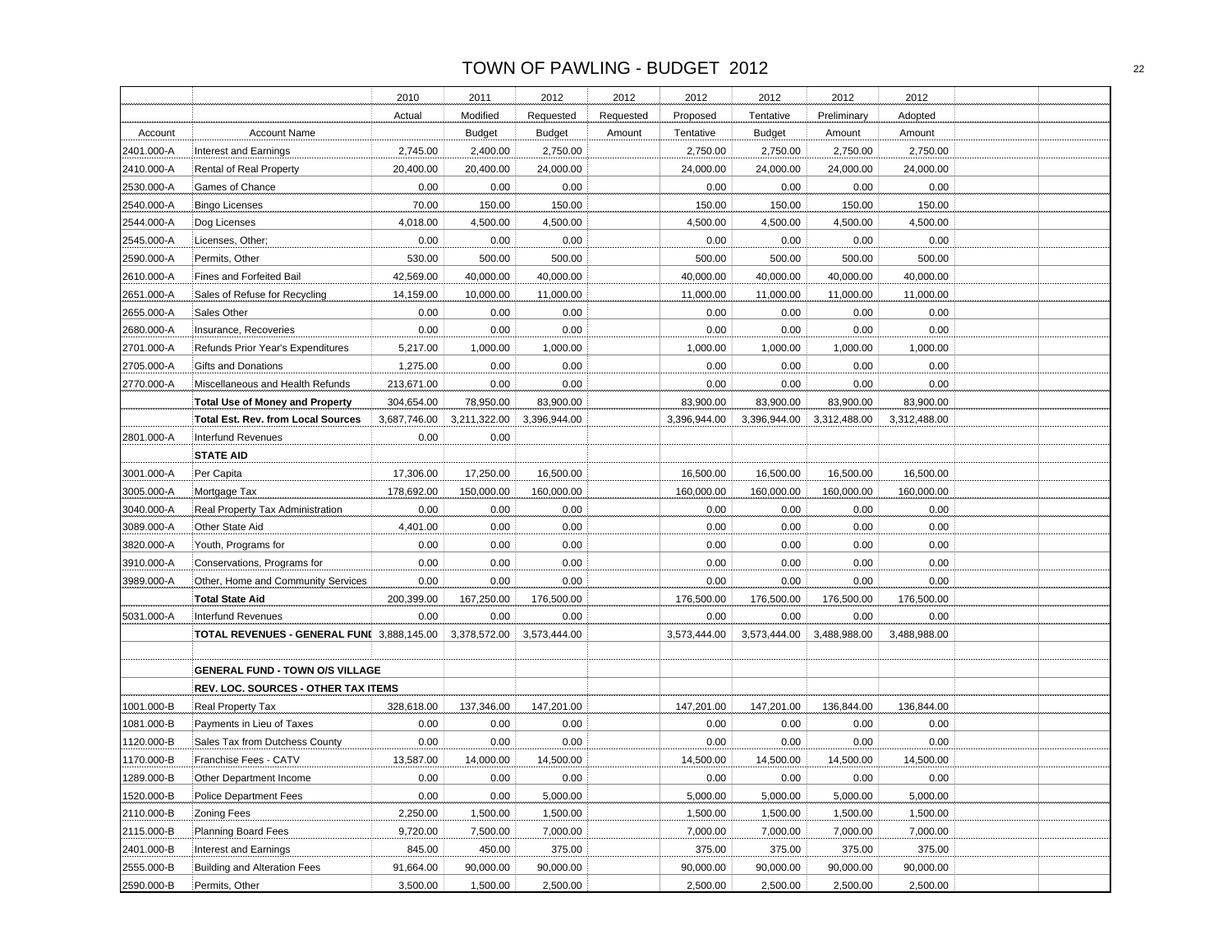|            |                                            | 2010         | 2011          | 2012          | 2012      | 2012         | 2012          | 2012         | 2012         |  |
|------------|--------------------------------------------|--------------|---------------|---------------|-----------|--------------|---------------|--------------|--------------|--|
|            |                                            | Actual       | Modified      | Requested     | Requested | Proposed     | Tentative     | Preliminary  | Adopted      |  |
| Account    | <b>Account Name</b>                        |              | <b>Budget</b> | <b>Budget</b> | Amount    | Tentative    | <b>Budget</b> | Amount       | Amount       |  |
| 2401.000-A | Interest and Earnings                      | 2,745.00     | 2,400.00      | 2,750.00      |           | 2,750.00     | 2,750.00      | 2,750.00     | 2,750.00     |  |
| 2410.000-A | Rental of Real Property                    | 20,400.00    | 20,400.00     | 24,000.00     |           | 24,000.00    | 24,000.00     | 24,000.00    | 24,000.00    |  |
| 2530.000-A | Games of Chance                            | 0.00         | 0.00          | 0.00          |           | 0.00         | 0.00          | 0.00         | 0.00         |  |
| 2540.000-A | <b>Bingo Licenses</b>                      | 70.00        | 150.00        | 150.00        |           | 150.00       | 150.00        | 150.00       | 150.00       |  |
| 2544.000-A | Dog Licenses                               | 4,018.00     | 4,500.00      | 4,500.00      |           | 4,500.00     | 4,500.00      | 4,500.00     | 4,500.00     |  |
| 2545.000-A | Licenses, Other;                           | 0.00         | 0.00          | 0.00          |           | 0.00         | 0.00          | 0.00         | 0.00         |  |
| 2590.000-A | Permits, Other                             | 530.00       | 500.00        | 500.00        |           | 500.00       | 500.00        | 500.00       | 500.00       |  |
| 2610.000-A | Fines and Forfeited Bail                   | 42,569.00    | 40,000.00     | 40,000.00     |           | 40,000.00    | 40,000.00     | 40,000.00    | 40,000.00    |  |
| 2651.000-A | Sales of Refuse for Recycling              | 14,159.00    | 10,000.00     | 11,000.00     |           | 11,000.00    | 11,000.00     | 11,000.00    | 11,000.00    |  |
| 2655.000-A | Sales Other                                | 0.00         | 0.00          | 0.00          |           | 0.00         | 0.00          | 0.00         | 0.00         |  |
| 2680.000-A | Insurance, Recoveries                      | 0.00         | 0.00          | 0.00          |           | 0.00         | 0.00          | 0.00         | 0.00         |  |
| 2701.000-A | Refunds Prior Year's Expenditures          | 5,217.00     | 1,000.00      | 1,000.00      |           | 1,000.00     | 1,000.00      | 1,000.00     | 1,000.00     |  |
| 2705.000-A | <b>Gifts and Donations</b>                 | 1,275.00     | 0.00          | 0.00          |           | 0.00         | 0.00          | 0.00         | 0.00         |  |
| 2770.000-A | Miscellaneous and Health Refunds           | 213,671.00   | 0.00          | 0.00          |           | 0.00         | 0.00          | 0.00         | 0.00         |  |
|            | <b>Total Use of Money and Property</b>     | 304,654.00   | 78,950.00     | 83,900.00     |           | 83,900.00    | 83,900.00     | 83,900.00    | 83,900.00    |  |
|            | <b>Total Est. Rev. from Local Sources</b>  | 3,687,746.00 | 3,211,322.00  | 3,396,944.00  |           | 3,396,944.00 | 3,396,944.00  | 3,312,488.00 | 3,312,488.00 |  |
| 2801.000-A | <b>Interfund Revenues</b>                  | 0.00         | 0.00          |               |           |              |               |              |              |  |
|            | <b>STATE AID</b>                           |              |               |               |           |              |               |              |              |  |
| 3001.000-A | Per Capita                                 | 17,306.00    | 17,250.00     | 16,500.00     |           | 16,500.00    | 16,500.00     | 16,500.00    | 16,500.00    |  |
| 3005.000-A | Mortgage Tax                               | 178,692.00   | 150,000.00    | 160,000.00    |           | 160,000.00   | 160,000.00    | 160,000.00   | 160,000.00   |  |
| 3040.000-A | Real Property Tax Administration           | 0.00         | 0.00          | 0.00          |           | 0.00         | 0.00          | 0.00         | $0.00\,$     |  |
| 3089.000-A | Other State Aid                            | 4,401.00     | 0.00          | 0.00          |           | 0.00         | 0.00          | 0.00         | 0.00         |  |
| 3820.000-A | Youth, Programs for                        | 0.00         | 0.00          | 0.00          |           | 0.00         | 0.00          | 0.00         | 0.00         |  |
| 3910.000-A | Conservations, Programs for                | 0.00         | 0.00          | 0.00          |           | 0.00         | 0.00          | 0.00         | 0.00         |  |
| 3989.000-A | Other, Home and Community Services         | 0.00         | 0.00          | 0.00          |           | 0.00         | 0.00          | 0.00         | 0.00         |  |
|            | <b>Total State Aid</b>                     | 200,399.00   | 167,250.00    | 176,500.00    |           | 176,500.00   | 176,500.00    | 176,500.00   | 176,500.00   |  |
| 5031.000-A | <b>Interfund Revenues</b>                  | 0.00         | 0.00          | 0.00          |           | 0.00         | 0.00          | 0.00         | 0.00         |  |
|            | TOTAL REVENUES - GENERAL FUNI 3,888,145.00 |              | 3,378,572.00  | 3,573,444.00  |           | 3,573,444.00 | 3,573,444.00  | 3,488,988.00 | 3,488,988.00 |  |
|            |                                            |              |               |               |           |              |               |              |              |  |
|            | <b>GENERAL FUND - TOWN O/S VILLAGE</b>     |              |               |               |           |              |               |              |              |  |
|            | REV. LOC. SOURCES - OTHER TAX ITEMS        |              |               |               |           |              |               |              |              |  |
| 1001.000-B | Real Property Tax                          | 328,618.00   | 137,346.00    | 147,201.00    |           | 147,201.00   | 147,201.00    | 136,844.00   | 136,844.00   |  |
| 1081.000-B | Payments in Lieu of Taxes                  | 0.00         | 0.00          | 0.00          |           | 0.00         | 0.00          | 0.00         | 0.00         |  |
| 1120.000-B | Sales Tax from Dutchess County             | 0.00         | 0.00          | 0.00          |           | 0.00         | 0.00          | 0.00         | 0.00         |  |
| 1170.000-B | Franchise Fees - CATV                      | 13,587.00    | 14,000.00     | 14,500.00     |           | 14,500.00    | 14,500.00     | 14,500.00    | 14,500.00    |  |
| 1289.000-B | Other Department Income                    | 0.00         | 0.00          | 0.00          |           | 0.00         | 0.00          | 0.00         | 0.00         |  |
| 1520.000-B | <b>Police Department Fees</b>              | 0.00         | 0.00          | 5,000.00      |           | 5,000.00     | 5,000.00      | 5,000.00     | 5,000.00     |  |
| 2110.000-B | <b>Zoning Fees</b>                         | 2,250.00     | 1,500.00      | 1,500.00      |           | 1,500.00     | 1,500.00      | 1,500.00     | 1,500.00     |  |
| 2115.000-B | <b>Planning Board Fees</b>                 | 9,720.00     | 7,500.00      | 7,000.00      |           | 7,000.00     | 7,000.00      | 7,000.00     | 7,000.00     |  |
| 2401.000-B | Interest and Earnings                      | 845.00       | 450.00        | 375.00        |           | 375.00       | 375.00        | 375.00       | 375.00       |  |
| 2555.000-B | <b>Building and Alteration Fees</b>        | 91,664.00    | 90,000.00     | 90,000.00     |           | 90,000.00    | 90,000.00     | 90,000.00    | 90,000.00    |  |
| 2590.000-B | Permits, Other                             | 3,500.00     | 1,500.00      | 2,500.00      |           | 2,500.00     | 2,500.00      | 2,500.00     | 2,500.00     |  |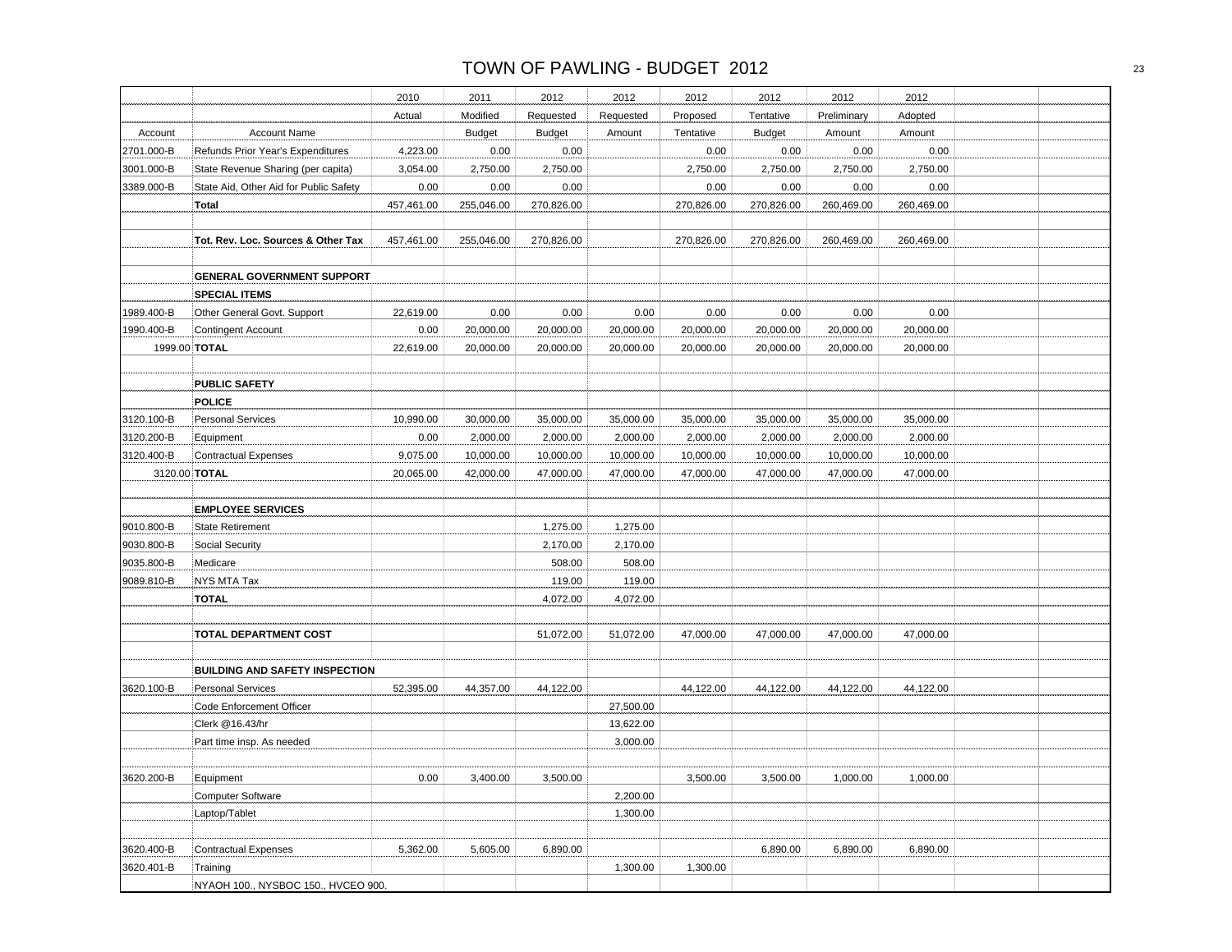|            |                                        | 2010       | 2011          | 2012          | 2012      | 2012       | 2012          | 2012        | 2012       |  |
|------------|----------------------------------------|------------|---------------|---------------|-----------|------------|---------------|-------------|------------|--|
|            |                                        | Actual     | Modified      | Requested     | Requested | Proposed   | Tentative     | Preliminary | Adopted    |  |
| Account    | <b>Account Name</b>                    |            | <b>Budget</b> | <b>Budget</b> | Amount    | Tentative  | <b>Budget</b> | Amount      | Amount     |  |
| 2701.000-B | Refunds Prior Year's Expenditures      | 4,223.00   | 0.00          | 0.00          |           | 0.00       | 0.00          | 0.00        | 0.00       |  |
| 3001.000-B | State Revenue Sharing (per capita)     | 3,054.00   | 2,750.00      | 2,750.00      |           | 2,750.00   | 2,750.00      | 2,750.00    | 2,750.00   |  |
| 3389.000-B | State Aid, Other Aid for Public Safety | 0.00       | 0.00          | 0.00          |           | 0.00       | 0.00          | 0.00        | 0.00       |  |
|            | <b>Total</b>                           | 457,461.00 | 255,046.00    | 270,826.00    |           | 270,826.00 | 270,826.00    | 260,469.00  | 260,469.00 |  |
|            |                                        |            |               |               |           |            |               |             |            |  |
|            | Tot. Rev. Loc. Sources & Other Tax     | 457,461.00 | 255,046.00    | 270,826.00    |           | 270,826.00 | 270,826.00    | 260,469.00  | 260,469.00 |  |
|            |                                        |            |               |               |           |            |               |             |            |  |
|            | <b>GENERAL GOVERNMENT SUPPORT</b>      |            |               |               |           |            |               |             |            |  |
|            | <b>SPECIAL ITEMS</b>                   |            |               |               |           |            |               |             |            |  |
| 1989.400-B | Other General Govt. Support            | 22,619.00  | 0.00          | 0.00          | 0.00      | 0.00       | 0.00          | 0.00        | 0.00       |  |
| 1990.400-B | <b>Contingent Account</b>              | 0.00       | 20,000.00     | 20,000.00     | 20,000.00 | 20,000.00  | 20,000.00     | 20,000.00   | 20,000.00  |  |
|            | 1999.00 TOTAL                          | 22,619.00  | 20,000.00     | 20,000.00     | 20,000.00 | 20,000.00  | 20,000.00     | 20,000.00   | 20,000.00  |  |
|            |                                        |            |               |               |           |            |               |             |            |  |
|            | <b>PUBLIC SAFETY</b>                   |            |               |               |           |            |               |             |            |  |
|            | <b>POLICE</b>                          |            |               |               |           |            |               |             |            |  |
| 3120.100-B | <b>Personal Services</b>               | 10,990.00  | 30,000.00     | 35,000.00     | 35,000.00 | 35,000.00  | 35,000.00     | 35,000.00   | 35,000.00  |  |
| 3120.200-B | Equipment                              | 0.00       | 2,000.00      | 2,000.00      | 2,000.00  | 2,000.00   | 2,000.00      | 2,000.00    | 2,000.00   |  |
| 3120.400-B | <b>Contractual Expenses</b>            | 9,075.00   | 10,000.00     | 10,000.00     | 10,000.00 | 10,000.00  | 10,000.00     | 10,000.00   | 10,000.00  |  |
|            | 3120.00 TOTAL                          | 20,065.00  | 42,000.00     | 47,000.00     | 47,000.00 | 47,000.00  | 47,000.00     | 47,000.00   | 47,000.00  |  |
|            |                                        |            |               |               |           |            |               |             |            |  |
|            | <b>EMPLOYEE SERVICES</b>               |            |               |               |           |            |               |             |            |  |
| 9010.800-B | <b>State Retirement</b>                |            |               | 1,275.00      | 1,275.00  |            |               |             |            |  |
| 9030.800-B | Social Security                        |            |               | 2,170.00      | 2,170.00  |            |               |             |            |  |
| 9035.800-B | Medicare                               |            |               | 508.00        | 508.00    |            |               |             |            |  |
| 9089.810-B | NYS MTA Tax                            |            |               | 119.00        | 119.00    |            |               |             |            |  |
|            | <b>TOTAL</b>                           |            |               | 4,072.00      | 4,072.00  |            |               |             |            |  |
|            |                                        |            |               |               |           |            |               |             |            |  |
|            | TOTAL DEPARTMENT COST                  |            |               | 51,072.00     | 51,072.00 | 47,000.00  | 47,000.00     | 47,000.00   | 47,000.00  |  |
|            |                                        |            |               |               |           |            |               |             |            |  |
|            | <b>BUILDING AND SAFETY INSPECTION</b>  |            |               |               |           |            |               |             |            |  |
| 3620.100-B | Personal Services                      | 52,395.00  | 44,357.00     | 44,122.00     |           | 44,122.00  | 44,122.00     | 44,122.00   | 44,122.00  |  |
|            | Code Enforcement Officer               |            |               |               | 27,500.00 |            |               |             |            |  |
|            | Clerk @16.43/hr                        |            |               |               | 13,622.00 |            |               |             |            |  |
|            | Part time insp. As needed              |            |               |               | 3,000.00  |            |               |             |            |  |
|            |                                        |            |               |               |           |            |               |             |            |  |
| 3620.200-B | Equipment                              | 0.00       | 3,400.00      | 3,500.00      |           | 3,500.00   | 3,500.00      | 1,000.00    | 1,000.00   |  |
|            | <b>Computer Software</b>               |            |               |               | 2,200.00  |            |               |             |            |  |
|            | Laptop/Tablet                          |            |               |               | 1,300.00  |            |               |             |            |  |
|            |                                        |            |               |               |           |            |               |             |            |  |
| 3620.400-B | <b>Contractual Expenses</b>            | 5,362.00   | 5,605.00      | 6,890.00      |           |            | 6,890.00      | 6,890.00    | 6,890.00   |  |
| 3620.401-B | Training                               |            |               |               | 1,300.00  | 1,300.00   |               |             |            |  |
|            | NYAOH 100., NYSBOC 150., HVCEO 900.    |            |               |               |           |            |               |             |            |  |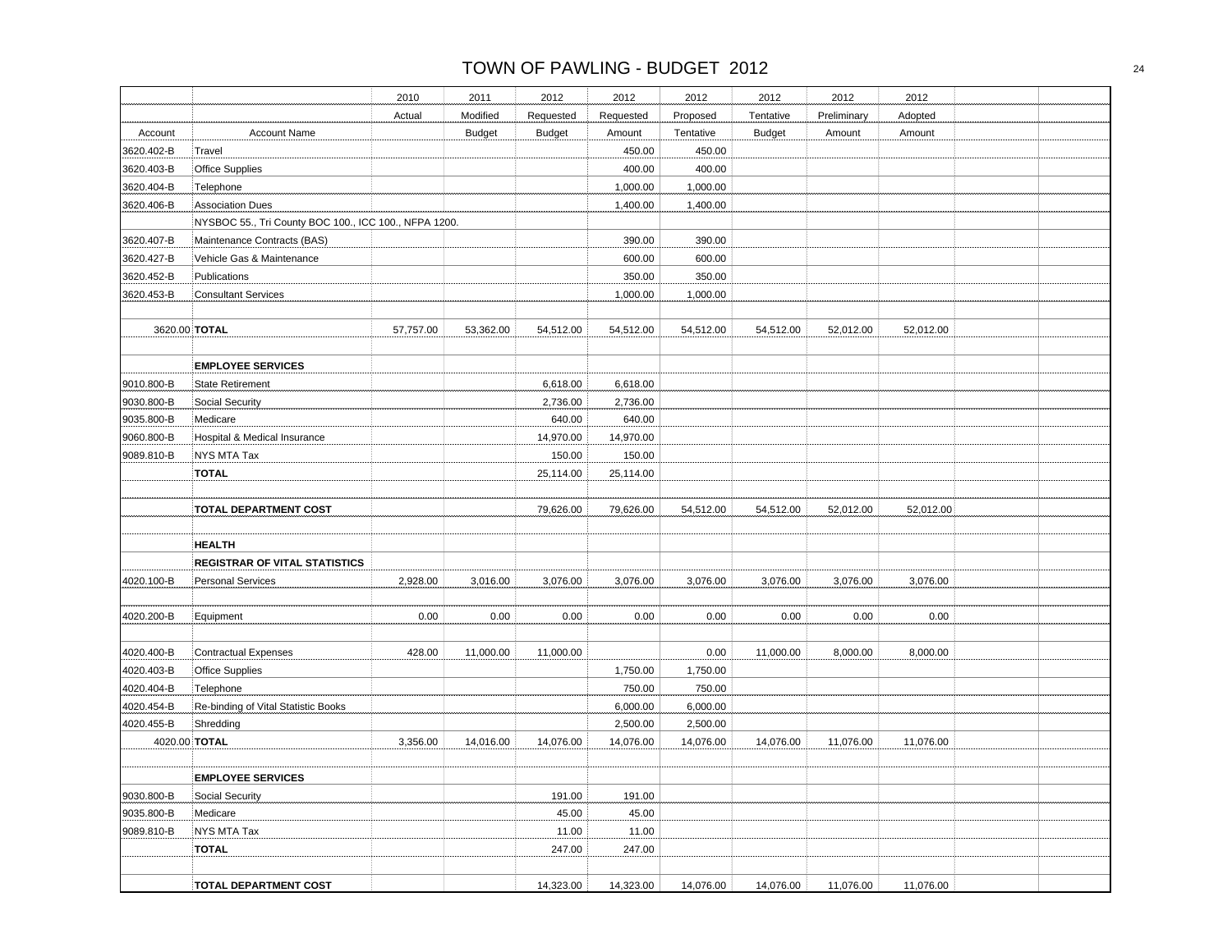| 2012<br>2012<br>2012<br>2010<br>2011<br>2012<br>2012<br>Modified<br>Requested<br>Tentative<br>Preliminary<br>Actual<br>Requested<br>Proposed<br><b>Budget</b><br><b>Budget</b><br>Tentative<br><b>Budget</b><br>Account<br><b>Account Name</b><br>Amount<br>Amount<br>3620.402-B<br>Travel<br>450.00<br>450.00<br>400.00<br>400.00<br>3620.403-B<br><b>Office Supplies</b><br>3620.404-B<br>Telephone<br>1,000.00<br>1,000.00 | 2012<br>Adopted<br>Amount |  |
|-------------------------------------------------------------------------------------------------------------------------------------------------------------------------------------------------------------------------------------------------------------------------------------------------------------------------------------------------------------------------------------------------------------------------------|---------------------------|--|
|                                                                                                                                                                                                                                                                                                                                                                                                                               |                           |  |
|                                                                                                                                                                                                                                                                                                                                                                                                                               |                           |  |
|                                                                                                                                                                                                                                                                                                                                                                                                                               |                           |  |
|                                                                                                                                                                                                                                                                                                                                                                                                                               |                           |  |
|                                                                                                                                                                                                                                                                                                                                                                                                                               |                           |  |
|                                                                                                                                                                                                                                                                                                                                                                                                                               |                           |  |
| 3620.406-B<br><b>Association Dues</b><br>1,400.00<br>1,400.00                                                                                                                                                                                                                                                                                                                                                                 |                           |  |
| NYSBOC 55., Tri County BOC 100., ICC 100., NFPA 1200.                                                                                                                                                                                                                                                                                                                                                                         |                           |  |
| 3620.407-B<br>Maintenance Contracts (BAS)<br>390.00<br>390.00                                                                                                                                                                                                                                                                                                                                                                 |                           |  |
| 3620.427-B<br>Vehicle Gas & Maintenance<br>600.00<br>600.00                                                                                                                                                                                                                                                                                                                                                                   |                           |  |
| 350.00<br>350.00<br>3620.452-B<br>Publications                                                                                                                                                                                                                                                                                                                                                                                |                           |  |
| 3620.453-B<br><b>Consultant Services</b><br>1,000.00<br>1,000.00                                                                                                                                                                                                                                                                                                                                                              |                           |  |
| 3620.00 TOTAL<br>57,757.00<br>53,362.00<br>54,512.00<br>54,512.00<br>54,512.00<br>54,512.00<br>52,012.00                                                                                                                                                                                                                                                                                                                      | 52,012.00                 |  |
|                                                                                                                                                                                                                                                                                                                                                                                                                               |                           |  |
| <b>EMPLOYEE SERVICES</b>                                                                                                                                                                                                                                                                                                                                                                                                      |                           |  |
| 9010.800-B<br><b>State Retirement</b><br>6,618.00<br>6,618.00                                                                                                                                                                                                                                                                                                                                                                 |                           |  |
| 9030.800-B<br>Social Security<br>2,736.00<br>2,736.00                                                                                                                                                                                                                                                                                                                                                                         |                           |  |
| 640.00<br>9035.800-B<br>Medicare<br>640.00                                                                                                                                                                                                                                                                                                                                                                                    |                           |  |
| 9060.800-B<br>Hospital & Medical Insurance<br>14,970.00<br>14,970.00                                                                                                                                                                                                                                                                                                                                                          |                           |  |
| <b>NYS MTA Tax</b><br>9089.810-B<br>150.00<br>150.00                                                                                                                                                                                                                                                                                                                                                                          |                           |  |
| <b>TOTAL</b><br>25,114.00<br>25,114.00                                                                                                                                                                                                                                                                                                                                                                                        |                           |  |
| <b>TOTAL DEPARTMENT COST</b><br>79,626.00<br>79,626.00<br>54,512.00<br>54,512.00<br>52,012.00                                                                                                                                                                                                                                                                                                                                 | 52,012.00                 |  |
| <b>HEALTH</b>                                                                                                                                                                                                                                                                                                                                                                                                                 |                           |  |
| <b>REGISTRAR OF VITAL STATISTICS</b>                                                                                                                                                                                                                                                                                                                                                                                          |                           |  |
| 4020.100-B<br><b>Personal Services</b><br>2,928.00<br>3,016.00<br>3,076.00<br>3,076.00<br>3,076.00<br>3,076.00<br>3,076.00                                                                                                                                                                                                                                                                                                    | 3,076.00                  |  |
| 0.00<br>0.00<br>4020.200-B<br>0.00<br>0.00<br>0.00<br>0.00<br>0.00<br>Equipment                                                                                                                                                                                                                                                                                                                                               | 0.00                      |  |
| 4020.400-B<br><b>Contractual Expenses</b><br>428.00<br>11,000.00<br>11,000.00<br>0.00<br>11,000.00<br>8,000.00                                                                                                                                                                                                                                                                                                                | 8,000.00                  |  |
| 4020.403-B<br><b>Office Supplies</b><br>1,750.00<br>1,750.00                                                                                                                                                                                                                                                                                                                                                                  |                           |  |
| 4020.404-B<br>Telephone<br>750.00<br>750.00                                                                                                                                                                                                                                                                                                                                                                                   |                           |  |
| 4020.454-B<br>Re-binding of Vital Statistic Books<br>6,000.00<br>6,000.00                                                                                                                                                                                                                                                                                                                                                     |                           |  |
| 4020.455-B<br>Shredding<br>2,500.00<br>2,500.00                                                                                                                                                                                                                                                                                                                                                                               |                           |  |
| 4020.00 TOTAL<br>3,356.00<br>14,016.00<br>14,076.00<br>14,076.00<br>14,076.00<br>14,076.00<br>11,076.00                                                                                                                                                                                                                                                                                                                       | 11,076.00                 |  |
|                                                                                                                                                                                                                                                                                                                                                                                                                               |                           |  |
| <b>EMPLOYEE SERVICES</b>                                                                                                                                                                                                                                                                                                                                                                                                      |                           |  |
| 9030.800-B<br>191.00<br>191.00<br>Social Security                                                                                                                                                                                                                                                                                                                                                                             |                           |  |
| 45.00<br>9035.800-B<br>Medicare<br>45.00                                                                                                                                                                                                                                                                                                                                                                                      |                           |  |
| 9089.810-B<br>NYS MTA Tax<br>11.00<br>11.00                                                                                                                                                                                                                                                                                                                                                                                   |                           |  |
| 247.00<br><b>TOTAL</b><br>247.00                                                                                                                                                                                                                                                                                                                                                                                              |                           |  |
|                                                                                                                                                                                                                                                                                                                                                                                                                               |                           |  |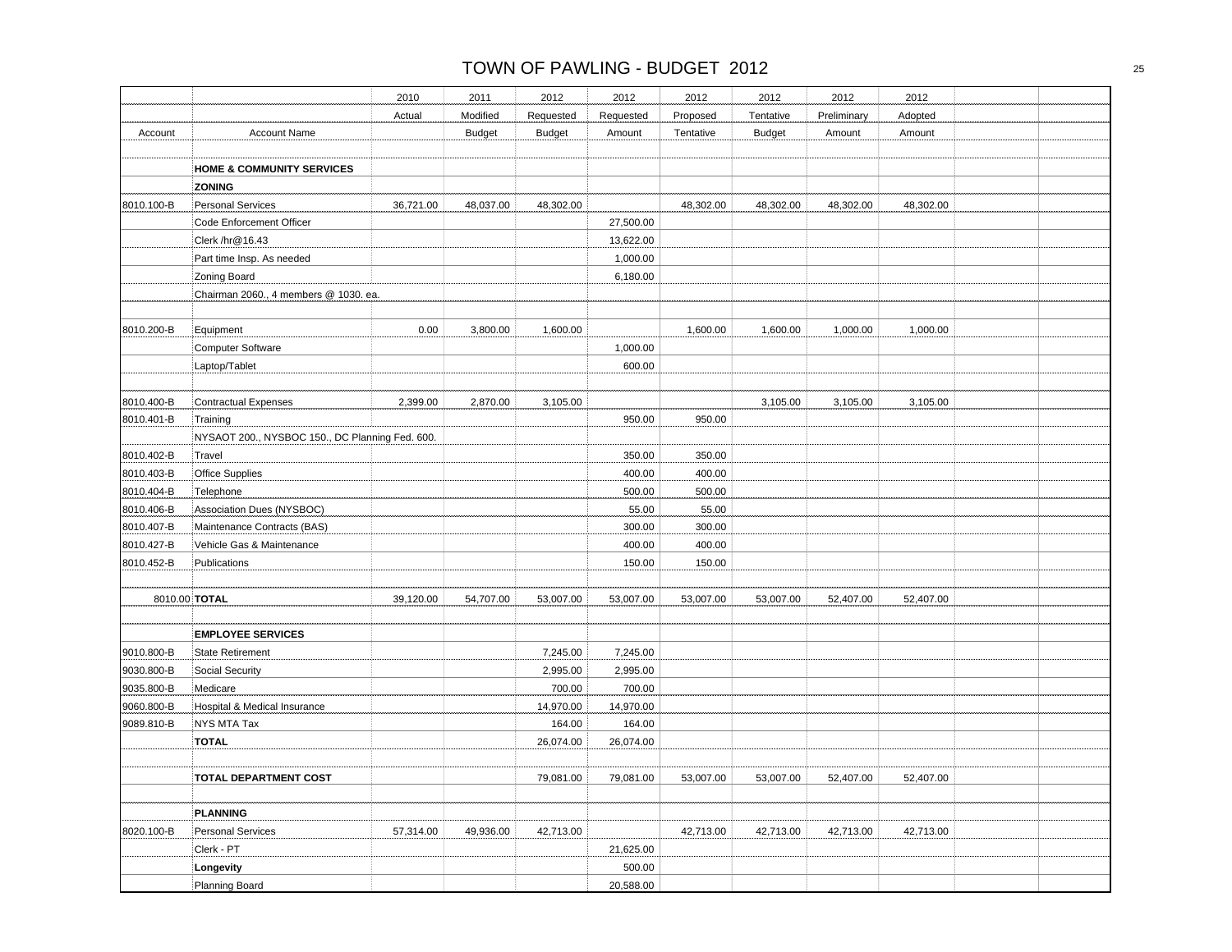|            |                                                 | 2010      | 2011          | 2012          | 2012      | 2012      | 2012          | 2012        | 2012      |  |
|------------|-------------------------------------------------|-----------|---------------|---------------|-----------|-----------|---------------|-------------|-----------|--|
|            |                                                 | Actual    | Modified      | Requested     | Requested | Proposed  | Tentative     | Preliminary | Adopted   |  |
| Account    | <b>Account Name</b>                             |           | <b>Budget</b> | <b>Budget</b> | Amount    | Tentative | <b>Budget</b> | Amount      | Amount    |  |
|            |                                                 |           |               |               |           |           |               |             |           |  |
|            | <b>HOME &amp; COMMUNITY SERVICES</b>            |           |               |               |           |           |               |             |           |  |
|            | <b>ZONING</b>                                   |           |               |               |           |           |               |             |           |  |
| 8010.100-B | <b>Personal Services</b>                        | 36,721.00 | 48,037.00     | 48,302.00     |           | 48,302.00 | 48,302.00     | 48,302.00   | 48,302.00 |  |
|            | Code Enforcement Officer                        |           |               |               | 27,500.00 |           |               |             |           |  |
|            | Clerk /hr@16.43                                 |           |               |               | 13,622.00 |           |               |             |           |  |
|            | Part time Insp. As needed                       |           |               |               | 1,000.00  |           |               |             |           |  |
|            | Zoning Board                                    |           |               |               | 6,180.00  |           |               |             |           |  |
|            | Chairman 2060., 4 members @ 1030. ea.           |           |               |               |           |           |               |             |           |  |
|            |                                                 |           |               |               |           |           |               |             |           |  |
| 8010.200-B | Equipment                                       | 0.00      | 3,800.00      | 1,600.00      |           | 1,600.00  | 1,600.00      | 1,000.00    | 1,000.00  |  |
|            | Computer Software                               |           |               |               | 1,000.00  |           |               |             |           |  |
|            | Laptop/Tablet                                   |           |               |               | 600.00    |           |               |             |           |  |
|            |                                                 |           |               |               |           |           |               |             |           |  |
| 8010.400-B | <b>Contractual Expenses</b>                     | 2,399.00  | 2,870.00      | 3,105.00      |           |           | 3,105.00      | 3,105.00    | 3,105.00  |  |
| 8010.401-B | Training                                        |           |               |               | 950.00    | 950.00    |               |             |           |  |
|            | NYSAOT 200., NYSBOC 150., DC Planning Fed. 600. |           |               |               |           |           |               |             |           |  |
| 8010.402-B | Travel                                          |           |               |               | 350.00    | 350.00    |               |             |           |  |
| 8010.403-B | Office Supplies                                 |           |               |               | 400.00    | 400.00    |               |             |           |  |
| 8010.404-B | Telephone                                       |           |               |               | 500.00    | 500.00    |               |             |           |  |
| 8010.406-B | Association Dues (NYSBOC)                       |           |               |               | 55.00     | 55.00     |               |             |           |  |
| 8010.407-B | Maintenance Contracts (BAS)                     |           |               |               | 300.00    | 300.00    |               |             |           |  |
| 8010.427-B | Vehicle Gas & Maintenance                       |           |               |               | 400.00    | 400.00    |               |             |           |  |
| 8010.452-B | Publications                                    |           |               |               | 150.00    | 150.00    |               |             |           |  |
|            |                                                 |           |               |               |           |           |               |             |           |  |
|            | 8010.00 TOTAL                                   | 39,120.00 | 54,707.00     | 53,007.00     | 53,007.00 | 53,007.00 | 53,007.00     | 52,407.00   | 52,407.00 |  |
|            |                                                 |           |               |               |           |           |               |             |           |  |
|            | <b>EMPLOYEE SERVICES</b>                        |           |               |               |           |           |               |             |           |  |
| 9010.800-B | <b>State Retirement</b>                         |           |               | 7,245.00      | 7,245.00  |           |               |             |           |  |
| 9030.800-B | Social Security                                 |           |               | 2,995.00      | 2,995.00  |           |               |             |           |  |
| 9035.800-B | Medicare                                        |           |               | 700.00        | 700.00    |           |               |             |           |  |
| 9060.800-B | Hospital & Medical Insurance                    |           |               | 14,970.00     | 14,970.00 |           |               |             |           |  |
| 9089.810-B | <b>NYS MTA Tax</b>                              |           |               | 164.00        | 164.00    |           |               |             |           |  |
|            | <b>TOTAL</b>                                    |           |               | 26,074.00     | 26,074.00 |           |               |             |           |  |
|            |                                                 |           |               |               |           |           |               |             |           |  |
|            | <b>TOTAL DEPARTMENT COST</b>                    |           |               | 79,081.00     | 79,081.00 | 53,007.00 | 53,007.00     | 52,407.00   | 52,407.00 |  |
|            | <b>PLANNING</b>                                 |           |               |               |           |           |               |             |           |  |
| 8020.100-B | Personal Services                               | 57,314.00 | 49,936.00     | 42,713.00     |           | 42,713.00 | 42,713.00     | 42,713.00   | 42,713.00 |  |
|            | Clerk - PT                                      |           |               |               | 21,625.00 |           |               |             |           |  |
|            | Longevity                                       |           |               |               | 500.00    |           |               |             |           |  |
|            | Planning Board                                  |           |               |               | 20,588.00 |           |               |             |           |  |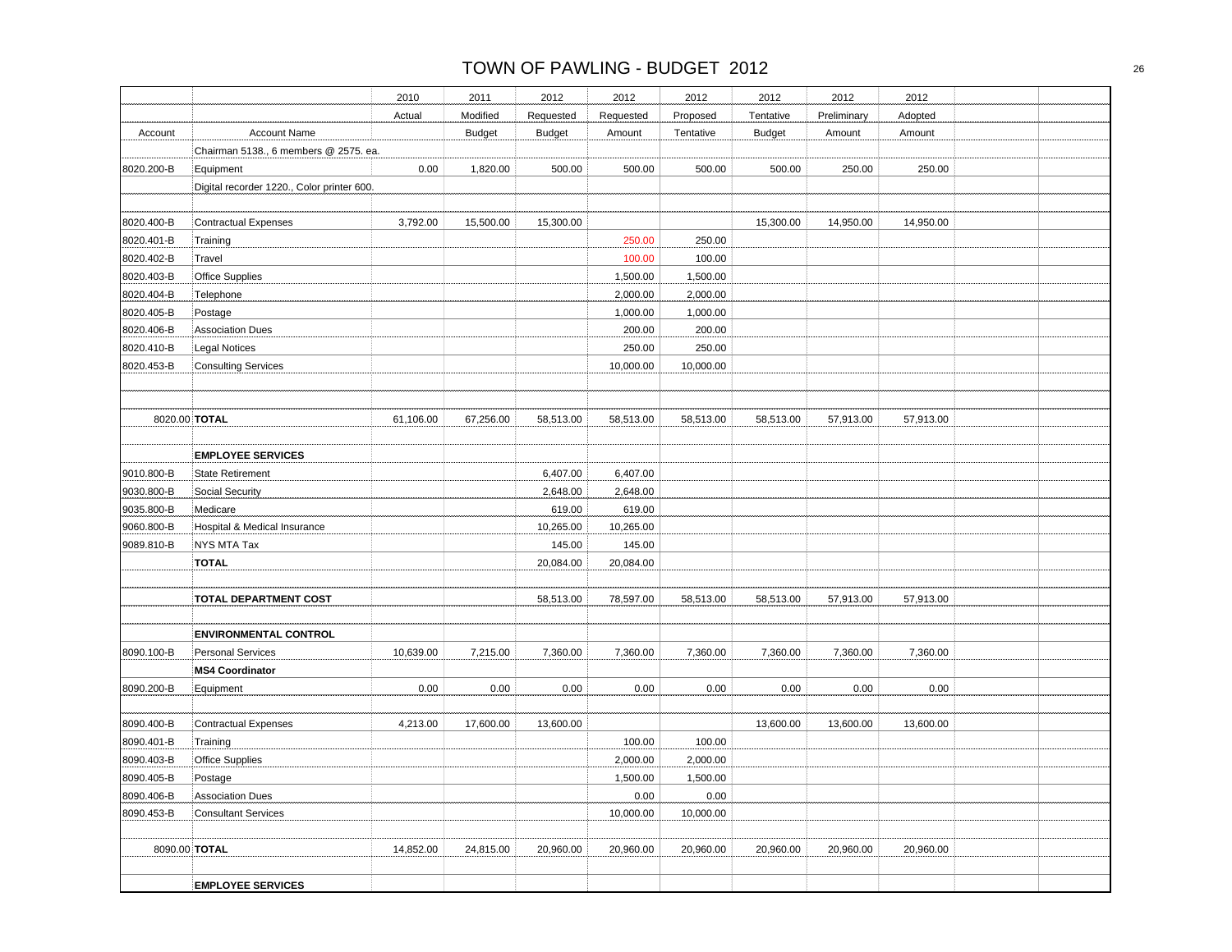|               |                                            | 2010      | 2011          | 2012          | 2012      | 2012      | 2012          | 2012        | 2012      |  |
|---------------|--------------------------------------------|-----------|---------------|---------------|-----------|-----------|---------------|-------------|-----------|--|
|               |                                            | Actual    | Modified      | Requested     | Requested | Proposed  | Tentative     | Preliminary | Adopted   |  |
| Account       | <b>Account Name</b>                        |           | <b>Budget</b> | <b>Budget</b> | Amount    | Tentative | <b>Budget</b> | Amount      | Amount    |  |
|               | Chairman 5138., 6 members @ 2575. ea.      |           |               |               |           |           |               |             |           |  |
| 8020.200-B    | Equipment                                  | 0.00      | 1,820.00      | 500.00        | 500.00    | 500.00    | 500.00        | 250.00      | 250.00    |  |
|               | Digital recorder 1220., Color printer 600. |           |               |               |           |           |               |             |           |  |
|               |                                            |           |               |               |           |           |               |             |           |  |
| 8020.400-B    | <b>Contractual Expenses</b>                | 3,792.00  | 15,500.00     | 15,300.00     |           |           | 15,300.00     | 14,950.00   | 14,950.00 |  |
| 8020.401-B    | Training                                   |           |               |               | 250.00    | 250.00    |               |             |           |  |
| 8020.402-B    | Travel                                     |           |               |               | 100.00    | 100.00    |               |             |           |  |
| 8020.403-B    | Office Supplies                            |           |               |               | 1,500.00  | 1,500.00  |               |             |           |  |
| 8020.404-B    | Telephone                                  |           |               |               | 2,000.00  | 2,000.00  |               |             |           |  |
| 8020.405-B    | Postage                                    |           |               |               | 1,000.00  | 1,000.00  |               |             |           |  |
| 8020.406-B    | <b>Association Dues</b>                    |           |               |               | 200.00    | 200.00    |               |             |           |  |
| 8020.410-B    | <b>Legal Notices</b>                       |           |               |               | 250.00    | 250.00    |               |             |           |  |
| 8020.453-B    | <b>Consulting Services</b>                 |           |               |               | 10,000.00 | 10,000.00 |               |             |           |  |
|               |                                            |           |               |               |           |           |               |             |           |  |
|               |                                            |           |               |               |           |           |               |             |           |  |
| 8020.00 TOTAL |                                            | 61,106.00 | 67,256.00     | 58,513.00     | 58,513.00 | 58,513.00 | 58,513.00     | 57,913.00   | 57,913.00 |  |
|               |                                            |           |               |               |           |           |               |             |           |  |
|               | <b>EMPLOYEE SERVICES</b>                   |           |               |               |           |           |               |             |           |  |
| 9010.800-B    | <b>State Retirement</b>                    |           |               | 6,407.00      | 6,407.00  |           |               |             |           |  |
| 9030.800-B    | Social Security                            |           |               | 2,648.00      | 2,648.00  |           |               |             |           |  |
| 9035.800-B    | Medicare                                   |           |               | 619.00        | 619.00    |           |               |             |           |  |
| 9060.800-B    | Hospital & Medical Insurance               |           |               | 10,265.00     | 10,265.00 |           |               |             |           |  |
| 9089.810-B    | NYS MTA Tax                                |           |               | 145.00        | 145.00    |           |               |             |           |  |
|               | <b>TOTAL</b>                               |           |               | 20,084.00     | 20,084.00 |           |               |             |           |  |
|               |                                            |           |               |               |           |           |               |             |           |  |
|               | <b>TOTAL DEPARTMENT COST</b>               |           |               | 58,513.00     | 78,597.00 | 58,513.00 | 58,513.00     | 57,913.00   | 57,913.00 |  |
|               |                                            |           |               |               |           |           |               |             |           |  |
|               | <b>ENVIRONMENTAL CONTROL</b>               |           |               |               |           |           |               |             |           |  |
| 8090.100-B    | <b>Personal Services</b>                   | 10,639.00 | 7,215.00      | 7,360.00      | 7,360.00  | 7,360.00  | 7,360.00      | 7,360.00    | 7,360.00  |  |
|               | <b>MS4 Coordinator</b>                     |           |               |               |           |           |               |             |           |  |
| 8090.200-B    | Equipment                                  | 0.00      | 0.00          | 0.00          | 0.00      | 0.00      | 0.00          | 0.00        | 0.00      |  |
|               |                                            |           |               |               |           |           |               |             |           |  |
| 8090.400-B    | <b>Contractual Expenses</b>                | 4,213.00  | 17,600.00     | 13,600.00     |           |           | 13,600.00     | 13,600.00   | 13,600.00 |  |
| 8090.401-B    | Training                                   |           |               |               | 100.00    | 100.00    |               |             |           |  |
| 8090.403-B    | <b>Office Supplies</b>                     |           |               |               | 2,000.00  | 2,000.00  |               |             |           |  |
| 8090.405-B    | Postage                                    |           |               |               | 1,500.00  | 1,500.00  |               |             |           |  |
| 8090.406-B    | <b>Association Dues</b>                    |           |               |               | 0.00      | 0.00      |               |             |           |  |
| 8090.453-B    | <b>Consultant Services</b>                 |           |               |               | 10,000.00 | 10,000.00 |               |             |           |  |
| 8090.00 TOTAL |                                            | 14,852.00 | 24,815.00     | 20,960.00     | 20,960.00 | 20,960.00 | 20,960.00     | 20,960.00   | 20,960.00 |  |
|               |                                            |           |               |               |           |           |               |             |           |  |
|               | <b>EMPLOYEE SERVICES</b>                   |           |               |               |           |           |               |             |           |  |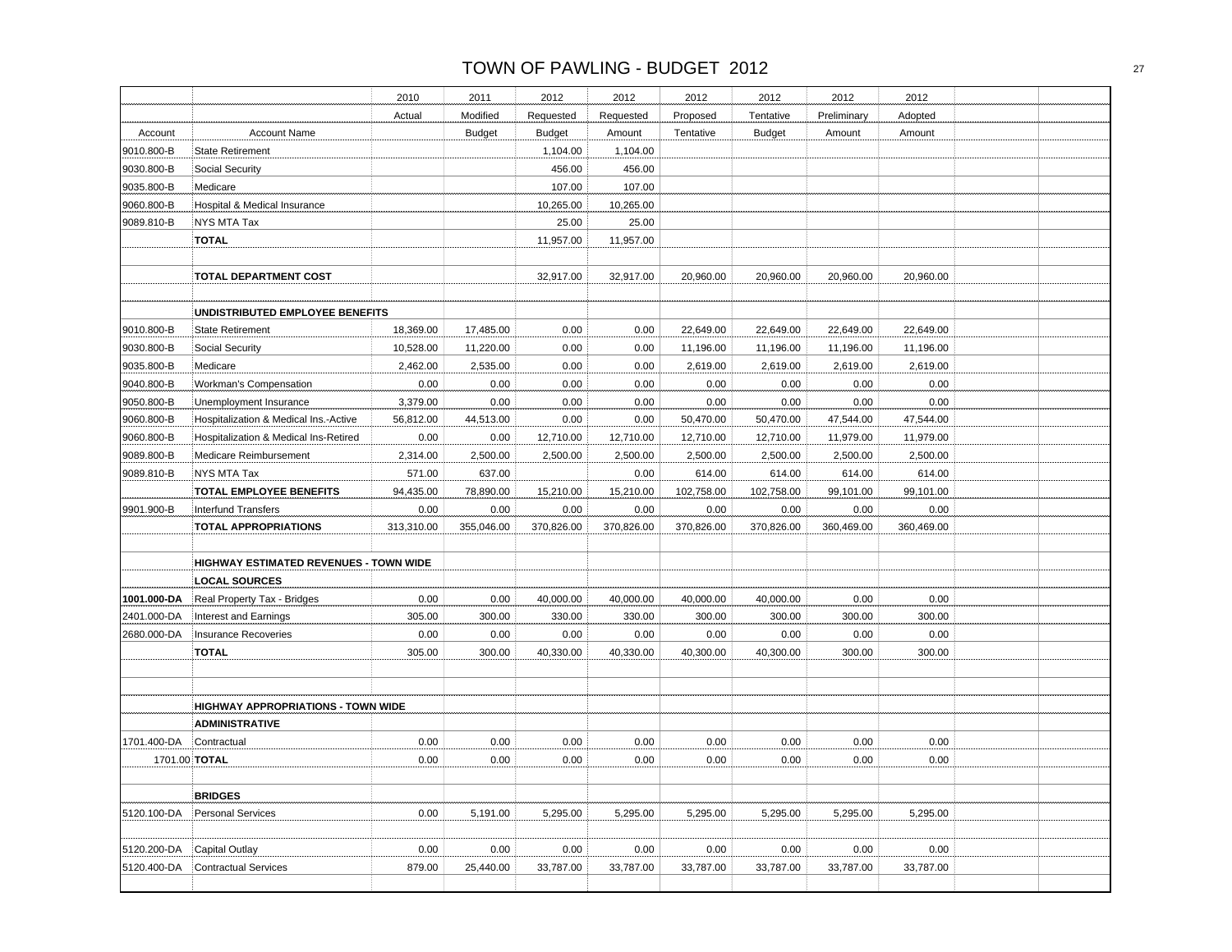|             |                                           | 2010       | 2011          | 2012          | 2012       | 2012       | 2012          | 2012        | 2012       |  |
|-------------|-------------------------------------------|------------|---------------|---------------|------------|------------|---------------|-------------|------------|--|
|             |                                           | Actual     | Modified      | Requested     | Requested  | Proposed   | Tentative     | Preliminary | Adopted    |  |
| Account     | <b>Account Name</b>                       |            | <b>Budget</b> | <b>Budget</b> | Amount     | Tentative  | <b>Budget</b> | Amount      | Amount     |  |
| 9010.800-B  | <b>State Retirement</b>                   |            |               | 1,104.00      | 1,104.00   |            |               |             |            |  |
| 9030.800-B  | Social Security                           |            |               | 456.00        | 456.00     |            |               |             |            |  |
| 9035.800-B  | Medicare                                  |            |               | 107.00        | 107.00     |            |               |             |            |  |
| 9060.800-B  | Hospital & Medical Insurance              |            |               | 10,265.00     | 10,265.00  |            |               |             |            |  |
| 9089.810-B  | <b>NYS MTA Tax</b>                        |            |               | 25.00         | 25.00      |            |               |             |            |  |
|             | <b>TOTAL</b>                              |            |               | 11,957.00     | 11,957.00  |            |               |             |            |  |
|             |                                           |            |               |               |            |            |               |             |            |  |
|             | <b>TOTAL DEPARTMENT COST</b>              |            |               | 32,917.00     | 32,917.00  | 20,960.00  | 20,960.00     | 20,960.00   | 20,960.00  |  |
|             |                                           |            |               |               |            |            |               |             |            |  |
|             | UNDISTRIBUTED EMPLOYEE BENEFITS           |            |               |               |            |            |               |             |            |  |
| 9010.800-B  | <b>State Retirement</b>                   | 18,369.00  | 17,485.00     | 0.00          | 0.00       | 22,649.00  | 22,649.00     | 22,649.00   | 22,649.00  |  |
| 9030.800-B  | Social Security                           | 10,528.00  | 11,220.00     | 0.00          | 0.00       | 11,196.00  | 11,196.00     | 11,196.00   | 11,196.00  |  |
| 9035.800-B  | Medicare                                  | 2,462.00   | 2,535.00      | 0.00          | 0.00       | 2,619.00   | 2,619.00      | 2,619.00    | 2,619.00   |  |
| 9040.800-B  | Workman's Compensation                    | 0.00       | 0.00          | 0.00          | 0.00       | 0.00       | 0.00          | 0.00        | 0.00       |  |
| 9050.800-B  | Unemployment Insurance                    | 3,379.00   | 0.00          | 0.00          | 0.00       | 0.00       | 0.00          | 0.00        | 0.00       |  |
| 9060.800-B  | Hospitalization & Medical Ins.-Active     | 56,812.00  | 44,513.00     | 0.00          | 0.00       | 50,470.00  | 50,470.00     | 47,544.00   | 47,544.00  |  |
| 9060.800-B  | Hospitalization & Medical Ins-Retired     | 0.00       | 0.00          | 12,710.00     | 12,710.00  | 12,710.00  | 12,710.00     | 11,979.00   | 11,979.00  |  |
| 9089.800-B  | Medicare Reimbursement                    | 2,314.00   | 2,500.00      | 2,500.00      | 2,500.00   | 2,500.00   | 2,500.00      | 2,500.00    | 2,500.00   |  |
| 9089.810-B  | NYS MTA Tax                               | 571.00     | 637.00        |               | 0.00       | 614.00     | 614.00        | 614.00      | 614.00     |  |
|             | <b>TOTAL EMPLOYEE BENEFITS</b>            | 94,435.00  | 78,890.00     | 15,210.00     | 15,210.00  | 102,758.00 | 102,758.00    | 99,101.00   | 99,101.00  |  |
| 9901.900-B  | <b>Interfund Transfers</b>                | 0.00       | 0.00          | 0.00          | 0.00       | 0.00       | 0.00          | 0.00        | 0.00       |  |
|             | <b>TOTAL APPROPRIATIONS</b>               | 313,310.00 | 355,046.00    | 370,826.00    | 370,826.00 | 370,826.00 | 370,826.00    | 360,469.00  | 360,469.00 |  |
|             |                                           |            |               |               |            |            |               |             |            |  |
|             | HIGHWAY ESTIMATED REVENUES - TOWN WIDE    |            |               |               |            |            |               |             |            |  |
|             | <b>LOCAL SOURCES</b>                      |            |               |               |            |            |               |             |            |  |
| 1001.000-DA | Real Property Tax - Bridges               | 0.00       | 0.00          | 40,000.00     | 40,000.00  | 40,000.00  | 40,000.00     | 0.00        | 0.00       |  |
| 2401.000-DA | Interest and Earnings                     | 305.00     | 300.00        | 330.00        | 330.00     | 300.00     | 300.00        | 300.00      | 300.00     |  |
| 2680.000-DA | <b>Insurance Recoveries</b>               | 0.00       | 0.00          | 0.00          | 0.00       | 0.00       | 0.00          | 0.00        | 0.00       |  |
|             | <b>TOTAL</b>                              | 305.00     | 300.00        | 40,330.00     | 40,330.00  | 40,300.00  | 40,300.00     |             | 300.00     |  |
|             |                                           |            |               |               |            |            |               | 300.00      |            |  |
|             |                                           |            |               |               |            |            |               |             |            |  |
|             |                                           |            |               |               |            |            |               |             |            |  |
|             | <b>HIGHWAY APPROPRIATIONS - TOWN WIDE</b> |            |               |               |            |            |               |             |            |  |
|             | <b>ADMINISTRATIVE</b>                     |            |               |               |            |            |               |             |            |  |
| 1701.400-DA | Contractual                               | 0.00       | 0.00          | 0.00          | 0.00       | 0.00       | 0.00          | 0.00        | 0.00       |  |
|             | 1701.00 TOTAL                             | 0.00       | 0.00          | 0.00          | 0.00       | 0.00       | 0.00          | 0.00        | 0.00       |  |
|             |                                           |            |               |               |            |            |               |             |            |  |
|             | <b>BRIDGES</b>                            |            |               |               |            |            |               |             |            |  |
| 5120.100-DA | <b>Personal Services</b>                  | 0.00       | 5,191.00      | 5,295.00      | 5,295.00   | 5,295.00   | 5,295.00      | 5,295.00    | 5,295.00   |  |
|             |                                           |            |               |               |            |            |               |             |            |  |
| 5120.200-DA | Capital Outlay                            | 0.00       | 0.00          | 0.00          | 0.00       | 0.00       | 0.00          | 0.00        | 0.00       |  |
| 5120.400-DA | <b>Contractual Services</b>               | 879.00     | 25,440.00     | 33,787.00     | 33,787.00  | 33,787.00  | 33,787.00     | 33,787.00   | 33,787.00  |  |
|             |                                           |            |               |               |            |            |               |             |            |  |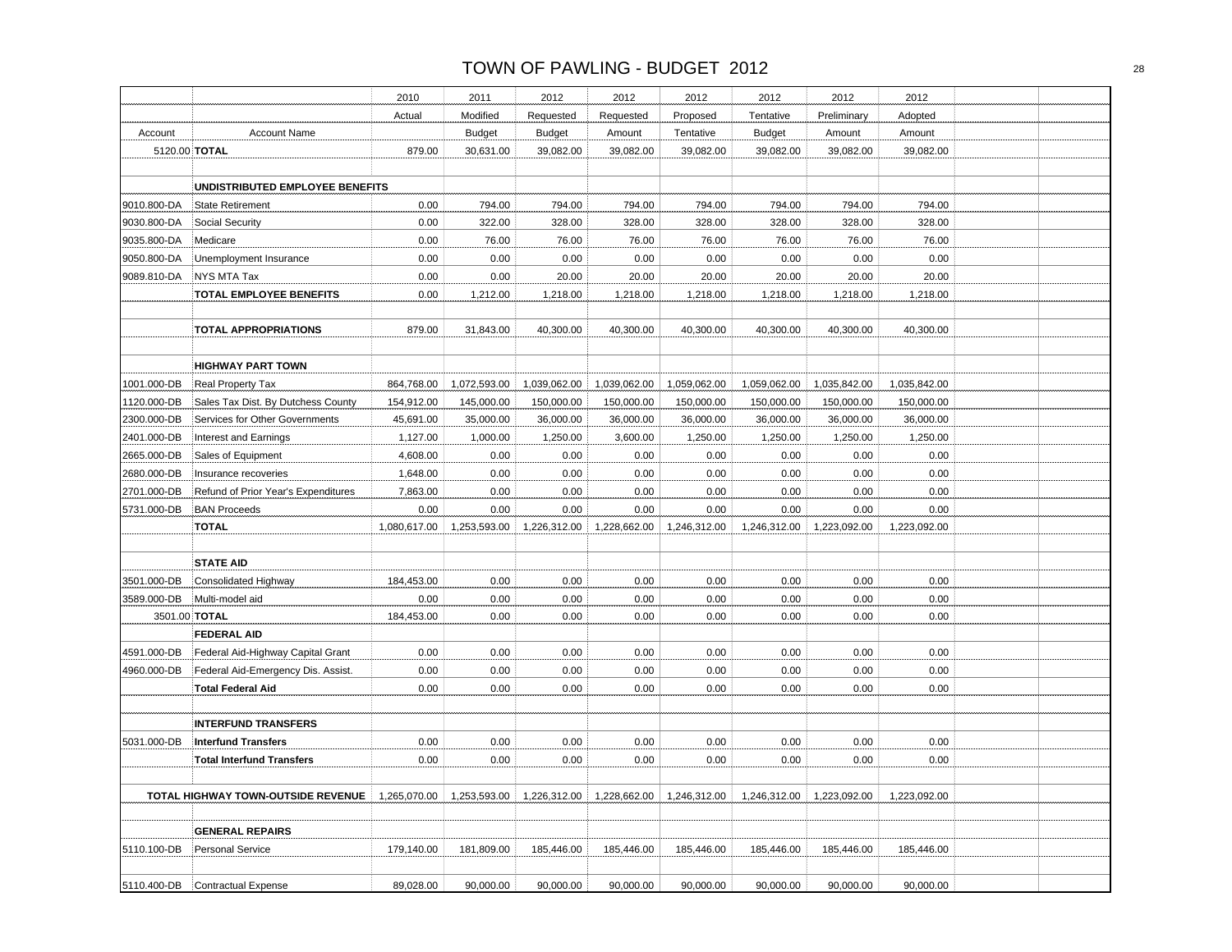|               |                                     | 2010         | 2011                      | 2012          | 2012         | 2012         | 2012          | 2012         | 2012         |  |
|---------------|-------------------------------------|--------------|---------------------------|---------------|--------------|--------------|---------------|--------------|--------------|--|
|               |                                     | Actual       | Modified                  | Requested     | Requested    | Proposed     | Tentative     | Preliminary  | Adopted      |  |
| Account       | <b>Account Name</b>                 |              | <b>Budget</b>             | <b>Budget</b> | Amount       | Tentative    | <b>Budget</b> | Amount       | Amount       |  |
| 5120.00 TOTAL |                                     | 879.00       | 30,631.00                 | 39,082.00     | 39,082.00    | 39,082.00    | 39,082.00     | 39,082.00    | 39,082.00    |  |
|               |                                     |              |                           |               |              |              |               |              |              |  |
|               | UNDISTRIBUTED EMPLOYEE BENEFITS     |              |                           |               |              |              |               |              |              |  |
| 9010.800-DA   | <b>State Retirement</b>             | 0.00         | 794.00                    | 794.00        | 794.00       | 794.00       | 794.00        | 794.00       | 794.00       |  |
| 9030.800-DA   | Social Security                     | 0.00         | 322.00                    | 328.00        | 328.00       | 328.00       | 328.00        | 328.00       | 328.00       |  |
| 9035.800-DA   | Medicare                            | 0.00         | 76.00                     | 76.00         | 76.00        | 76.00        | 76.00         | 76.00        | 76.00        |  |
| 9050.800-DA   | Unemployment Insurance              | 0.00         | 0.00                      | 0.00          | 0.00         | 0.00         | 0.00          | 0.00         | 0.00         |  |
| 9089.810-DA   | <b>NYS MTA Tax</b>                  | 0.00         | 0.00                      | 20.00         | 20.00        | 20.00        | 20.00         | 20.00        | 20.00        |  |
|               | <b>TOTAL EMPLOYEE BENEFITS</b>      | 0.00         | 1,212.00                  | 1,218.00      | 1,218.00     | 1,218.00     | 1,218.00      | 1,218.00     | 1,218.00     |  |
|               |                                     |              |                           |               |              |              |               |              |              |  |
|               | <b>TOTAL APPROPRIATIONS</b>         | 879.00       | 31,843.00                 | 40,300.00     | 40,300.00    | 40,300.00    | 40,300.00     | 40,300.00    | 40,300.00    |  |
|               |                                     |              |                           |               |              |              |               |              |              |  |
|               | <b>HIGHWAY PART TOWN</b>            |              |                           |               |              |              |               |              |              |  |
| 1001.000-DB   | <b>Real Property Tax</b>            | 864,768.00   | 1,072,593.00              | 1,039,062.00  | 1,039,062.00 | 1,059,062.00 | 1,059,062.00  | 1,035,842.00 | 1,035,842.00 |  |
| 1120.000-DB   | Sales Tax Dist. By Dutchess County  | 154,912.00   | 145,000.00                | 150,000.00    | 150,000.00   | 150,000.00   | 150,000.00    | 150,000.00   | 150,000.00   |  |
| 2300.000-DB   | Services for Other Governments      | 45,691.00    | 35,000.00                 | 36,000.00     | 36,000.00    | 36,000.00    | 36,000.00     | 36,000.00    | 36,000.00    |  |
| 2401.000-DB   | Interest and Earnings               | 1,127.00     | 1,000.00                  | 1,250.00      | 3,600.00     | 1,250.00     | 1,250.00      | 1,250.00     | 1,250.00     |  |
| 2665.000-DB   | Sales of Equipment                  | 4,608.00     | 0.00                      | 0.00          | 0.00         | 0.00         | 0.00          | 0.00         | 0.00         |  |
| 2680.000-DB   | Insurance recoveries                | 1,648.00     | 0.00                      | 0.00          | 0.00         | 0.00         | 0.00          | 0.00         | 0.00         |  |
| 2701.000-DB   | Refund of Prior Year's Expenditures | 7,863.00     | 0.00                      | 0.00          | 0.00         | 0.00         | 0.00          | 0.00         | 0.00         |  |
| 5731.000-DB   | <b>BAN Proceeds</b>                 | 0.00         | 0.00                      | 0.00          | 0.00         | 0.00         | 0.00          | 0.00         | 0.00         |  |
|               | <b>TOTAL</b>                        | 1,080,617.00 | 1,253,593.00              | 1,226,312.00  | 1,228,662.00 | 1,246,312.00 | 1,246,312.00  | 1,223,092.00 | 1,223,092.00 |  |
|               |                                     |              |                           |               |              |              |               |              |              |  |
|               | <b>STATE AID</b>                    |              |                           |               |              |              |               |              |              |  |
| 3501.000-DB   | Consolidated Highway                | 184,453.00   | 0.00                      | 0.00          | 0.00         | 0.00         | 0.00          | 0.00         | 0.00         |  |
| 3589.000-DB   | Multi-model aid                     | 0.00         | 0.00                      | 0.00          | 0.00         | 0.00         | 0.00          | 0.00         | 0.00         |  |
| 3501.00 TOTAL |                                     | 184,453.00   | 0.00                      | 0.00          | 0.00         | 0.00         | 0.00          | 0.00         | 0.00         |  |
|               | <b>FEDERAL AID</b>                  |              |                           |               |              |              |               |              |              |  |
|               |                                     |              |                           |               |              |              | 0.00          |              | 0.00         |  |
| 4591.000-DB   | Federal Aid-Highway Capital Grant   | 0.00         | 0.00                      | 0.00          | 0.00         | 0.00         |               | 0.00         |              |  |
| 4960.000-DB   | Federal Aid-Emergency Dis. Assist.  | 0.00         | 0.00                      | 0.00          | 0.00         | 0.00         | 0.00          | 0.00         | 0.00         |  |
|               | <b>Total Federal Aid</b>            | 0.00         | 0.00                      | 0.00          | 0.00         | 0.00         | 0.00          | 0.00         | 0.00         |  |
|               |                                     |              |                           |               |              |              |               |              |              |  |
|               | <b>INTERFUND TRANSFERS</b>          |              |                           |               |              |              |               |              |              |  |
| 5031.000-DB   | <b>Interfund Transfers</b>          | 0.00         | 0.00                      | 0.00          | 0.00         | 0.00         | 0.00          | 0.00         | 0.00         |  |
|               | <b>Total Interfund Transfers</b>    | 0.00         | 0.00                      | 0.00          | 0.00         | 0.00         | 0.00          | 0.00         | 0.00         |  |
|               |                                     |              |                           |               |              |              |               |              |              |  |
|               | TOTAL HIGHWAY TOWN-OUTSIDE REVENUE  |              | 1,265,070.00 1,253,593.00 | 1,226,312.00  | 1,228,662.00 | 1,246,312.00 | 1,246,312.00  | 1,223,092.00 | 1,223,092.00 |  |
|               |                                     |              |                           |               |              |              |               |              |              |  |
|               | <b>GENERAL REPAIRS</b>              |              |                           |               |              |              |               |              |              |  |
| 5110.100-DB   | Personal Service                    | 179,140.00   | 181,809.00                | 185,446.00    | 185,446.00   | 185,446.00   | 185,446.00    | 185,446.00   | 185,446.00   |  |
|               |                                     |              |                           |               |              |              |               |              |              |  |
| 5110.400-DB   | Contractual Expense                 | 89,028.00    | 90,000.00                 | 90,000.00     | 90,000.00    | 90,000.00    | 90,000.00     | 90,000.00    | 90,000.00    |  |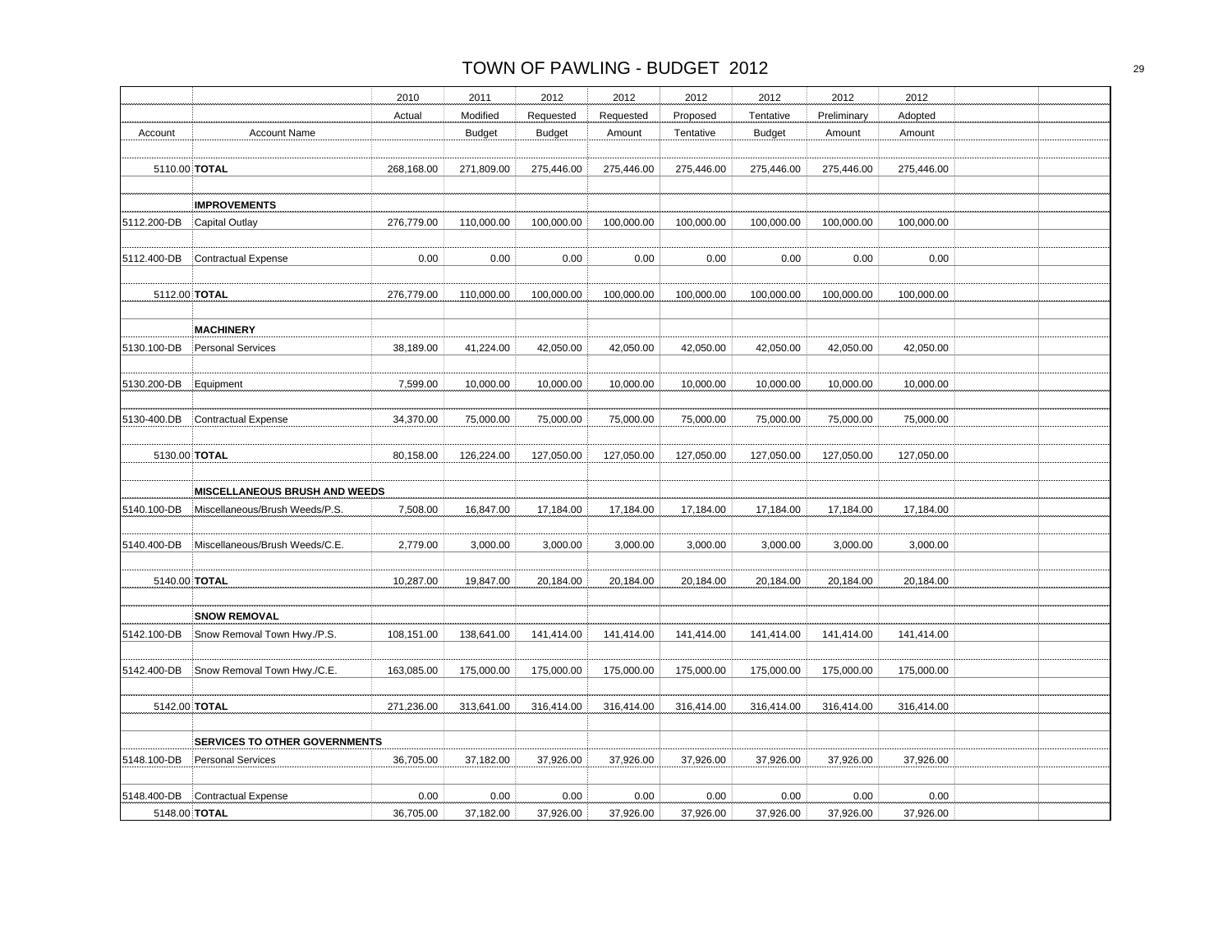|             |                                      | 2010       | 2011          | 2012          | 2012       | 2012       | 2012          | 2012        | 2012       |  |
|-------------|--------------------------------------|------------|---------------|---------------|------------|------------|---------------|-------------|------------|--|
|             |                                      | Actual     | Modified      | Requested     | Requested  | Proposed   | Tentative     | Preliminary | Adopted    |  |
| Account     | <b>Account Name</b>                  |            | <b>Budget</b> | <b>Budget</b> | Amount     | Tentative  | <b>Budget</b> | Amount      | Amount     |  |
|             |                                      |            |               |               |            |            |               |             |            |  |
|             | 5110.00 TOTAL                        | 268,168.00 | 271,809.00    | 275,446.00    | 275,446.00 | 275,446.00 | 275,446.00    | 275,446.00  | 275,446.00 |  |
|             |                                      |            |               |               |            |            |               |             |            |  |
|             | <b>IMPROVEMENTS</b>                  |            |               |               |            |            |               |             |            |  |
| 5112.200-DB | Capital Outlay                       | 276,779.00 | 110,000.00    | 100,000.00    | 100,000.00 | 100,000.00 | 100,000.00    | 100,000.00  | 100,000.00 |  |
|             |                                      |            |               |               |            |            |               |             |            |  |
| 5112.400-DB | <b>Contractual Expense</b>           | 0.00       | 0.00          | 0.00          | 0.00       | 0.00       | 0.00          | 0.00        | 0.00       |  |
|             |                                      |            |               |               |            |            |               |             |            |  |
|             | 5112.00 TOTAL                        | 276,779.00 | 110,000.00    | 100,000.00    | 100,000.00 | 100,000.00 | 100,000.00    | 100,000.00  | 100,000.00 |  |
|             |                                      |            |               |               |            |            |               |             |            |  |
|             | <b>MACHINERY</b>                     |            |               |               |            |            |               |             |            |  |
| 5130.100-DB | <b>Personal Services</b>             | 38,189.00  | 41,224.00     | 42,050.00     | 42,050.00  | 42,050.00  | 42,050.00     | 42,050.00   | 42,050.00  |  |
|             |                                      |            |               |               |            |            |               |             |            |  |
| 5130.200-DB | Equipment                            | 7,599.00   | 10,000.00     | 10,000.00     | 10,000.00  | 10,000.00  | 10,000.00     | 10,000.00   | 10,000.00  |  |
|             |                                      |            |               |               |            |            |               |             |            |  |
| 5130-400.DB | Contractual Expense                  | 34,370.00  | 75,000.00     | 75,000.00     | 75,000.00  | 75,000.00  | 75,000.00     | 75,000.00   | 75,000.00  |  |
|             |                                      |            |               |               |            |            |               |             |            |  |
|             | 5130.00 TOTAL                        | 80,158.00  | 126,224.00    | 127,050.00    | 127,050.00 | 127,050.00 | 127,050.00    | 127,050.00  | 127,050.00 |  |
|             |                                      |            |               |               |            |            |               |             |            |  |
|             | MISCELLANEOUS BRUSH AND WEEDS        |            |               |               |            |            |               |             |            |  |
| 5140.100-DB | Miscellaneous/Brush Weeds/P.S.       | 7,508.00   | 16,847.00     | 17,184.00     | 17,184.00  | 17,184.00  | 17,184.00     | 17,184.00   | 17,184.00  |  |
|             |                                      |            |               |               |            |            |               |             |            |  |
| 5140.400-DB | Miscellaneous/Brush Weeds/C.E.       | 2,779.00   | 3,000.00      | 3,000.00      | 3,000.00   | 3,000.00   | 3,000.00      | 3,000.00    | 3,000.00   |  |
|             |                                      |            |               |               |            |            |               |             |            |  |
|             | 5140.00 TOTAL                        | 10,287.00  | 19,847.00     | 20,184.00     | 20,184.00  | 20,184.00  | 20,184.00     | 20,184.00   | 20,184.00  |  |
|             |                                      |            |               |               |            |            |               |             |            |  |
|             | <b>SNOW REMOVAL</b>                  |            |               |               |            |            |               |             |            |  |
| 5142.100-DB | Snow Removal Town Hwy./P.S.          | 108,151.00 | 138,641.00    | 141,414.00    | 141,414.00 | 141,414.00 | 141,414.00    | 141,414.00  | 141,414.00 |  |
|             |                                      |            |               |               |            |            |               |             |            |  |
| 5142.400-DB | Snow Removal Town Hwy./C.E.          | 163,085.00 | 175,000.00    | 175,000.00    | 175,000.00 | 175,000.00 | 175,000.00    | 175,000.00  | 175,000.00 |  |
|             |                                      |            |               |               |            |            |               |             |            |  |
|             | 5142.00 TOTAL                        | 271,236.00 | 313,641.00    | 316,414.00    | 316,414.00 | 316,414.00 | 316,414.00    | 316,414.00  | 316,414.00 |  |
|             |                                      |            |               |               |            |            |               |             |            |  |
|             | <b>SERVICES TO OTHER GOVERNMENTS</b> |            |               |               |            |            |               |             |            |  |
| 5148.100-DB | <b>Personal Services</b>             | 36,705.00  | 37,182.00     | 37,926.00     | 37,926.00  | 37,926.00  | 37,926.00     | 37,926.00   | 37,926.00  |  |
|             |                                      |            |               |               |            |            |               |             |            |  |
| 5148.400-DB | Contractual Expense                  | 0.00       | 0.00          | 0.00          | 0.00       | 0.00       | 0.00          | 0.00        | 0.00       |  |
|             | 5148.00 TOTAL                        | 36,705.00  | 37,182.00     | 37,926.00     | 37,926.00  | 37,926.00  | 37,926.00     | 37,926.00   | 37,926.00  |  |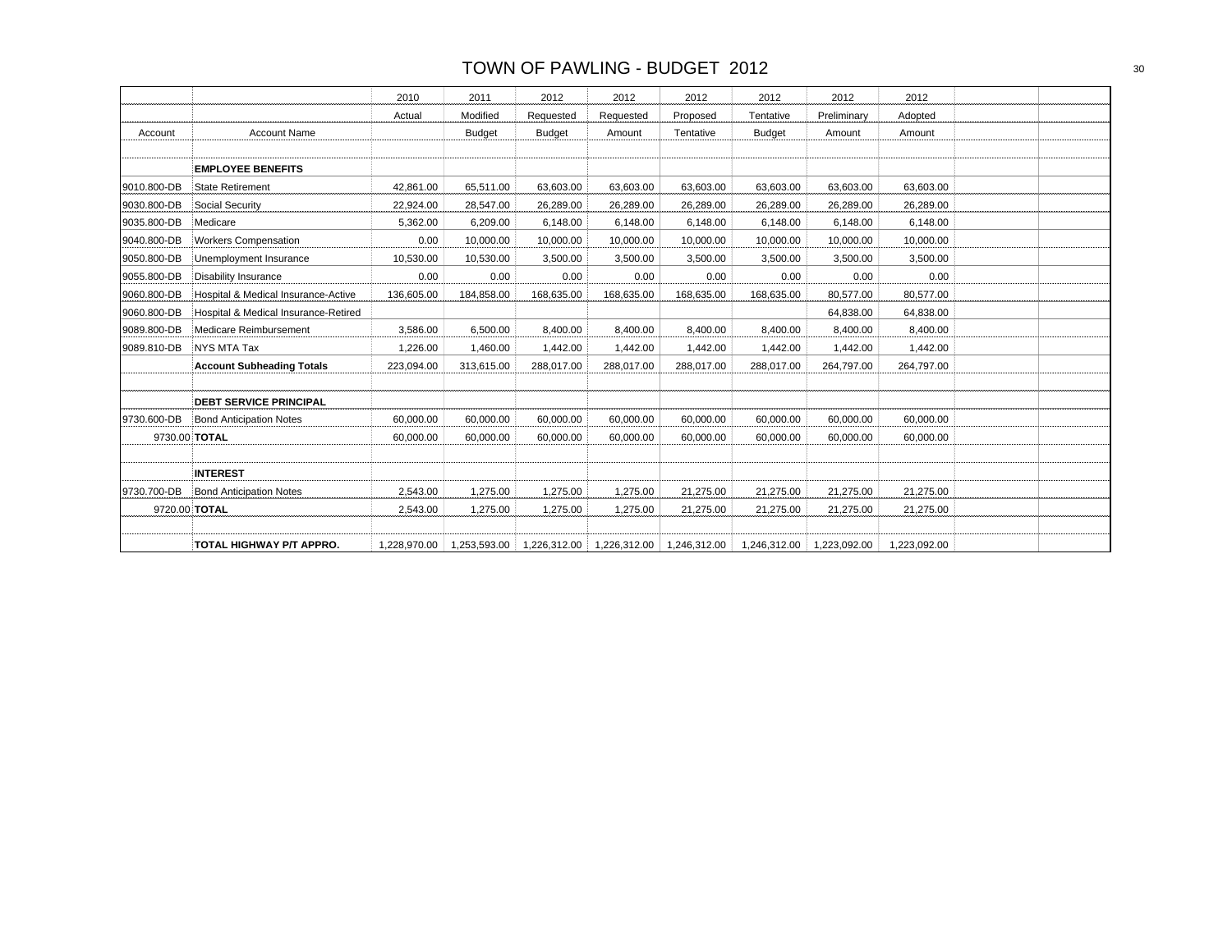|             |                                      | 2010         | 2011          | 2012          | 2012                      | 2012         | 2012          | 2012         | 2012         |  |
|-------------|--------------------------------------|--------------|---------------|---------------|---------------------------|--------------|---------------|--------------|--------------|--|
|             |                                      | Actual       | Modified      | Requested     | Requested                 | Proposed     | Tentative     | Preliminary  | Adopted      |  |
| Account     | <b>Account Name</b>                  |              | <b>Budget</b> | <b>Budget</b> | Amount                    | Tentative    | <b>Budget</b> | Amount       | Amount       |  |
|             |                                      |              |               |               |                           |              |               |              |              |  |
|             | <b>EMPLOYEE BENEFITS</b>             |              |               |               |                           |              |               |              |              |  |
| 9010.800-DB | <b>State Retirement</b>              | 42.861.00    | 65,511.00     | 63,603.00     | 63,603.00                 | 63,603.00    | 63,603.00     | 63,603.00    | 63,603.00    |  |
| 9030.800-DB | Social Security                      | 22,924.00    | 28,547.00     | 26,289.00     | 26,289.00                 | 26,289.00    | 26,289.00     | 26,289.00    | 26,289.00    |  |
| 9035.800-DB | Medicare                             | 5,362.00     | 6,209.00      | 6,148.00      | 6,148.00                  | 6,148.00     | 6,148.00      | 6,148.00     | 6,148.00     |  |
| 9040.800-DB | <b>Workers Compensation</b>          | 0.00         | 10,000.00     | 10,000.00     | 10,000.00                 | 10,000.00    | 10,000.00     | 10,000.00    | 10,000.00    |  |
| 9050.800-DB | Unemployment Insurance               | 10,530.00    | 10,530.00     | 3,500.00      | 3,500.00                  | 3,500.00     | 3,500.00      | 3,500.00     | 3,500.00     |  |
| 9055.800-DB | <b>Disability Insurance</b>          | 0.00         | 0.00          | 0.00          | 0.00                      | 0.00         | 0.00          | 0.00         | 0.00         |  |
| 9060.800-DB | Hospital & Medical Insurance-Active  | 136,605.00   | 184,858.00    | 168,635.00    | 168,635.00                | 168,635.00   | 168,635.00    | 80,577.00    | 80,577.00    |  |
| 9060.800-DB | Hospital & Medical Insurance-Retired |              |               |               |                           |              |               | 64,838.00    | 64,838.00    |  |
| 9089.800-DB | Medicare Reimbursement               | 3,586.00     | 6,500.00      | 8,400.00      | 8,400.00                  | 8,400.00     | 8,400.00      | 8,400.00     | 8,400.00     |  |
| 9089.810-DB | <b>NYS MTA Tax</b>                   | 1.226.00     | 1,460.00      | 1,442.00      | 1,442.00                  | 1,442.00     | 1,442.00      | 1,442.00     | 1,442.00     |  |
|             | <b>Account Subheading Totals</b>     | 223,094.00   | 313,615.00    | 288,017.00    | 288,017.00                | 288,017.00   | 288,017.00    | 264,797.00   | 264,797.00   |  |
|             |                                      |              |               |               |                           |              |               |              |              |  |
|             | <b>DEBT SERVICE PRINCIPAL</b>        |              |               |               |                           |              |               |              |              |  |
| 9730.600-DB | <b>Bond Anticipation Notes</b>       | 60,000.00    | 60,000.00     | 60,000.00     | 60,000.00                 | 60,000.00    | 60,000.00     | 60,000.00    | 60,000.00    |  |
|             | 9730.00 <b>TOTAL</b>                 | 60,000.00    | 60,000.00     | 60,000.00     | 60,000.00                 | 60.000.00    | 60,000.00     | 60,000.00    | 60,000.00    |  |
|             |                                      |              |               |               |                           |              |               |              |              |  |
|             | <b>INTEREST</b>                      |              |               |               |                           |              |               |              |              |  |
| 9730.700-DB | <b>Bond Anticipation Notes</b>       | 2,543.00     | 1,275.00      | 1,275.00      | 1,275.00                  | 21,275.00    | 21,275.00     | 21,275.00    | 21,275.00    |  |
|             | 9720.00 TOTAL                        | 2,543.00     | 1,275.00      | 1,275.00      | 1,275.00                  | 21,275.00    | 21,275.00     | 21,275.00    | 21,275.00    |  |
|             |                                      |              |               |               |                           |              |               |              |              |  |
|             | TOTAL HIGHWAY P/T APPRO.             | 1,228,970.00 | 1,253,593.00  |               | 1,226,312.00 1,226,312.00 | 1,246,312.00 | 1,246,312.00  | 1.223.092.00 | 1,223,092.00 |  |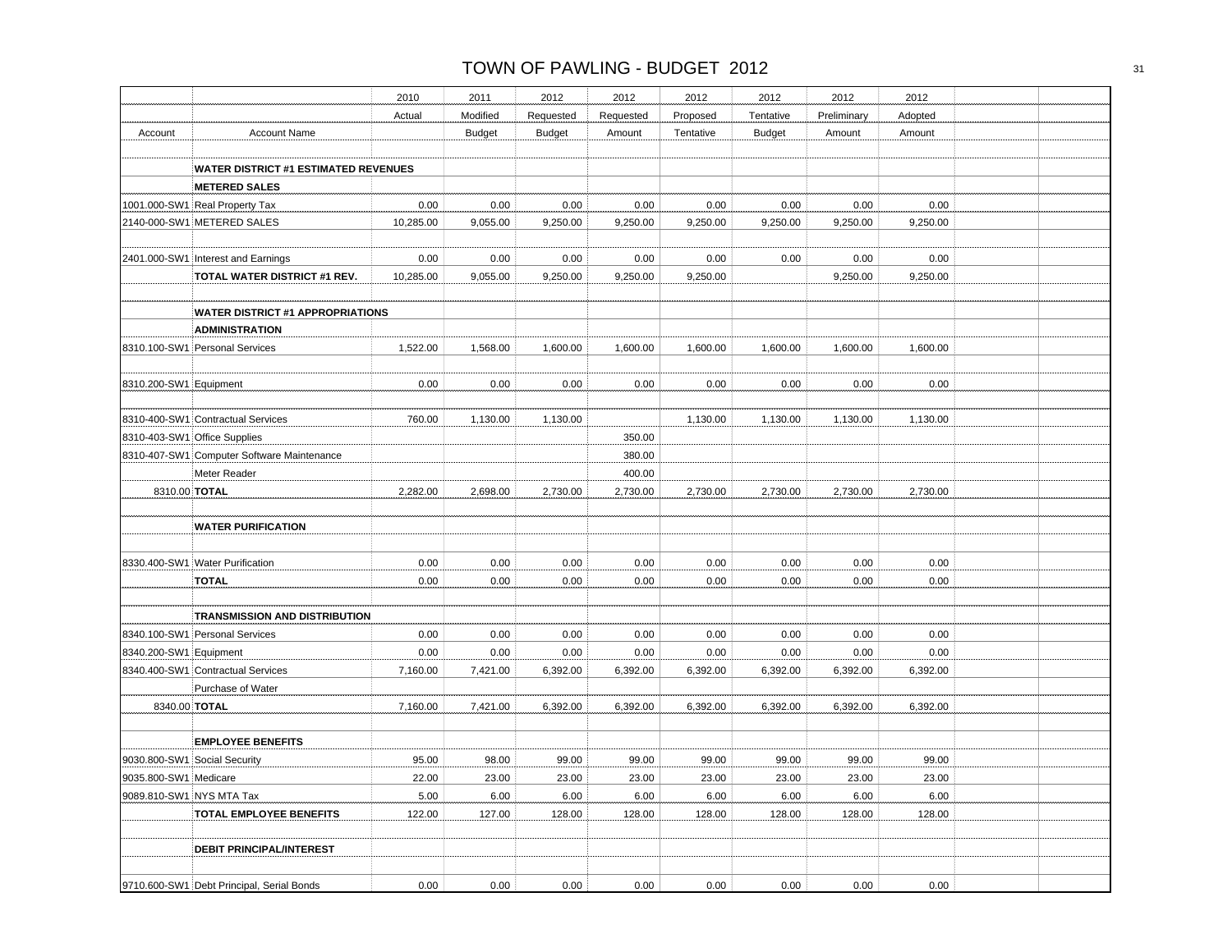|                        |                                             | 2010      | 2011          | 2012          | 2012      | 2012      | 2012          | 2012        | 2012     |  |
|------------------------|---------------------------------------------|-----------|---------------|---------------|-----------|-----------|---------------|-------------|----------|--|
|                        |                                             | Actual    | Modified      | Requested     | Requested | Proposed  | Tentative     | Preliminary | Adopted  |  |
| Account                | <b>Account Name</b>                         |           | <b>Budget</b> | <b>Budget</b> | Amount    | Tentative | <b>Budget</b> | Amount      | Amount   |  |
|                        |                                             |           |               |               |           |           |               |             |          |  |
|                        | <b>WATER DISTRICT #1 ESTIMATED REVENUES</b> |           |               |               |           |           |               |             |          |  |
|                        | <b>METERED SALES</b>                        |           |               |               |           |           |               |             |          |  |
|                        | 1001.000-SW1 Real Property Tax              | 0.00      | 0.00          | 0.00          | 0.00      | 0.00      | 0.00          | 0.00        | 0.00     |  |
|                        | 2140-000-SW1 METERED SALES                  | 10,285.00 | 9,055.00      | 9,250.00      | 9,250.00  | 9,250.00  | 9,250.00      | 9,250.00    | 9,250.00 |  |
|                        |                                             |           |               |               |           |           |               |             |          |  |
|                        | 2401.000-SW1 Interest and Earnings          | 0.00      | 0.00          | 0.00          | 0.00      | 0.00      | 0.00          | 0.00        | 0.00     |  |
|                        | TOTAL WATER DISTRICT #1 REV.                | 10,285.00 | 9,055.00      | 9,250.00      | 9,250.00  | 9,250.00  |               | 9,250.00    | 9,250.00 |  |
|                        |                                             |           |               |               |           |           |               |             |          |  |
|                        | <b>WATER DISTRICT #1 APPROPRIATIONS</b>     |           |               |               |           |           |               |             |          |  |
|                        | <b>ADMINISTRATION</b>                       |           |               |               |           |           |               |             |          |  |
|                        | 8310.100-SW1 Personal Services              | 1,522.00  | 1,568.00      | 1,600.00      | 1,600.00  | 1,600.00  | 1,600.00      | 1,600.00    | 1,600.00 |  |
|                        |                                             |           |               |               |           |           |               |             |          |  |
| 8310.200-SW1 Equipment |                                             | 0.00      | 0.00          | 0.00          | 0.00      | 0.00      | 0.00          | 0.00        | 0.00     |  |
|                        |                                             |           |               |               |           |           |               |             |          |  |
|                        | 8310-400-SW1 Contractual Services           | 760.00    | 1,130.00      | 1,130.00      |           | 1,130.00  | 1,130.00      | 1,130.00    | 1,130.00 |  |
|                        | 8310-403-SW1 Office Supplies                |           |               |               | 350.00    |           |               |             |          |  |
|                        | 8310-407-SW1 Computer Software Maintenance  |           |               |               | 380.00    |           |               |             |          |  |
|                        | Meter Reader                                |           |               |               | 400.00    |           |               |             |          |  |
|                        | 8310.00 TOTAL                               | 2,282.00  | 2,698.00      | 2,730.00      | 2,730.00  | 2,730.00  | 2,730.00      | 2,730.00    | 2,730.00 |  |
|                        |                                             |           |               |               |           |           |               |             |          |  |
|                        | <b>WATER PURIFICATION</b>                   |           |               |               |           |           |               |             |          |  |
|                        |                                             |           |               |               |           |           |               |             |          |  |
|                        | 8330.400-SW1 Water Purification             | 0.00      | 0.00          | 0.00          | 0.00      | 0.00      | 0.00          | 0.00        | 0.00     |  |
|                        | <b>TOTAL</b>                                | 0.00      | 0.00          | 0.00          | 0.00      | 0.00      | 0.00          | 0.00        | 0.00     |  |
|                        |                                             |           |               |               |           |           |               |             |          |  |
|                        | TRANSMISSION AND DISTRIBUTION               |           |               |               |           |           |               |             |          |  |
|                        | 8340.100-SW1 Personal Services              | 0.00      | 0.00          | 0.00          | 0.00      | 0.00      | 0.00          | 0.00        | 0.00     |  |
| 8340.200-SW1 Equipment |                                             | 0.00      | 0.00          | 0.00          | 0.00      | 0.00      | 0.00          | 0.00        | 0.00     |  |
|                        | 8340.400-SW1 Contractual Services           | 7,160.00  | 7,421.00      | 6,392.00      | 6,392.00  | 6,392.00  | 6,392.00      | 6,392.00    | 6,392.00 |  |
|                        | Purchase of Water                           |           |               |               |           |           |               |             |          |  |
|                        | 8340.00 TOTAL                               | 7,160.00  | 7,421.00      | 6,392.00      | 6,392.00  | 6.392.00  | 6.392.00      | 6,392.00    | 6,392.00 |  |
|                        |                                             |           |               |               |           |           |               |             |          |  |
|                        | <b>EMPLOYEE BENEFITS</b>                    |           |               |               |           |           |               |             |          |  |
|                        | 9030.800-SW1 Social Security                | 95.00     | 98.00         | 99.00         | 99.00     | 99.00     | 99.00         | 99.00       | 99.00    |  |
| 9035.800-SW1 Medicare  |                                             | 22.00     | 23.00         | 23.00         | 23.00     | 23.00     | 23.00         | 23.00       | 23.00    |  |
|                        | 9089.810-SW1 NYS MTA Tax                    | 5.00      | 6.00          | 6.00          | 6.00      | 6.00      | 6.00          | 6.00        | 6.00     |  |
|                        | <b>TOTAL EMPLOYEE BENEFITS</b>              | 122.00    | 127.00        | 128.00        | 128.00    | 128.00    | 128.00        | 128.00      | 128.00   |  |
|                        |                                             |           |               |               |           |           |               |             |          |  |
|                        | <b>DEBIT PRINCIPAL/INTEREST</b>             |           |               |               |           |           |               |             |          |  |
|                        |                                             |           |               |               |           |           |               |             |          |  |
|                        | 9710.600-SW1 Debt Principal, Serial Bonds   | 0.00      | 0.00          | 0.00          | 0.00      | 0.00      | 0.00          | 0.00        | 0.00     |  |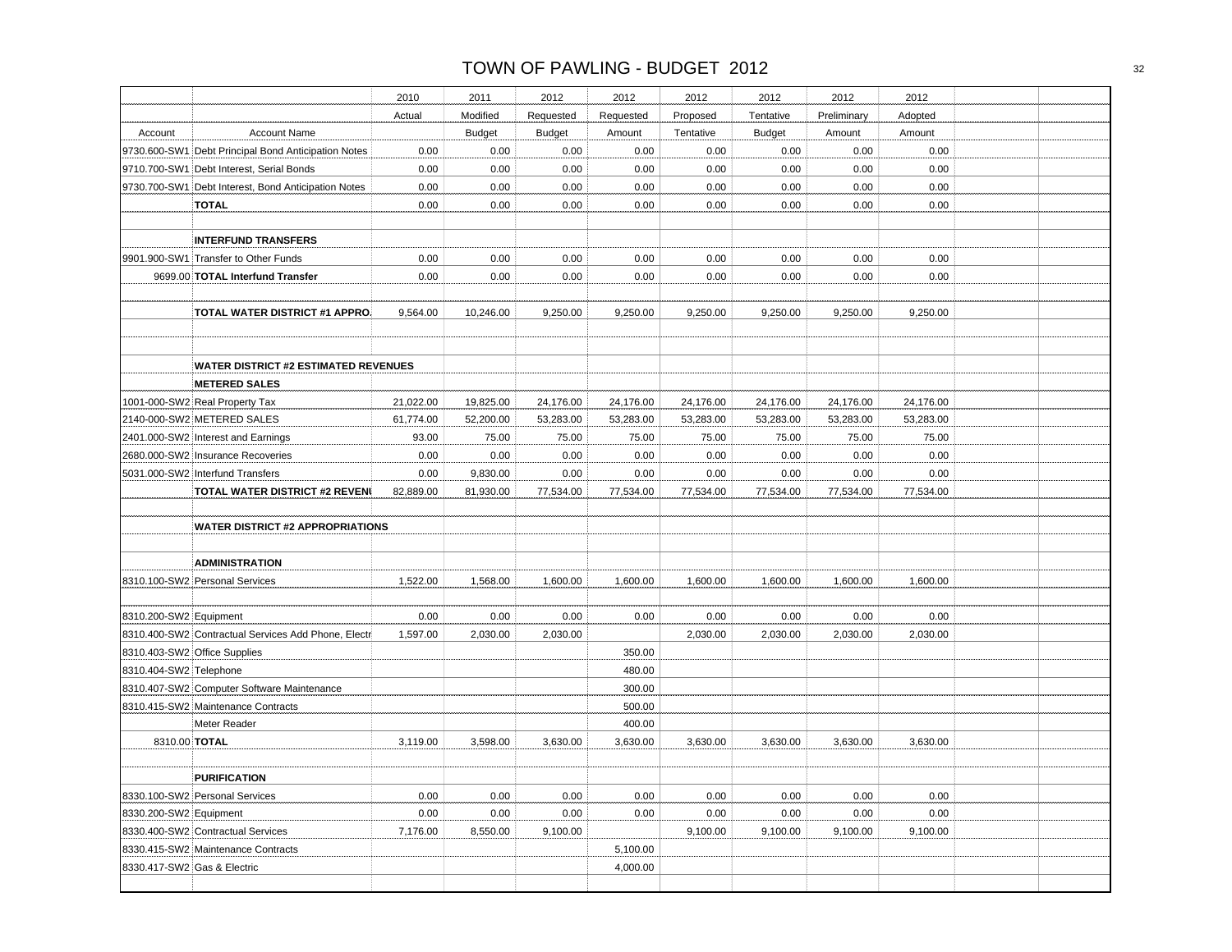|                             |                                                     | 2010      | 2011          | 2012          | 2012      | 2012      | 2012          | 2012        | 2012      |  |
|-----------------------------|-----------------------------------------------------|-----------|---------------|---------------|-----------|-----------|---------------|-------------|-----------|--|
|                             |                                                     | Actual    | Modified      | Requested     | Requested | Proposed  | Tentative     | Preliminary | Adopted   |  |
| Account                     | <b>Account Name</b>                                 |           | <b>Budget</b> | <b>Budget</b> | Amount    | Tentative | <b>Budget</b> | Amount      | Amount    |  |
|                             | 9730.600-SW1 Debt Principal Bond Anticipation Notes | 0.00      | 0.00          | 0.00          | 0.00      | 0.00      | 0.00          | 0.00        | 0.00      |  |
|                             | 9710.700-SW1 Debt Interest, Serial Bonds            | 0.00      | 0.00          | 0.00          | 0.00      | 0.00      | 0.00          | 0.00        | 0.00      |  |
|                             | 9730.700-SW1 Debt Interest, Bond Anticipation Notes | 0.00      | 0.00          | 0.00          | 0.00      | 0.00      | 0.00          | 0.00        | 0.00      |  |
|                             | <b>TOTAL</b>                                        | 0.00      | 0.00          | 0.00          | 0.00      | 0.00      | 0.00          | 0.00        | 0.00      |  |
|                             |                                                     |           |               |               |           |           |               |             |           |  |
|                             | <b>INTERFUND TRANSFERS</b>                          |           |               |               |           |           |               |             |           |  |
|                             | 9901.900-SW1 Transfer to Other Funds                | 0.00      | 0.00          | 0.00          | 0.00      | 0.00      | 0.00          | 0.00        | 0.00      |  |
|                             | 9699.00 TOTAL Interfund Transfer                    | 0.00      | 0.00          | 0.00          | 0.00      | 0.00      | 0.00          | 0.00        | 0.00      |  |
|                             |                                                     |           |               |               |           |           |               |             |           |  |
|                             | TOTAL WATER DISTRICT #1 APPRO.                      | 9,564.00  | 10,246.00     | 9,250.00      | 9,250.00  | 9,250.00  | 9,250.00      | 9,250.00    | 9,250.00  |  |
|                             |                                                     |           |               |               |           |           |               |             |           |  |
|                             |                                                     |           |               |               |           |           |               |             |           |  |
|                             | <b>WATER DISTRICT #2 ESTIMATED REVENUES</b>         |           |               |               |           |           |               |             |           |  |
|                             | <b>METERED SALES</b>                                |           |               |               |           |           |               |             |           |  |
|                             | 1001-000-SW2 Real Property Tax                      | 21,022.00 | 19,825.00     | 24,176.00     | 24,176.00 | 24,176.00 | 24,176.00     | 24,176.00   | 24,176.00 |  |
|                             | 2140-000-SW2 METERED SALES                          | 61,774.00 | 52,200.00     | 53,283.00     | 53,283.00 | 53,283.00 | 53,283.00     | 53,283.00   | 53,283.00 |  |
|                             | 2401.000-SW2 Interest and Earnings                  | 93.00     | 75.00         | 75.00         | 75.00     | 75.00     | 75.00         | 75.00       | 75.00     |  |
|                             | 2680.000-SW2 Insurance Recoveries                   | 0.00      | 0.00          | 0.00          | 0.00      | 0.00      | 0.00          | 0.00        | 0.00      |  |
|                             | 5031.000-SW2 Interfund Transfers                    | 0.00      | 9,830.00      | 0.00          | 0.00      | 0.00      | 0.00          | 0.00        | 0.00      |  |
|                             | TOTAL WATER DISTRICT #2 REVEN                       | 82,889.00 | 81,930.00     | 77,534.00     | 77,534.00 | 77,534.00 | 77,534.00     | 77,534.00   | 77,534.00 |  |
|                             |                                                     |           |               |               |           |           |               |             |           |  |
|                             | <b>WATER DISTRICT #2 APPROPRIATIONS</b>             |           |               |               |           |           |               |             |           |  |
|                             |                                                     |           |               |               |           |           |               |             |           |  |
|                             | <b>ADMINISTRATION</b>                               |           |               |               |           |           |               |             |           |  |
|                             | 8310.100-SW2 Personal Services                      | 1,522.00  | 1,568.00      | 1,600.00      | 1,600.00  | 1,600.00  | 1,600.00      | 1,600.00    | 1,600.00  |  |
|                             |                                                     |           |               |               |           |           |               |             |           |  |
| 8310.200-SW2 Equipment      |                                                     | 0.00      | 0.00          | 0.00          | 0.00      | 0.00      | 0.00          | 0.00        | 0.00      |  |
|                             | 8310.400-SW2 Contractual Services Add Phone, Electr | 1,597.00  | 2,030.00      | 2,030.00      |           | 2,030.00  | 2,030.00      | 2,030.00    | 2,030.00  |  |
|                             | 8310.403-SW2 Office Supplies                        |           |               |               | 350.00    |           |               |             |           |  |
| 8310.404-SW2 Telephone      |                                                     |           |               |               | 480.00    |           |               |             |           |  |
|                             | 8310.407-SW2 Computer Software Maintenance          |           |               |               | 300.00    |           |               |             |           |  |
|                             | 8310.415-SW2 Maintenance Contracts                  |           |               |               | 500.00    |           |               |             |           |  |
|                             | Meter Reader                                        |           |               |               | 400.00    |           |               |             |           |  |
| 8310.00 TOTAL               |                                                     | 3,119.00  | 3,598.00      | 3,630.00      | 3,630.00  | 3,630.00  | 3,630.00      | 3,630.00    | 3,630.00  |  |
|                             |                                                     |           |               |               |           |           |               |             |           |  |
|                             | <b>PURIFICATION</b>                                 |           |               |               |           |           |               |             |           |  |
|                             | 8330.100-SW2 Personal Services                      | 0.00      | 0.00          | 0.00          | 0.00      | 0.00      | 0.00          | 0.00        | 0.00      |  |
| 8330.200-SW2 Equipment      |                                                     | 0.00      | 0.00          | 0.00          | 0.00      | 0.00      | 0.00          | 0.00        | 0.00      |  |
|                             | 8330.400-SW2 Contractual Services                   | 7,176.00  | 8,550.00      | 9,100.00      |           | 9,100.00  | 9,100.00      | 9,100.00    | 9,100.00  |  |
|                             | 8330.415-SW2 Maintenance Contracts                  |           |               |               | 5,100.00  |           |               |             |           |  |
| 8330.417-SW2 Gas & Electric |                                                     |           |               |               | 4,000.00  |           |               |             |           |  |
|                             |                                                     |           |               |               |           |           |               |             |           |  |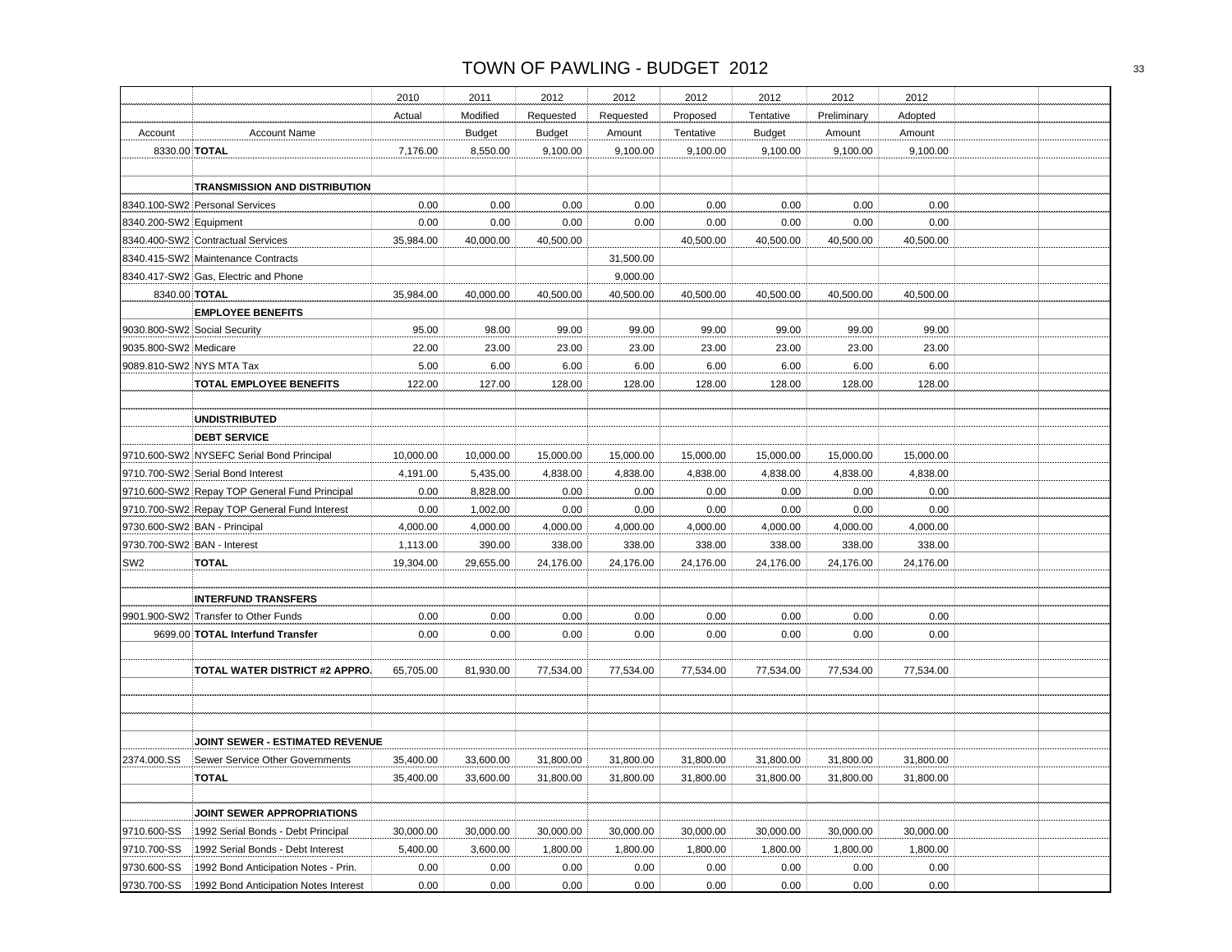|                             |                                                                    | 2010      | 2011          | 2012          | 2012      | 2012      | 2012          | 2012        | 2012      |  |
|-----------------------------|--------------------------------------------------------------------|-----------|---------------|---------------|-----------|-----------|---------------|-------------|-----------|--|
|                             |                                                                    | Actual    | Modified      | Requested     | Requested | Proposed  | Tentative     | Preliminary | Adopted   |  |
| Account                     | <b>Account Name</b>                                                |           | <b>Budget</b> | <b>Budget</b> | Amount    | Tentative | <b>Budget</b> | Amount      | Amount    |  |
| 8330.00 TOTAL               |                                                                    | 7,176.00  | 8,550.00      | 9,100.00      | 9,100.00  | 9,100.00  | 9,100.00      | 9,100.00    | 9,100.00  |  |
|                             |                                                                    |           |               |               |           |           |               |             |           |  |
|                             | <b>TRANSMISSION AND DISTRIBUTION</b>                               |           |               |               |           |           |               |             |           |  |
|                             | 8340.100-SW2 Personal Services                                     | 0.00      | 0.00          | 0.00          | 0.00      | 0.00      | 0.00          | 0.00        | 0.00      |  |
| 8340.200-SW2 Equipment      |                                                                    | 0.00      | 0.00          | 0.00          | 0.00      | 0.00      | 0.00          | 0.00        | 0.00      |  |
|                             | 8340.400-SW2 Contractual Services                                  | 35,984.00 | 40,000.00     | 40,500.00     |           | 40,500.00 | 40,500.00     | 40,500.00   | 40,500.00 |  |
|                             | 8340.415-SW2 Maintenance Contracts                                 |           |               |               | 31,500.00 |           |               |             |           |  |
|                             | 8340.417-SW2 Gas, Electric and Phone                               |           |               |               | 9,000.00  |           |               |             |           |  |
| 8340.00 TOTAL               |                                                                    | 35,984.00 | 40,000.00     | 40,500.00     | 40,500.00 | 40,500.00 | 40,500.00     | 40,500.00   | 40,500.00 |  |
|                             | <b>EMPLOYEE BENEFITS</b>                                           |           |               |               |           |           |               |             |           |  |
|                             | 9030.800-SW2 Social Security                                       | 95.00     | 98.00         | 99.00         | 99.00     | 99.00     | 99.00         | 99.00       | 99.00     |  |
| 9035.800-SW2 Medicare       |                                                                    | 22.00     | 23.00         | 23.00         | 23.00     | 23.00     | 23.00         | 23.00       | 23.00     |  |
| 9089.810-SW2 NYS MTA Tax    |                                                                    | 5.00      | 6.00          | 6.00          | 6.00      | 6.00      | 6.00          | 6.00        | 6.00      |  |
|                             | TOTAL EMPLOYEE BENEFITS                                            | 122.00    | 127.00        | 128.00        | 128.00    | 128.00    | 128.00        | 128.00      | 128.00    |  |
|                             |                                                                    |           |               |               |           |           |               |             |           |  |
|                             | <b>UNDISTRIBUTED</b>                                               |           |               |               |           |           |               |             |           |  |
|                             | <b>DEBT SERVICE</b>                                                |           |               |               |           |           |               |             |           |  |
|                             | 9710.600-SW2 NYSEFC Serial Bond Principal                          | 10,000.00 | 10,000.00     | 15,000.00     | 15,000.00 | 15,000.00 | 15,000.00     | 15,000.00   | 15,000.00 |  |
|                             | 9710.700-SW2 Serial Bond Interest                                  | 4,191.00  | 5,435.00      | 4,838.00      | 4,838.00  | 4,838.00  | 4,838.00      | 4,838.00    | 4,838.00  |  |
|                             | 9710.600-SW2 Repay TOP General Fund Principal                      | 0.00      | 8,828.00      | 0.00          | 0.00      | 0.00      | 0.00          | 0.00        | 0.00      |  |
|                             | 9710.700-SW2 Repay TOP General Fund Interest                       | 0.00      | 1,002.00      | 0.00          | 0.00      | 0.00      | 0.00          | 0.00        | 0.00      |  |
|                             | 9730.600-SW2   BAN - Principal                                     | 4,000.00  | 4,000.00      | 4,000.00      | 4,000.00  | 4,000.00  | 4,000.00      | 4,000.00    | 4,000.00  |  |
| 9730.700-SW2 BAN - Interest |                                                                    | 1,113.00  | 390.00        | 338.00        | 338.00    | 338.00    | 338.00        | 338.00      | 338.00    |  |
| SW <sub>2</sub>             | <b>TOTAL</b>                                                       | 19,304.00 | 29,655.00     | 24,176.00     | 24,176.00 | 24,176.00 | 24,176.00     | 24,176.00   | 24,176.00 |  |
|                             |                                                                    |           |               |               |           |           |               |             |           |  |
|                             |                                                                    |           |               |               |           |           |               |             |           |  |
|                             | <b>INTERFUND TRANSFERS</b><br>9901.900-SW2 Transfer to Other Funds |           | 0.00          | 0.00          |           |           |               |             | 0.00      |  |
|                             |                                                                    | 0.00      |               |               | 0.00      | 0.00      | 0.00          | 0.00        |           |  |
|                             | 9699.00 TOTAL Interfund Transfer                                   | 0.00      | 0.00          | 0.00          | 0.00      | 0.00      | 0.00          | 0.00        | 0.00      |  |
|                             |                                                                    |           |               |               |           |           |               |             |           |  |
|                             | <b>TOTAL WATER DISTRICT #2 APPRO</b>                               | 65,705.00 | 81,930.00     | 77,534.00     | 77,534.00 | 77,534.00 | 77,534.00     | 77,534.00   | 77,534.00 |  |
|                             |                                                                    |           |               |               |           |           |               |             |           |  |
|                             |                                                                    |           |               |               |           |           |               |             |           |  |
|                             |                                                                    |           |               |               |           |           |               |             |           |  |
|                             | JOINT SEWER - ESTIMATED REVENUE                                    |           |               |               |           |           |               |             |           |  |
| 2374.000.SS                 | Sewer Service Other Governments                                    | 35,400.00 | 33,600.00     | 31,800.00     | 31,800.00 | 31,800.00 | 31,800.00     | 31,800.00   | 31,800.00 |  |
|                             | TOTAL                                                              | 35,400.00 | 33,600.00     | 31,800.00     | 31,800.00 | 31,800.00 | 31,800.00     | 31,800.00   | 31,800.00 |  |
|                             |                                                                    |           |               |               |           |           |               |             |           |  |
|                             | JOINT SEWER APPROPRIATIONS                                         |           |               |               |           |           |               |             |           |  |
| 9710.600-SS                 | 1992 Serial Bonds - Debt Principal                                 | 30,000.00 | 30,000.00     | 30,000.00     | 30,000.00 | 30,000.00 | 30,000.00     | 30,000.00   | 30,000.00 |  |
| 9710.700-SS                 | 1992 Serial Bonds - Debt Interest                                  | 5,400.00  | 3,600.00      | 1,800.00      | 1,800.00  | 1,800.00  | 1,800.00      | 1,800.00    | 1,800.00  |  |
| 9730.600-SS                 | 1992 Bond Anticipation Notes - Prin.                               | 0.00      | 0.00          | 0.00          | 0.00      | 0.00      | 0.00          | 0.00        | 0.00      |  |
| 9730.700-SS                 | 1992 Bond Anticipation Notes Interest                              | 0.00      | 0.00          | 0.00          | 0.00      | 0.00      | 0.00          | 0.00        | 0.00      |  |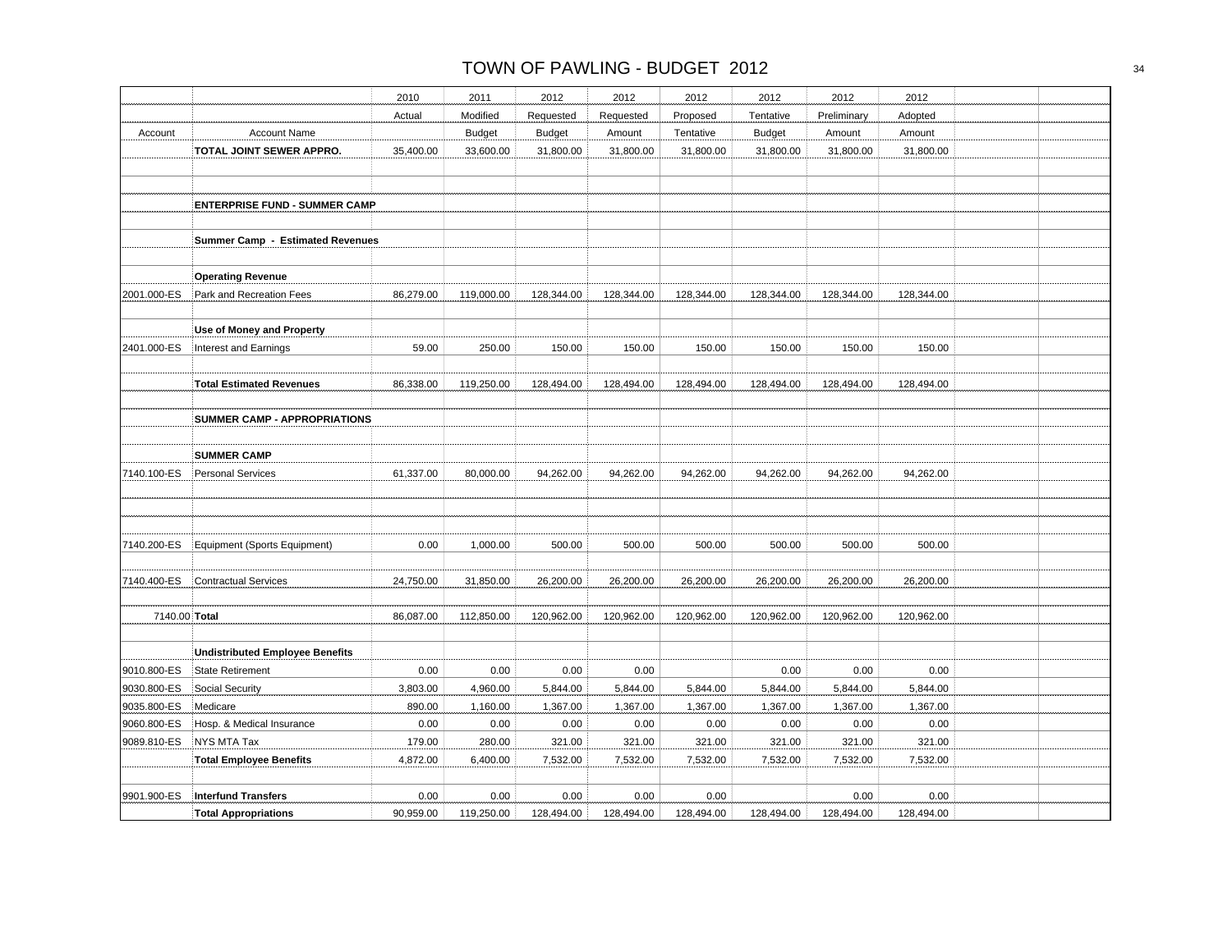|               |                                         | 2010      | 2011          | 2012          | 2012       | 2012       | 2012          | 2012        | 2012       |  |
|---------------|-----------------------------------------|-----------|---------------|---------------|------------|------------|---------------|-------------|------------|--|
|               |                                         | Actual    | Modified      | Requested     | Requested  | Proposed   | Tentative     | Preliminary | Adopted    |  |
| Account       | <b>Account Name</b>                     |           | <b>Budget</b> | <b>Budget</b> | Amount     | Tentative  | <b>Budget</b> | Amount      | Amount     |  |
|               | TOTAL JOINT SEWER APPRO.                | 35,400.00 | 33,600.00     | 31,800.00     | 31,800.00  | 31,800.00  | 31,800.00     | 31,800.00   | 31,800.00  |  |
|               |                                         |           |               |               |            |            |               |             |            |  |
|               |                                         |           |               |               |            |            |               |             |            |  |
|               | <b>ENTERPRISE FUND - SUMMER CAMP</b>    |           |               |               |            |            |               |             |            |  |
|               |                                         |           |               |               |            |            |               |             |            |  |
|               | <b>Summer Camp - Estimated Revenues</b> |           |               |               |            |            |               |             |            |  |
|               |                                         |           |               |               |            |            |               |             |            |  |
|               | <b>Operating Revenue</b>                |           |               |               |            |            |               |             |            |  |
| 2001.000-ES   | Park and Recreation Fees                | 86,279.00 | 119,000.00    | 128,344.00    | 128,344.00 | 128,344.00 | 128,344.00    | 128,344.00  | 128,344.00 |  |
|               |                                         |           |               |               |            |            |               |             |            |  |
|               | Use of Money and Property               |           |               |               |            |            |               |             |            |  |
| 2401.000-ES   | Interest and Earnings                   | 59.00     | 250.00        | 150.00        | 150.00     | 150.00     | 150.00        | 150.00      | 150.00     |  |
|               |                                         |           |               |               |            |            |               |             |            |  |
|               | <b>Total Estimated Revenues</b>         | 86,338.00 | 119,250.00    | 128,494.00    | 128,494.00 | 128,494.00 | 128,494.00    | 128,494.00  | 128,494.00 |  |
|               |                                         |           |               |               |            |            |               |             |            |  |
|               | <b>SUMMER CAMP - APPROPRIATIONS</b>     |           |               |               |            |            |               |             |            |  |
|               |                                         |           |               |               |            |            |               |             |            |  |
|               | <b>SUMMER CAMP</b>                      |           |               |               |            |            |               |             |            |  |
| 7140.100-ES   | <b>Personal Services</b>                | 61,337.00 | 80,000.00     | 94,262.00     | 94,262.00  | 94,262.00  | 94,262.00     | 94,262.00   | 94,262.00  |  |
|               |                                         |           |               |               |            |            |               |             |            |  |
|               |                                         |           |               |               |            |            |               |             |            |  |
|               |                                         |           |               |               |            |            |               |             |            |  |
| 7140.200-ES   | Equipment (Sports Equipment)            | 0.00      | 1,000.00      | 500.00        | 500.00     | 500.00     | 500.00        | 500.00      | 500.00     |  |
|               |                                         |           |               |               |            |            |               |             |            |  |
| 7140.400-ES   | <b>Contractual Services</b>             | 24,750.00 | 31,850.00     | 26,200.00     | 26,200.00  | 26,200.00  | 26,200.00     | 26,200.00   | 26,200.00  |  |
|               |                                         |           |               |               |            |            |               |             |            |  |
| 7140.00 Total |                                         | 86,087.00 | 112,850.00    | 120,962.00    | 120,962.00 | 120,962.00 | 120,962.00    | 120,962.00  | 120,962.00 |  |
|               |                                         |           |               |               |            |            |               |             |            |  |
|               | <b>Undistributed Employee Benefits</b>  |           |               |               |            |            |               |             |            |  |
| 9010.800-ES   | <b>State Retirement</b>                 | 0.00      | 0.00          | 0.00          | 0.00       |            | 0.00          | 0.00        | 0.00       |  |
| 9030.800-ES   | Social Security                         | 3,803.00  | 4,960.00      | 5,844.00      | 5,844.00   | 5,844.00   | 5,844.00      | 5,844.00    | 5,844.00   |  |
| 9035.800-ES   | Medicare                                | 890.00    | 1,160.00      | 1,367.00      | 1,367.00   | 1,367.00   | 1,367.00      | 1,367.00    | 1,367.00   |  |
| 9060.800-ES   | Hosp. & Medical Insurance               | 0.00      | 0.00          | 0.00          | 0.00       | 0.00       | 0.00          | 0.00        | 0.00       |  |
| 9089.810-ES   | NYS MTA Tax                             | 179.00    | 280.00        | 321.00        | 321.00     | 321.00     | 321.00        | 321.00      | 321.00     |  |
|               | <b>Total Employee Benefits</b>          | 4,872.00  | 6,400.00      | 7,532.00      | 7,532.00   | 7,532.00   | 7,532.00      | 7,532.00    | 7,532.00   |  |
|               |                                         |           |               |               |            |            |               |             |            |  |
| 9901.900-ES   | <b>Interfund Transfers</b>              | 0.00      | 0.00          | 0.00          | 0.00       | 0.00       |               | 0.00        | 0.00       |  |
|               | <b>Total Appropriations</b>             | 90,959.00 | 119,250.00    | 128,494.00    | 128,494.00 | 128,494.00 | 128,494.00    | 128,494.00  | 128,494.00 |  |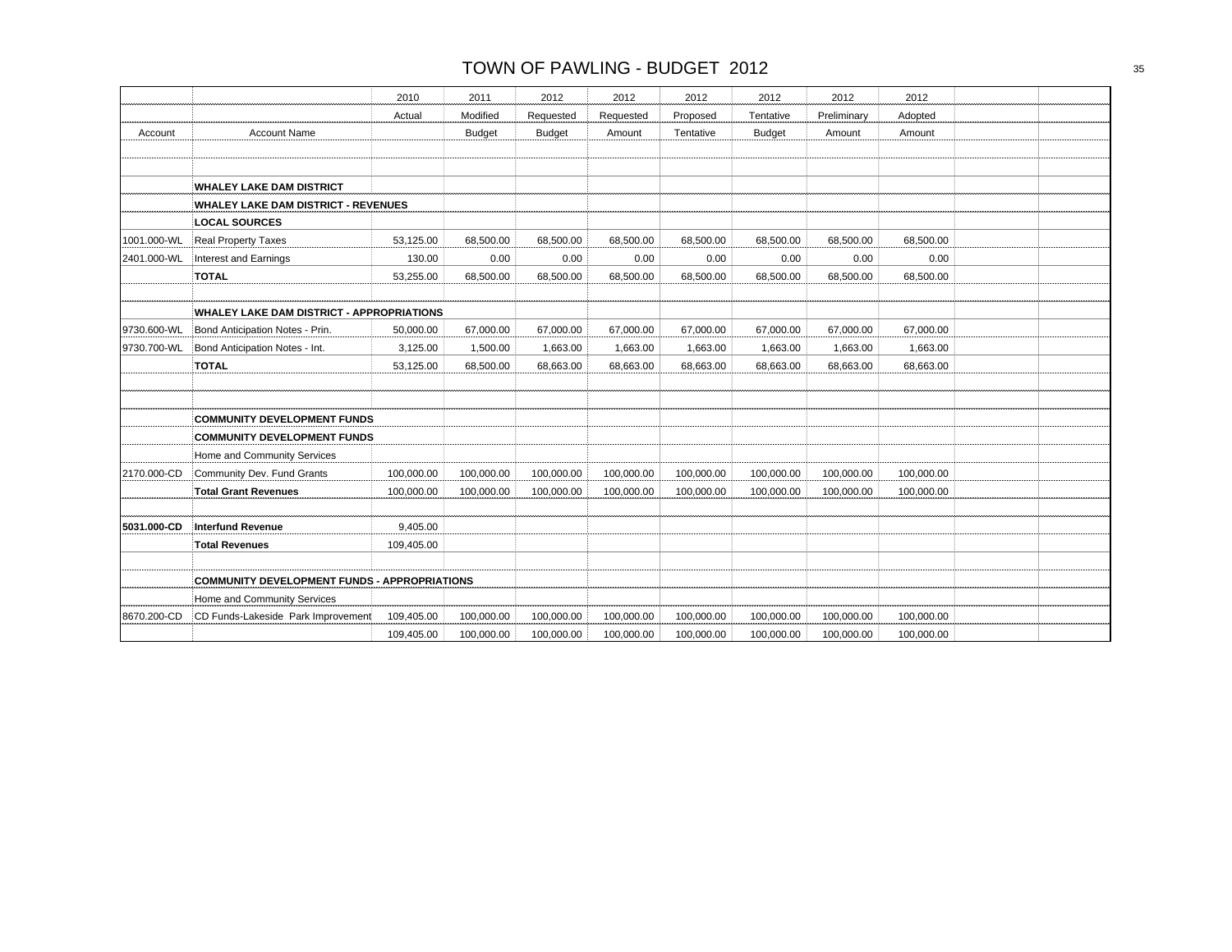|             |                                                     | 2010       | 2011          | 2012          | 2012       | 2012       | 2012          | 2012        | 2012       |  |
|-------------|-----------------------------------------------------|------------|---------------|---------------|------------|------------|---------------|-------------|------------|--|
|             |                                                     | Actual     | Modified      | Requested     | Requested  | Proposed   | Tentative     | Preliminary | Adopted    |  |
| Account     | <b>Account Name</b>                                 |            | <b>Budget</b> | <b>Budget</b> | Amount     | Tentative  | <b>Budget</b> | Amount      | Amount     |  |
|             |                                                     |            |               |               |            |            |               |             |            |  |
|             |                                                     |            |               |               |            |            |               |             |            |  |
|             | <b>WHALEY LAKE DAM DISTRICT</b>                     |            |               |               |            |            |               |             |            |  |
|             | <b>WHALEY LAKE DAM DISTRICT - REVENUES</b>          |            |               |               |            |            |               |             |            |  |
|             | <b>LOCAL SOURCES</b>                                |            |               |               |            |            |               |             |            |  |
| 1001.000-WL | <b>Real Property Taxes</b>                          | 53,125.00  | 68,500.00     | 68,500.00     | 68,500.00  | 68,500.00  | 68.500.00     | 68,500.00   | 68,500.00  |  |
| 2401.000-WL | Interest and Earnings                               | 130.00     | 0.00          | 0.00          | 0.00       | 0.00       | 0.00          | 0.00        | 0.00       |  |
|             | <b>TOTAL</b>                                        | 53,255.00  | 68,500.00     | 68,500.00     | 68,500.00  | 68,500.00  | 68,500.00     | 68,500.00   | 68,500.00  |  |
|             |                                                     |            |               |               |            |            |               |             |            |  |
|             | <b>WHALEY LAKE DAM DISTRICT - APPROPRIATIONS</b>    |            |               |               |            |            |               |             |            |  |
| 9730.600-WL | Bond Anticipation Notes - Prin.                     | 50,000.00  | 67,000.00     | 67,000.00     | 67,000.00  | 67,000.00  | 67,000.00     | 67,000.00   | 67,000.00  |  |
| 9730.700-WL | Bond Anticipation Notes - Int.                      | 3,125.00   | 1,500.00      | 1,663.00      | 1,663.00   | 1,663.00   | 1,663.00      | 1,663.00    | 1,663.00   |  |
|             | <b>TOTAL</b>                                        | 53,125.00  | 68,500.00     | 68,663.00     | 68,663.00  | 68,663.00  | 68,663.00     | 68,663.00   | 68,663.00  |  |
|             |                                                     |            |               |               |            |            |               |             |            |  |
|             |                                                     |            |               |               |            |            |               |             |            |  |
|             | <b>COMMUNITY DEVELOPMENT FUNDS</b>                  |            |               |               |            |            |               |             |            |  |
|             | <b>COMMUNITY DEVELOPMENT FUNDS</b>                  |            |               |               |            |            |               |             |            |  |
|             | Home and Community Services                         |            |               |               |            |            |               |             |            |  |
| 2170.000-CD | Community Dev. Fund Grants                          | 100,000.00 | 100,000.00    | 100,000.00    | 100,000.00 | 100,000.00 | 100,000.00    | 100,000.00  | 100,000.00 |  |
|             | <b>Total Grant Revenues</b>                         | 100,000.00 | 100,000.00    | 100,000.00    | 100,000.00 | 100,000.00 | 100,000.00    | 100,000.00  | 100,000.00 |  |
|             |                                                     |            |               |               |            |            |               |             |            |  |
| 5031.000-CD | <b>Interfund Revenue</b>                            | 9,405.00   |               |               |            |            |               |             |            |  |
|             | <b>Total Revenues</b>                               | 109,405.00 |               |               |            |            |               |             |            |  |
|             |                                                     |            |               |               |            |            |               |             |            |  |
|             | <b>COMMUNITY DEVELOPMENT FUNDS - APPROPRIATIONS</b> |            |               |               |            |            |               |             |            |  |
|             | Home and Community Services                         |            |               |               |            |            |               |             |            |  |
| 8670.200-CD | CD Funds-Lakeside Park Improvement                  | 109,405.00 | 100,000.00    | 100,000.00    | 100,000.00 | 100,000.00 | 100,000.00    | 100,000.00  | 100,000.00 |  |
|             |                                                     | 109,405.00 | 100,000.00    | 100,000.00    | 100,000.00 | 100,000.00 | 100,000.00    | 100,000.00  | 100,000.00 |  |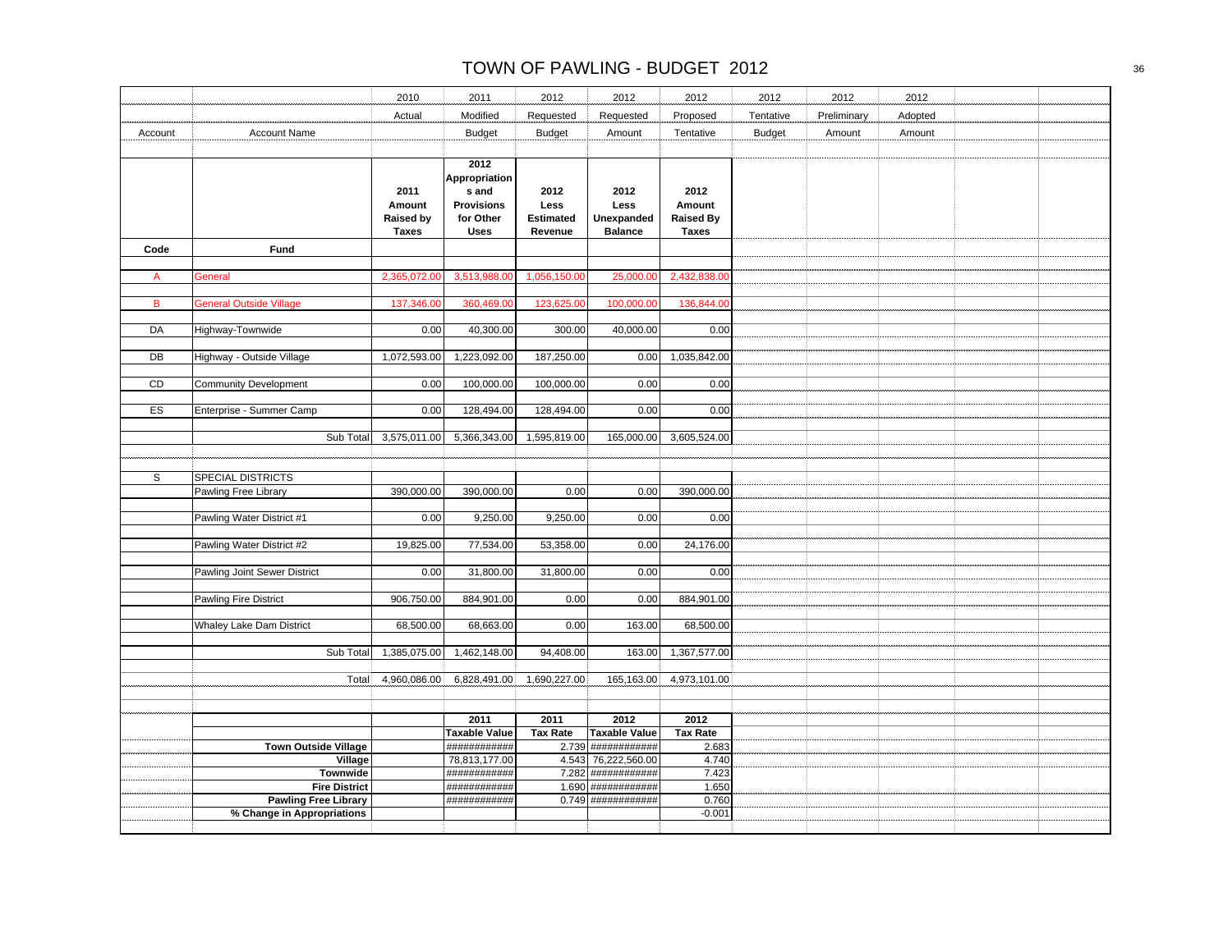|         |                                  | 2010                                               | 2011                                                                            | 2012                                        | 2012                                         | 2012                                               | 2012          | 2012        | 2012    |  |
|---------|----------------------------------|----------------------------------------------------|---------------------------------------------------------------------------------|---------------------------------------------|----------------------------------------------|----------------------------------------------------|---------------|-------------|---------|--|
|         |                                  | Actual                                             | Modified                                                                        | Requested                                   | Requested                                    | Proposed                                           | Tentative     | Preliminary | Adopted |  |
| Account | <b>Account Name</b>              |                                                    | <b>Budget</b>                                                                   | <b>Budget</b>                               | Amount                                       | Tentative                                          | <b>Budget</b> | Amount      | Amount  |  |
|         |                                  |                                                    |                                                                                 |                                             |                                              |                                                    |               |             |         |  |
|         |                                  | 2011<br>Amount<br><b>Raised by</b><br><b>Taxes</b> | 2012<br>Appropriation<br>s and<br><b>Provisions</b><br>for Other<br><b>Uses</b> | 2012<br>Less<br><b>Estimated</b><br>Revenue | 2012<br>Less<br>Unexpanded<br><b>Balance</b> | 2012<br>Amount<br><b>Raised By</b><br><b>Taxes</b> |               |             |         |  |
| Code    | Fund                             |                                                    |                                                                                 |                                             |                                              |                                                    |               |             |         |  |
| A       | General                          | 2,365,072.00                                       | 3,513,988.00                                                                    | 1,056,150.00                                | 25,000.00                                    | 2,432,838.00                                       |               |             |         |  |
|         |                                  |                                                    |                                                                                 |                                             |                                              |                                                    |               |             |         |  |
| B       | <b>General Outside Village</b>   | 137,346.00                                         | 360,469.00                                                                      | 123,625.00                                  | 100,000.00                                   | 136,844.00                                         |               |             |         |  |
|         |                                  |                                                    |                                                                                 |                                             |                                              |                                                    |               |             |         |  |
| DA      | Highway-Townwide                 | 0.00                                               | 40,300.00                                                                       | 300.00                                      | 40,000.00                                    | 0.00                                               |               |             |         |  |
| DB      | Highway - Outside Village        | 1,072,593.00                                       | 1,223,092.00                                                                    | 187,250.00                                  | 0.00                                         | 1,035,842.00                                       |               |             |         |  |
|         |                                  |                                                    |                                                                                 |                                             |                                              |                                                    |               |             |         |  |
| CD      | <b>Community Development</b>     | 0.00                                               | 100,000.00                                                                      | 100,000.00                                  | 0.00                                         | 0.00                                               |               |             |         |  |
| ES      | Enterprise - Summer Camp         | 0.00                                               | 128,494.00                                                                      | 128,494.00                                  | 0.00                                         | 0.00                                               |               |             |         |  |
|         |                                  |                                                    |                                                                                 |                                             |                                              |                                                    |               |             |         |  |
|         | Sub Total                        | 3,575,011.00                                       | 5,366,343.00                                                                    | 1,595,819.00                                | 165,000.00                                   | 3,605,524.00                                       |               |             |         |  |
|         |                                  |                                                    |                                                                                 |                                             |                                              |                                                    |               |             |         |  |
| S       | <b>SPECIAL DISTRICTS</b>         |                                                    |                                                                                 |                                             |                                              |                                                    |               |             |         |  |
|         | Pawling Free Library             | 390,000.00                                         | 390,000.00                                                                      | 0.00                                        | 0.00                                         | 390,000.00                                         |               |             |         |  |
|         |                                  |                                                    |                                                                                 |                                             |                                              |                                                    |               |             |         |  |
|         | Pawling Water District #1        | 0.00                                               | 9,250.00                                                                        | 9,250.00                                    | 0.00                                         | 0.00                                               |               |             |         |  |
|         | Pawling Water District #2        | 19,825.00                                          | 77,534.00                                                                       | 53,358.00                                   | 0.00                                         | 24,176.00                                          |               |             |         |  |
|         |                                  |                                                    |                                                                                 |                                             |                                              |                                                    |               |             |         |  |
|         | Pawling Joint Sewer District     | 0.00                                               | 31,800.00                                                                       | 31,800.00                                   | 0.00                                         | 0.00                                               |               |             |         |  |
|         | <b>Pawling Fire District</b>     | 906,750.00                                         | 884,901.00                                                                      | 0.00                                        | 0.00                                         | 884,901.00                                         |               |             |         |  |
|         |                                  |                                                    |                                                                                 |                                             |                                              |                                                    |               |             |         |  |
|         | <b>Whaley Lake Dam District</b>  | 68,500.00                                          | 68,663.00                                                                       | 0.00                                        | 163.00                                       | 68,500.00                                          |               |             |         |  |
|         | Sub Total                        | 1,385,075.00                                       | $\overline{1,}462,148.00$                                                       | 94,408.00                                   | 163.00                                       | 1,367,577.00                                       |               |             |         |  |
|         |                                  |                                                    |                                                                                 |                                             |                                              |                                                    |               |             |         |  |
|         | Total                            | 4,960,086.00                                       | 6,828,491.00                                                                    | 1,690,227.00                                | 165,163.00                                   | 4,973,101.00                                       |               |             |         |  |
|         |                                  |                                                    |                                                                                 |                                             |                                              |                                                    |               |             |         |  |
|         |                                  |                                                    | 2011                                                                            | 2011                                        | 2012                                         | 2012                                               |               |             |         |  |
|         |                                  |                                                    | <b>Taxable Value</b>                                                            | <b>Tax Rate</b>                             | <b>Taxable Value</b>                         | <b>Tax Rate</b>                                    |               |             |         |  |
|         | <b>Town Outside Village</b>      |                                                    | ############                                                                    |                                             | 2.739 ############                           | 2.683                                              |               |             |         |  |
|         | Village                          |                                                    | 78,813,177.00                                                                   |                                             | 4.543 76,222,560.00                          | 4.740                                              |               |             |         |  |
|         | Townwide<br><b>Fire District</b> |                                                    | ###########<br>############                                                     |                                             | 7.282 ############<br>$1.690$ ############   | 7.423<br>1.650                                     |               |             |         |  |
|         | <b>Pawling Free Library</b>      |                                                    | ############                                                                    |                                             | $0.749$ #############                        | 0.760                                              |               |             |         |  |
|         | % Change in Appropriations       |                                                    |                                                                                 |                                             |                                              | $-0.001$                                           |               |             |         |  |
|         |                                  |                                                    |                                                                                 |                                             |                                              |                                                    |               |             |         |  |